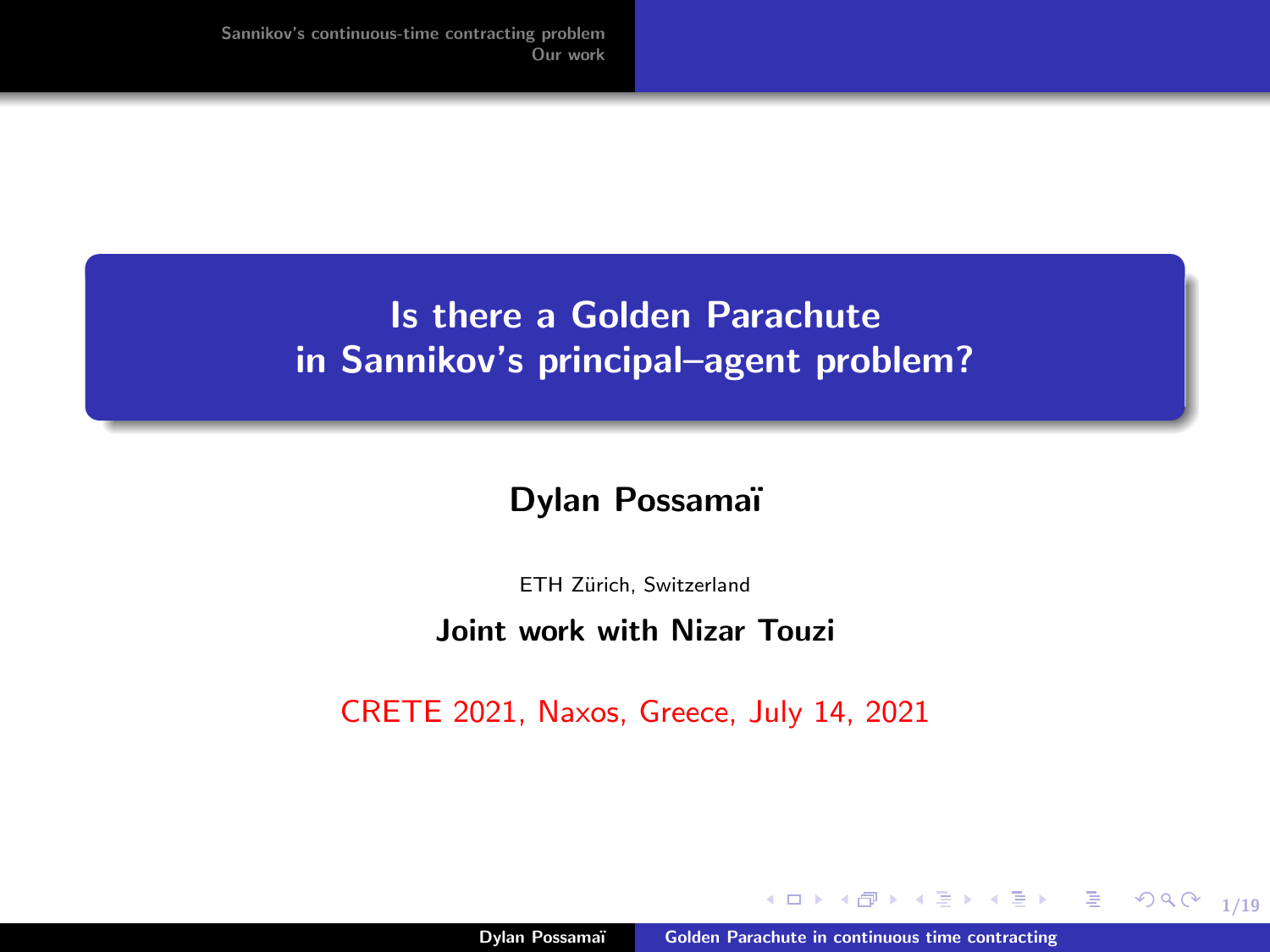# <span id="page-0-0"></span>Is there a Golden Parachute in Sannikov's principal–agent problem?

#### Dylan Possamaï

ETH Zürich, Switzerland

#### Joint work with Nizar Touzi

CRETE 2021, Naxos, Greece, July 14, 2021

a mills

1/19

 $299$ 

重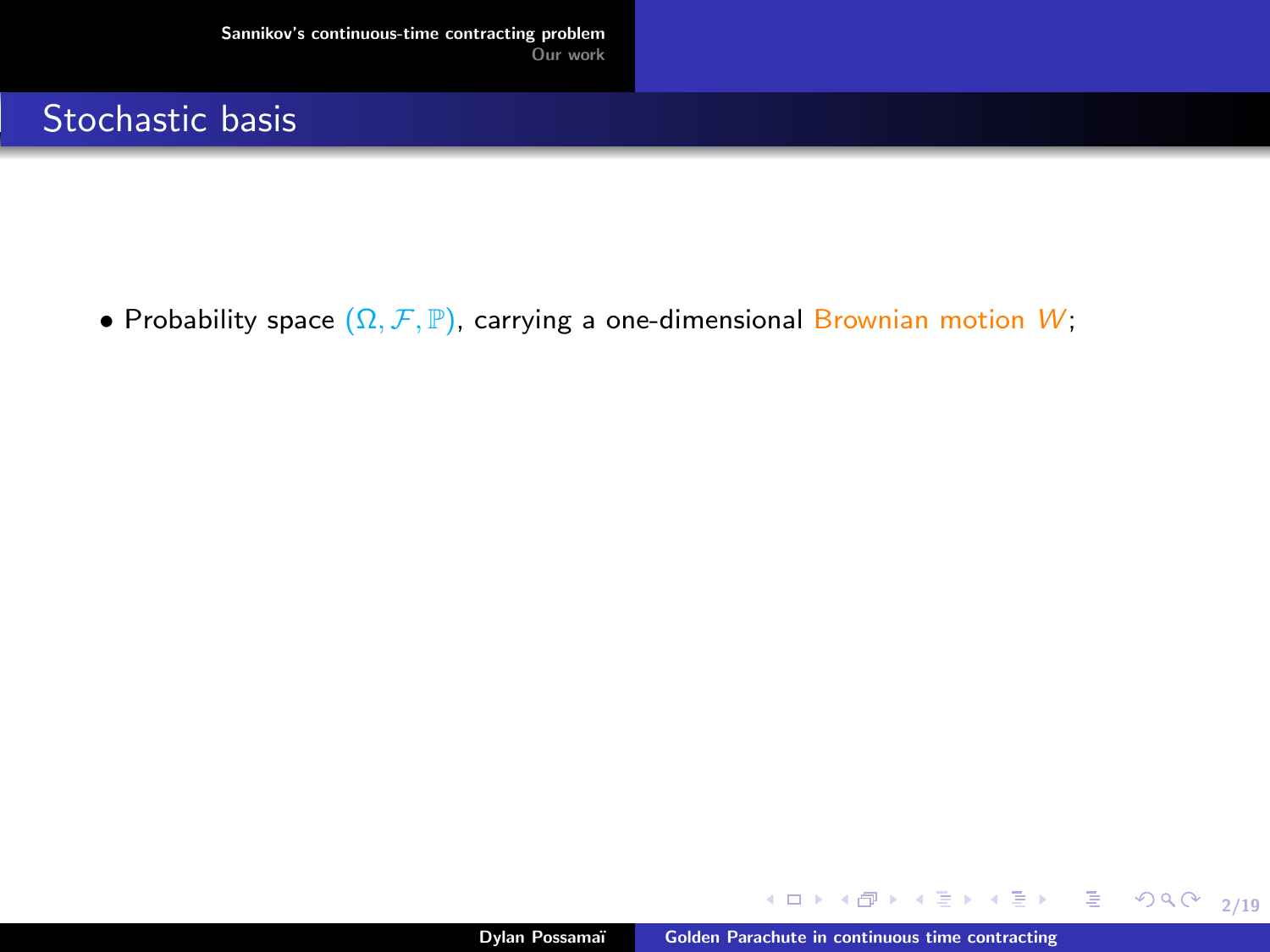<span id="page-1-0"></span>• Probability space  $(\Omega, \mathcal{F}, \mathbb{P})$ , carrying a one-dimensional Brownian motion W;

メロメメ 御き メミメメ ミメー

2/19

 $E = \Omega Q Q$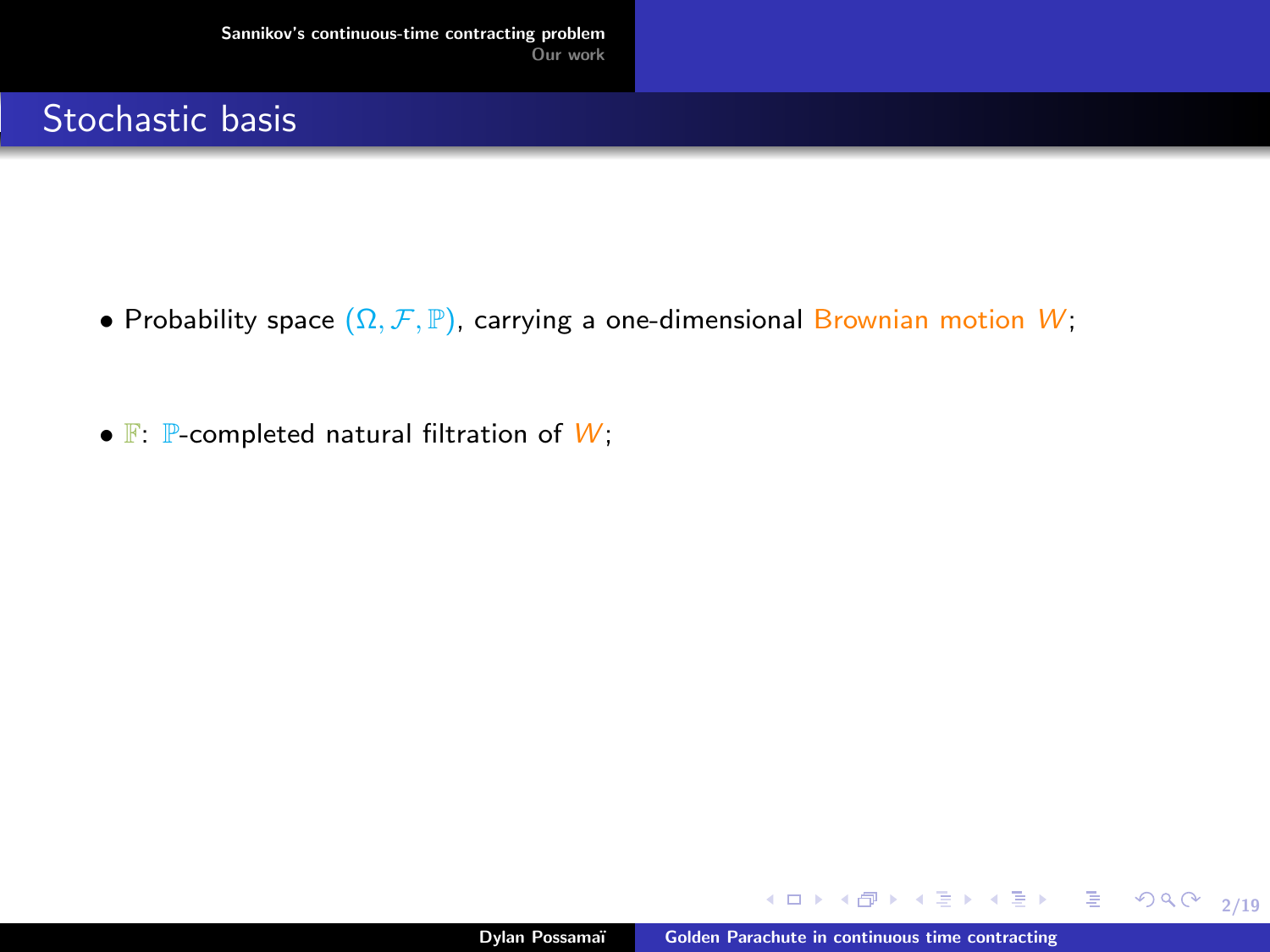- Probability space  $(\Omega, \mathcal{F}, \mathbb{P})$ , carrying a one-dimensional Brownian motion W;
- $\mathbb{F}$ :  $\mathbb{P}$ -completed natural filtration of  $W$ ;

メロメメ 御き メミメメ ミメー

2/19

 $E$   $\Omega$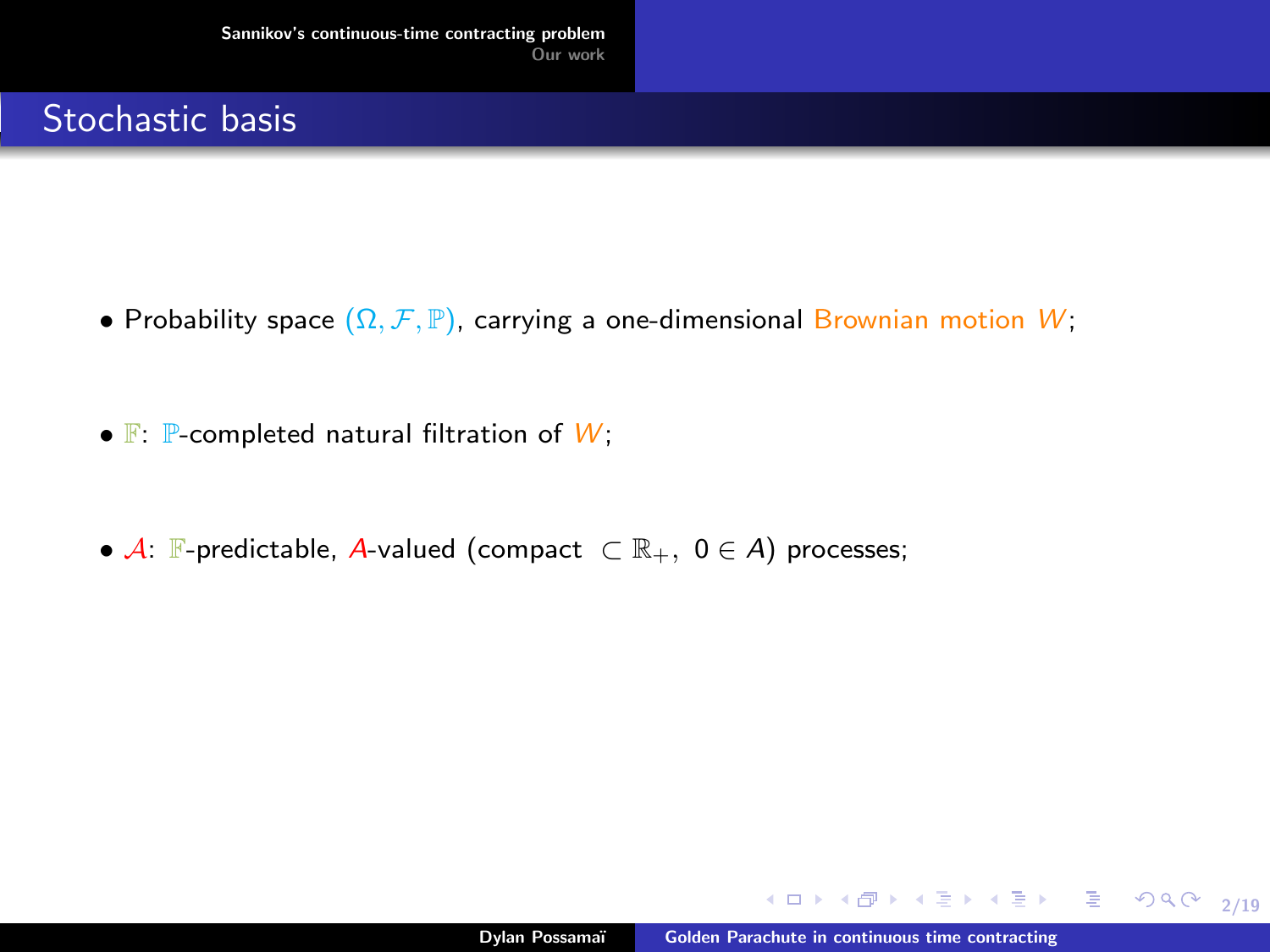- Probability space  $(\Omega, \mathcal{F}, \mathbb{P})$ , carrying a one-dimensional Brownian motion W;
- $\mathbb{F}$ :  $\mathbb{P}$ -completed natural filtration of  $W$ ;
- $\mathcal{A}$ :  $\mathbb{F}$ -predictable,  $\mathcal{A}$ -valued (compact  $\subset \mathbb{R}_+$ ,  $0 \in \mathcal{A}$ ) processes;

メロメメ 御き メミメメ ミメー

2/19

ミー  $2990$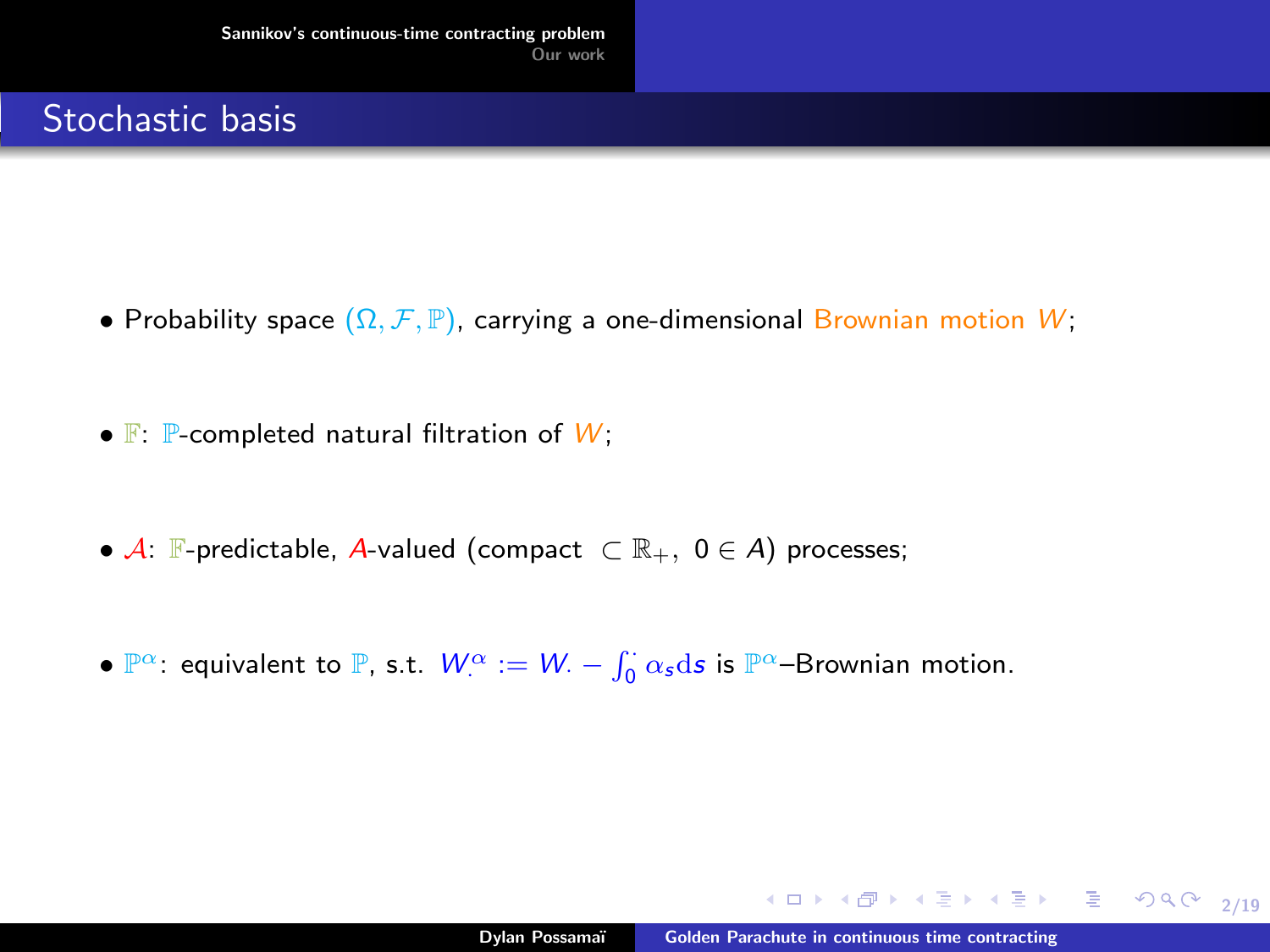- Probability space  $(\Omega, \mathcal{F}, \mathbb{P})$ , carrying a one-dimensional Brownian motion W;
- $\mathbb{F}$ :  $\mathbb{P}$ -completed natural filtration of  $W$ ;
- $\mathcal{A}$ :  $\mathbb{F}$ -predictable,  $\mathcal{A}$ -valued (compact  $\subset \mathbb{R}_+$ ,  $0 \in \mathcal{A}$ ) processes;
- $\mathbb{P}^{\alpha}$ : equivalent to  $\mathbb{P}$ , s.t.  $W_{\cdot}^{\alpha} := W_{\cdot} \int_{0}^{\cdot} \alpha_{s} ds$  is  $\mathbb{P}^{\alpha}$ -Brownian motion.

メロメメ 御き メミメメ ミメー

2/19

ミー  $299$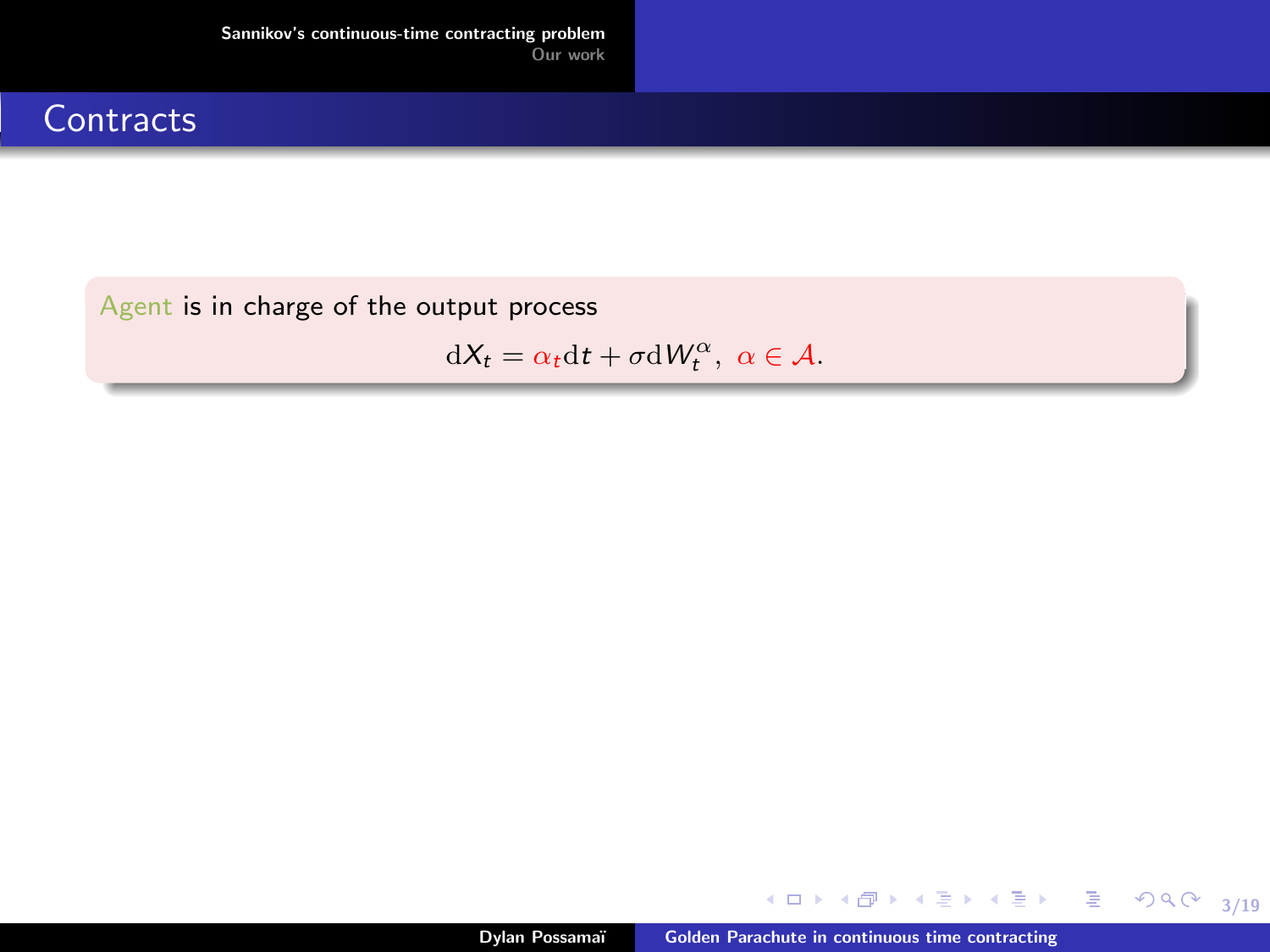#### **Contracts**

Agent is in charge of the output process

 $dX_t = \alpha_t dt + \sigma dW_t^{\alpha}, \ \alpha \in \mathcal{A}.$ 

メロトメ 御 トメ 君 トメ 君 ト

3/19

重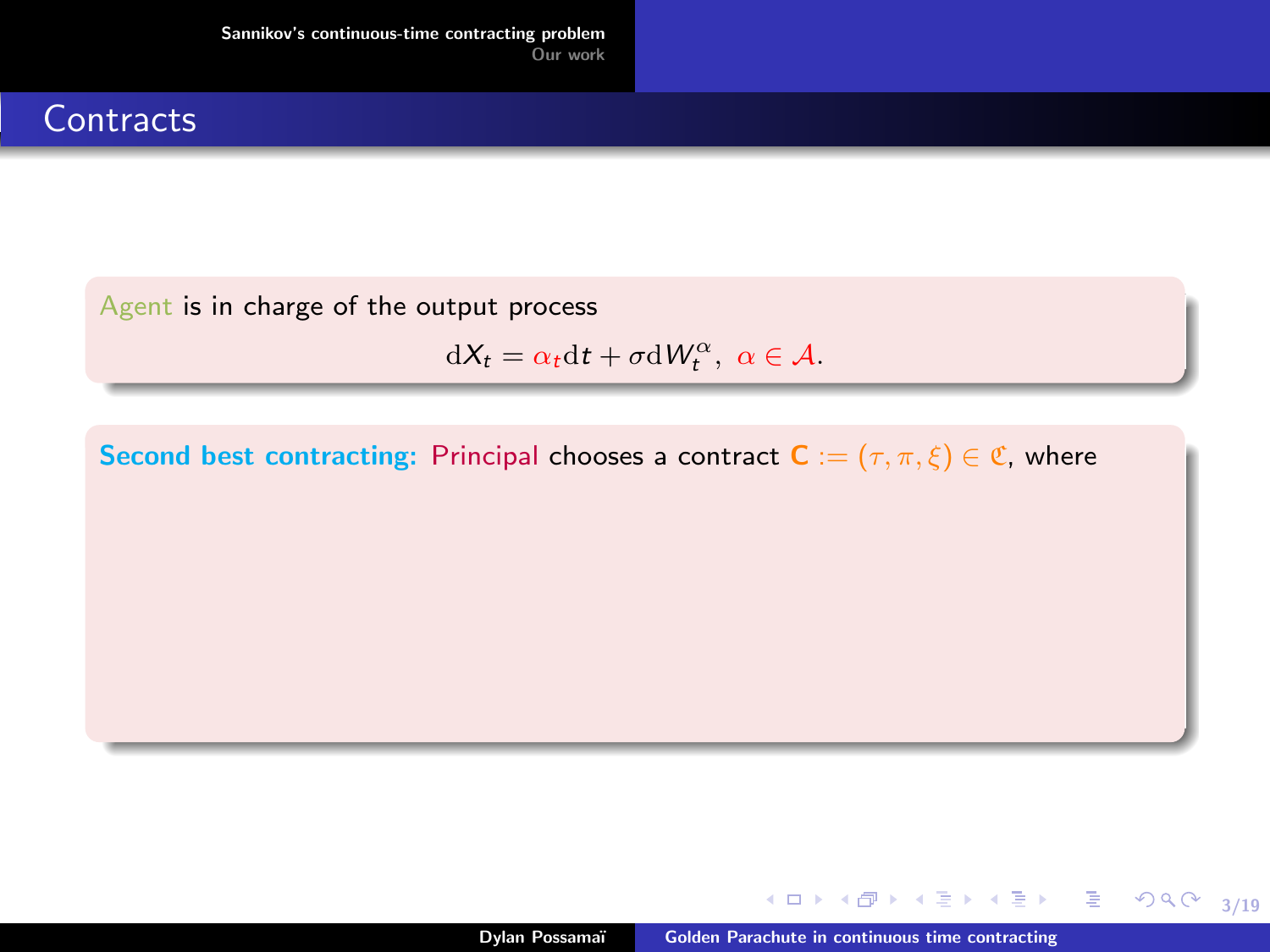#### **Contracts**

Agent is in charge of the output process

 $dX_t = \alpha_t dt + \sigma dW_t^{\alpha}, \ \alpha \in \mathcal{A}.$ 

Second best contracting: Principal chooses a contract  $C := (\tau, \pi, \xi) \in \mathfrak{C}$ , where

メロメ メ御 メメ きょくきょう 君の

3/19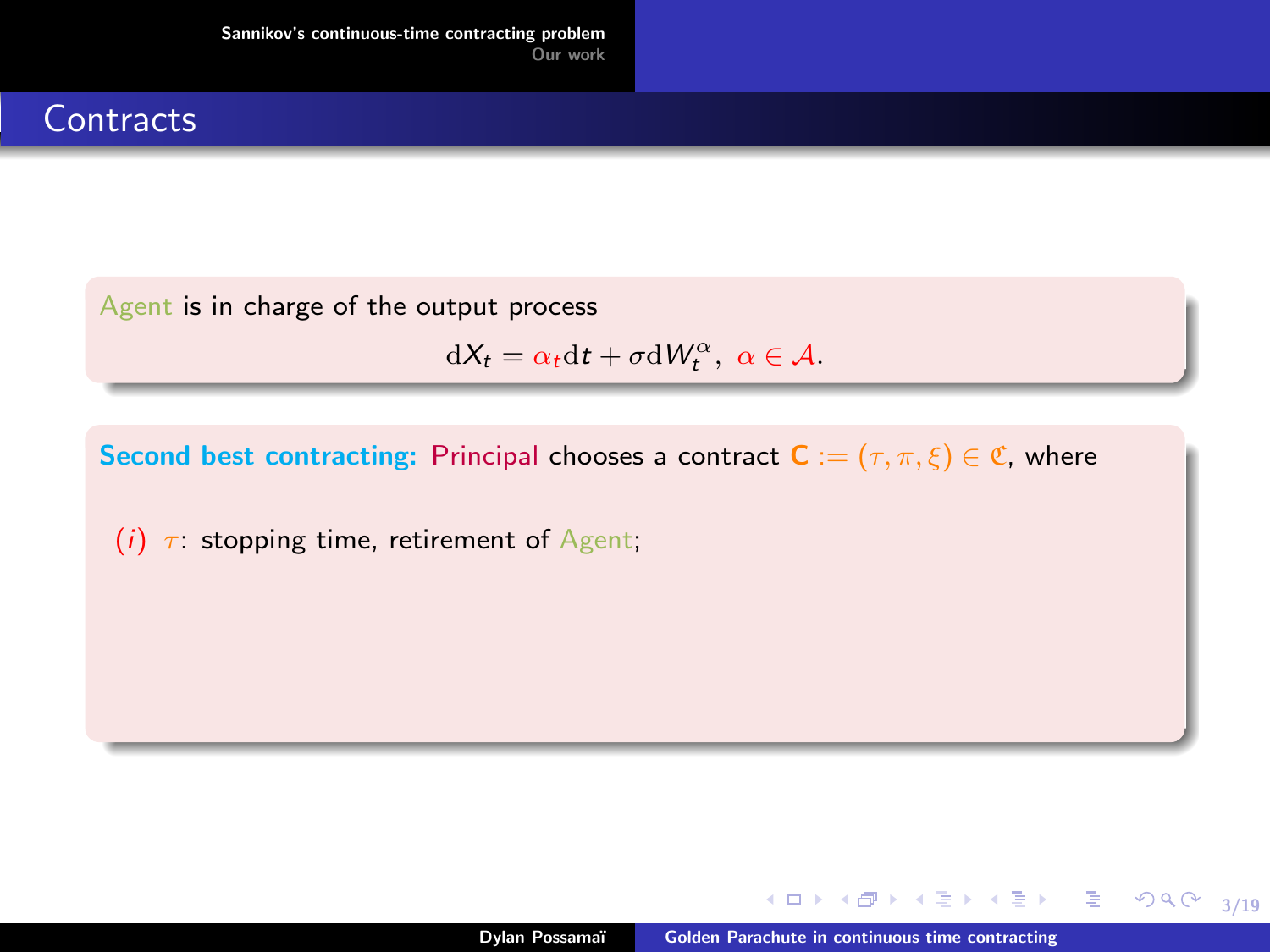### **Contracts**

Agent is in charge of the output process

$$
dX_t = \alpha_t dt + \sigma dW_t^{\alpha}, \ \alpha \in \mathcal{A}.
$$

Second best contracting: Principal chooses a contract  $C := (\tau, \pi, \xi) \in \mathfrak{C}$ , where

(i)  $\tau$ : stopping time, retirement of Agent;

メロメ メ御 メメ きょくきょう 君の

3/19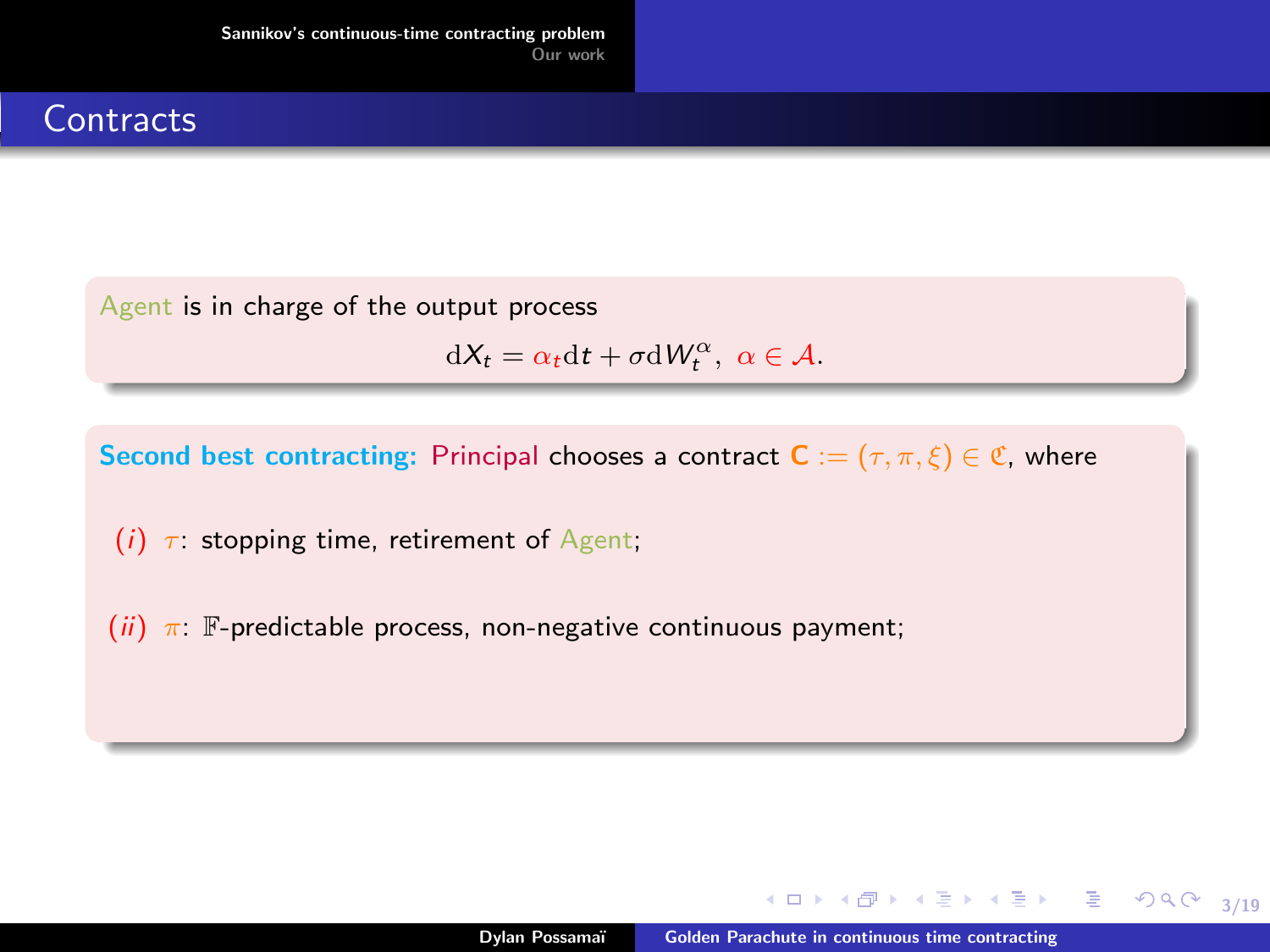### **Contracts**

Agent is in charge of the output process

$$
dX_t = \alpha_t dt + \sigma dW_t^{\alpha}, \ \alpha \in \mathcal{A}.
$$

Second best contracting: Principal chooses a contract  $C := (\tau, \pi, \xi) \in \mathfrak{C}$ , where

- (i)  $\tau$ : stopping time, retirement of Agent;
- (ii)  $\pi$ : F-predictable process, non-negative continuous payment;

メロメ メ御 メメ きょくきょう 君の

3/19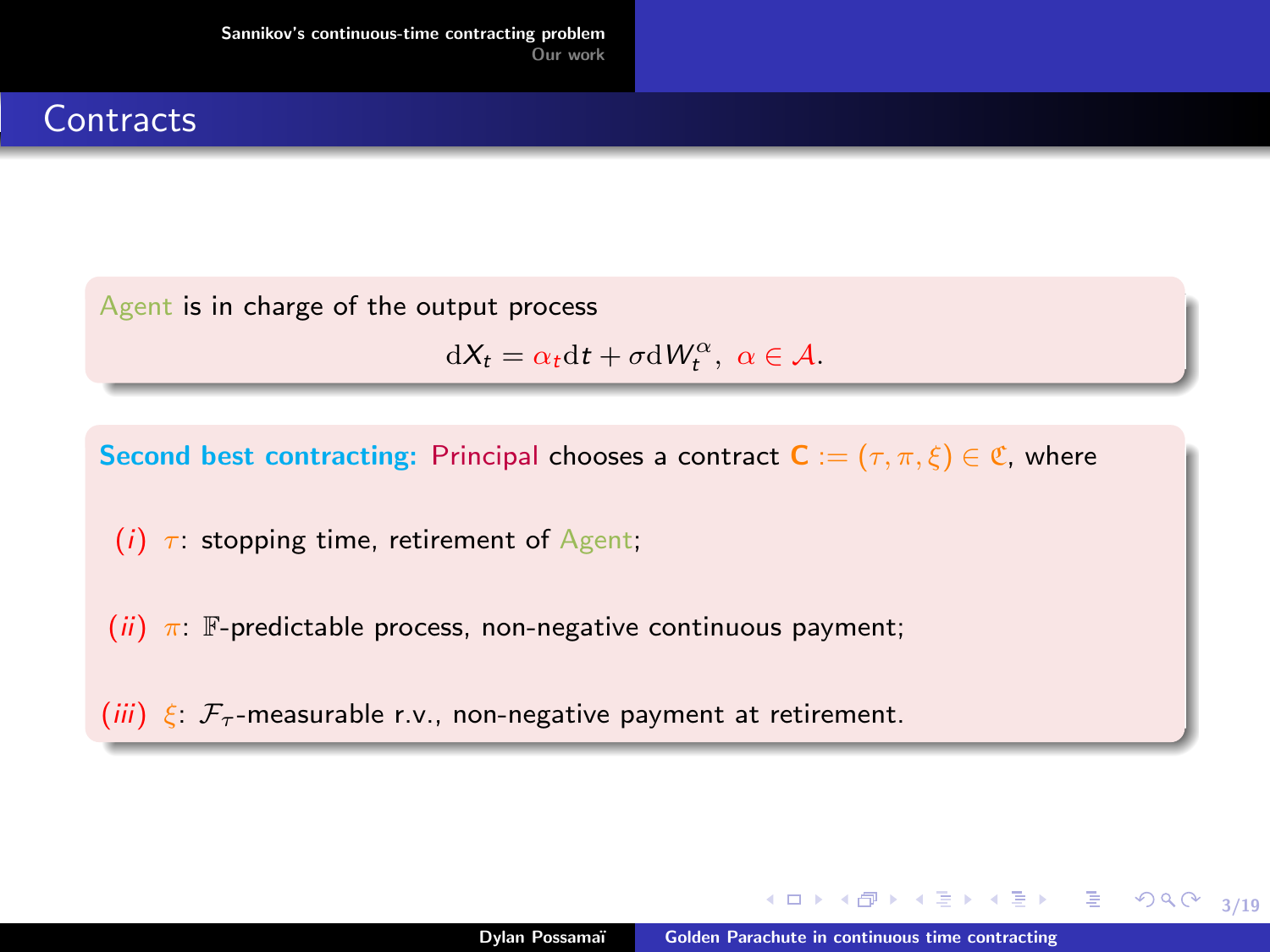### **Contracts**

Agent is in charge of the output process

$$
dX_t = \alpha_t dt + \sigma dW_t^{\alpha}, \ \alpha \in \mathcal{A}.
$$

Second best contracting: Principal chooses a contract  $C := (\tau, \pi, \xi) \in \mathfrak{C}$ , where

- (i)  $\tau$ : stopping time, retirement of Agent;
- (ii)  $\pi$ : F-predictable process, non-negative continuous payment;
- (iii)  $\xi$ :  $\mathcal{F}_{\tau}$ -measurable r.v., non-negative payment at retirement.

メロメ メ御 メメ きょくきょう 君の

3/19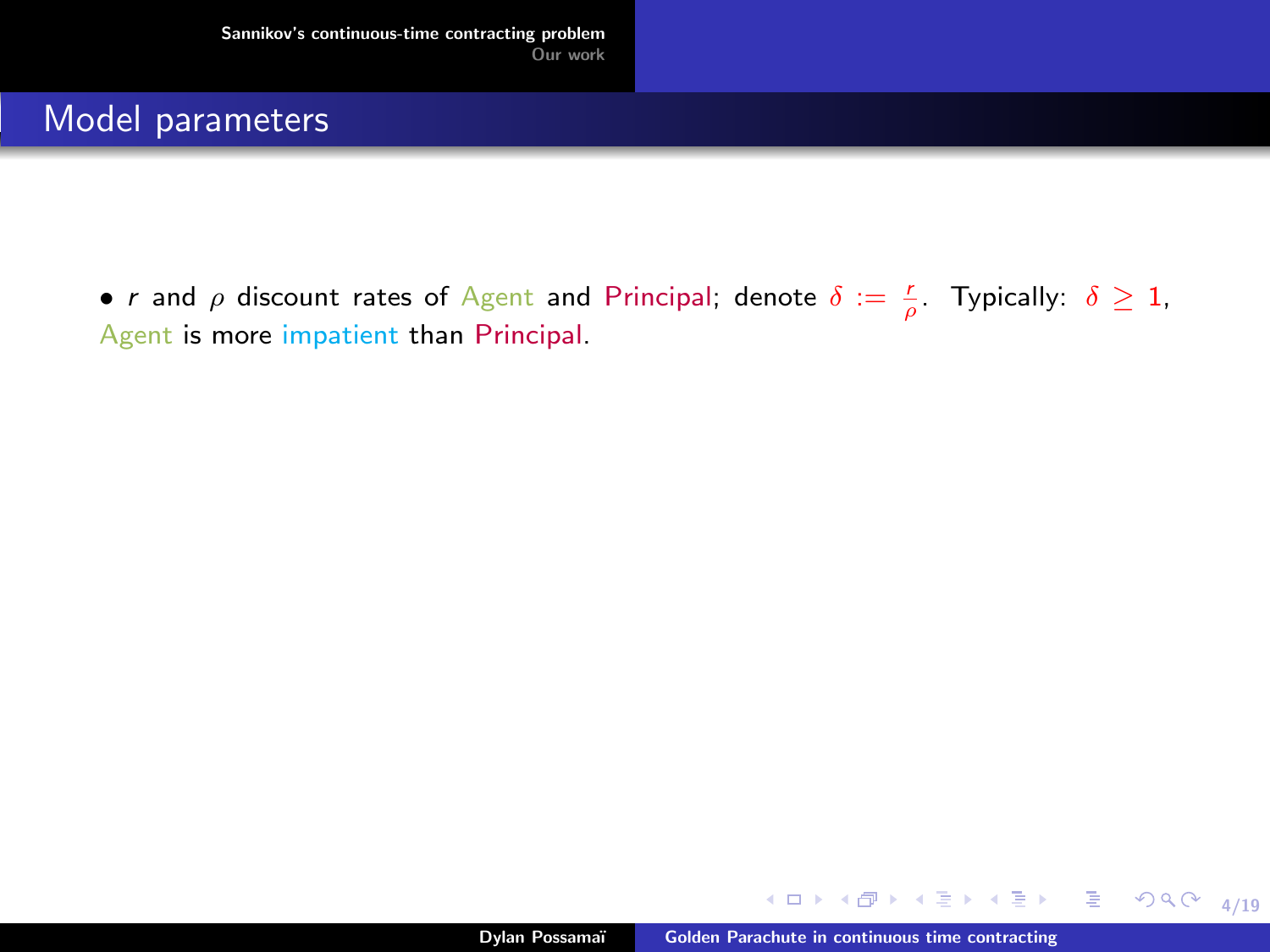• r and  $\rho$  discount rates of Agent and Principal; denote  $\delta := \frac{r}{\rho}$ . Typically:  $\delta \geq 1$ , Agent is more impatient than Principal.

イロト イ押 トイヨ トイヨ トー

4/19

 $\mathcal{P}(\mathcal{A}) \subset \mathcal{P}(\mathcal{A})$ 

■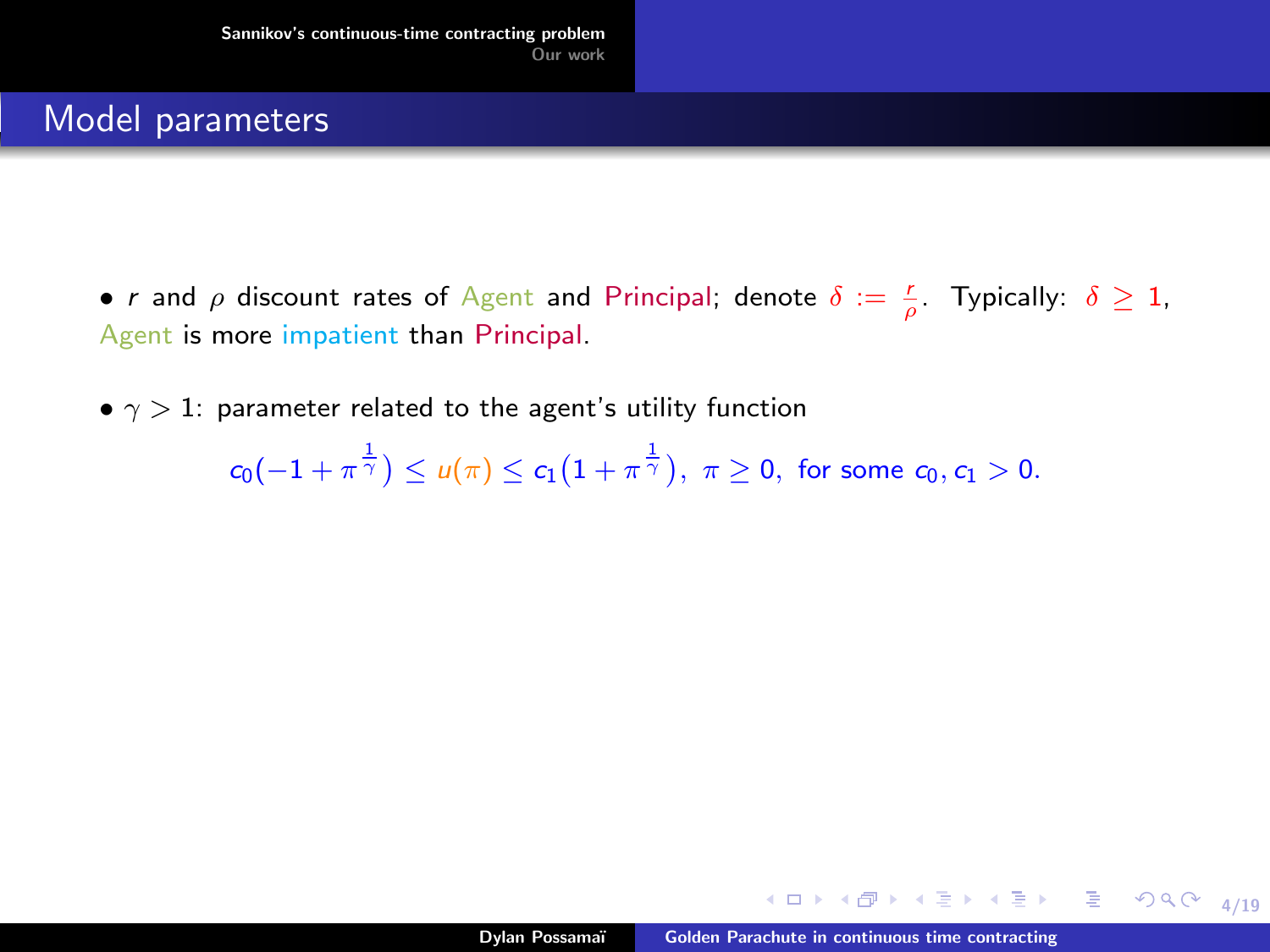• r and  $\rho$  discount rates of Agent and Principal; denote  $\delta := \frac{r}{\rho}$ . Typically:  $\delta \geq 1$ , Agent is more impatient than Principal.

•  $\gamma > 1$ : parameter related to the agent's utility function

 $c_0(-1+\pi^{\frac{1}{\gamma}})\leq u(\pi)\leq c_1\big(1+\pi^{\frac{1}{\gamma}}\big),\,\,\pi\geq 0,\,\,\text{for some}\,\,c_0,c_1>0.$ 

KID KA KE KA E KA E KORO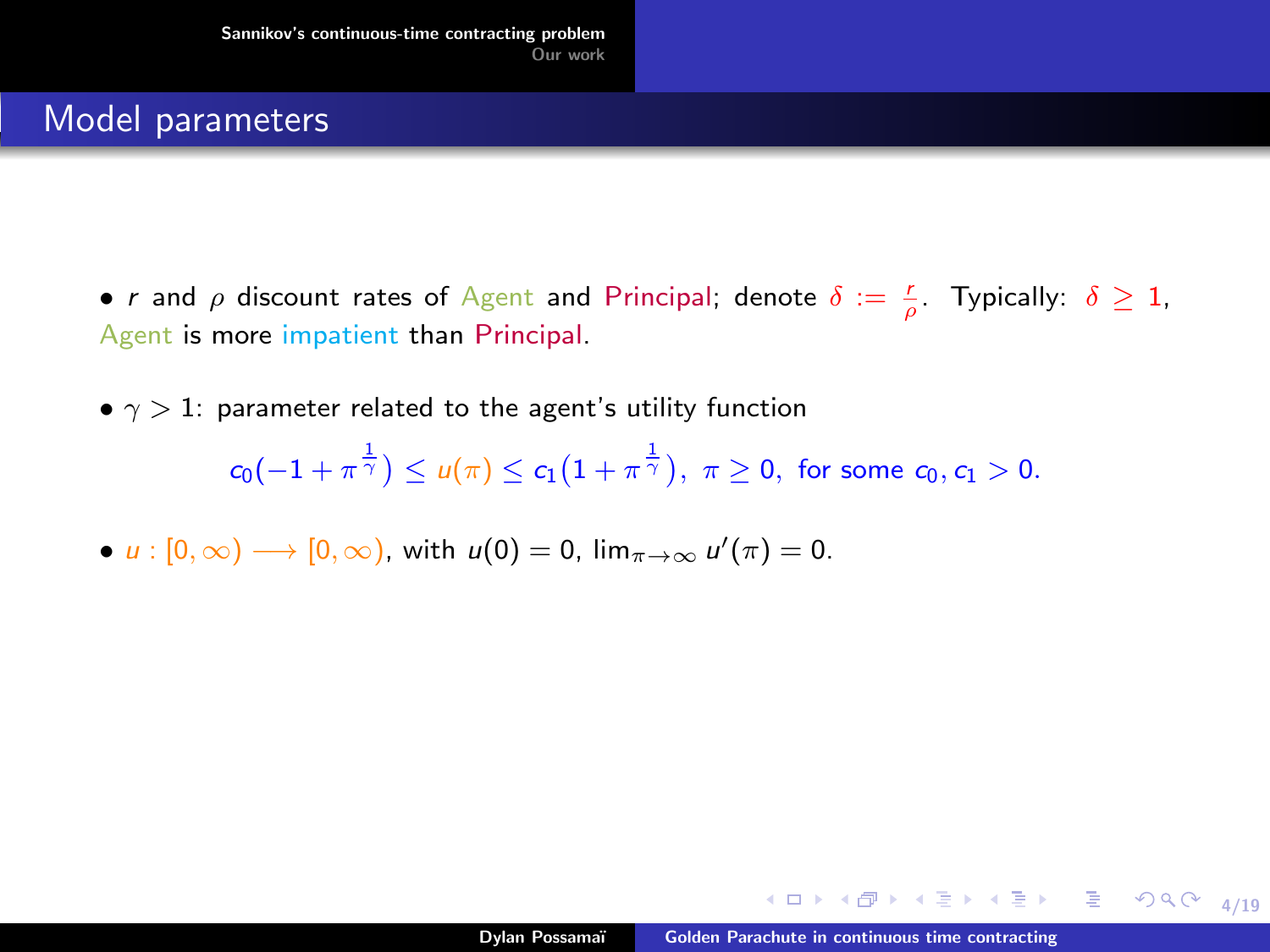- r and  $\rho$  discount rates of Agent and Principal; denote  $\delta := \frac{r}{\rho}$ . Typically:  $\delta \geq 1$ , Agent is more impatient than Principal.
- $\gamma > 1$ : parameter related to the agent's utility function

 $c_0(-1+\pi^{\frac{1}{\gamma}})\leq u(\pi)\leq c_1\big(1+\pi^{\frac{1}{\gamma}}\big),\,\,\pi\geq 0,\,\,\text{for some}\,\,c_0,c_1>0.$ 

•  $u: [0, \infty) \longrightarrow [0, \infty)$ , with  $u(0) = 0$ ,  $\lim_{\pi \to \infty} u'(\pi) = 0$ .

4 ロ → 4 @ → 4 블 → 4 블 → - 툴 → 9 Q O + 4/19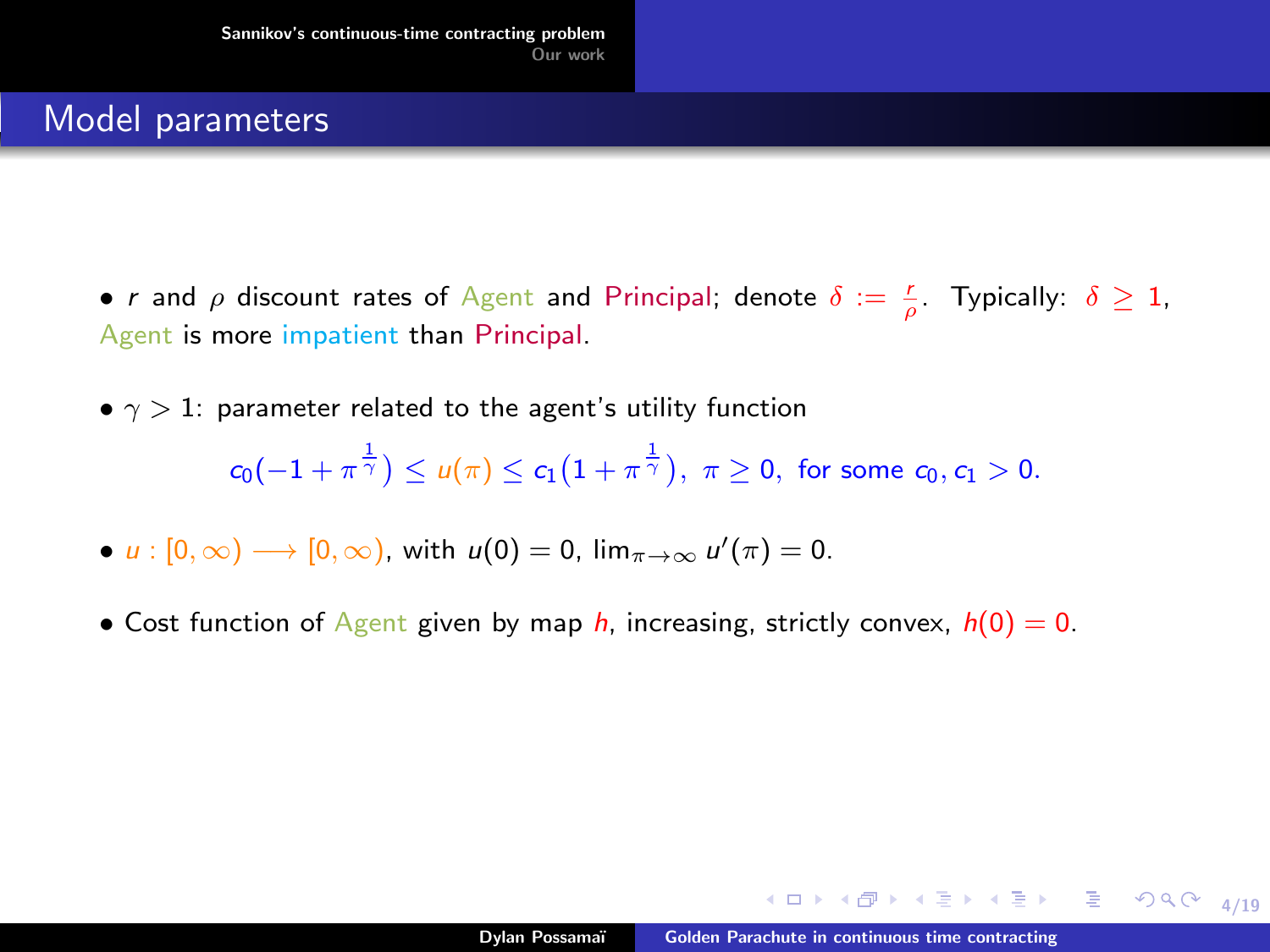- r and  $\rho$  discount rates of Agent and Principal; denote  $\delta := \frac{r}{\rho}$ . Typically:  $\delta \geq 1$ , Agent is more impatient than Principal.
- $\gamma > 1$ : parameter related to the agent's utility function  $c_0(-1+\pi^{\frac{1}{\gamma}})\leq u(\pi)\leq c_1\big(1+\pi^{\frac{1}{\gamma}}\big),\,\,\pi\geq 0,\,\,\text{for some}\,\,c_0,c_1>0.$
- $u: [0, \infty) \longrightarrow [0, \infty)$ , with  $u(0) = 0$ ,  $\lim_{\pi \to \infty} u'(\pi) = 0$ .
- Cost function of Agent given by map  $h$ , increasing, strictly convex,  $h(0) = 0$ .

4 ロ → 4 @ → 4 블 → 4 블 → - 툴 → 9 Q O + 4/19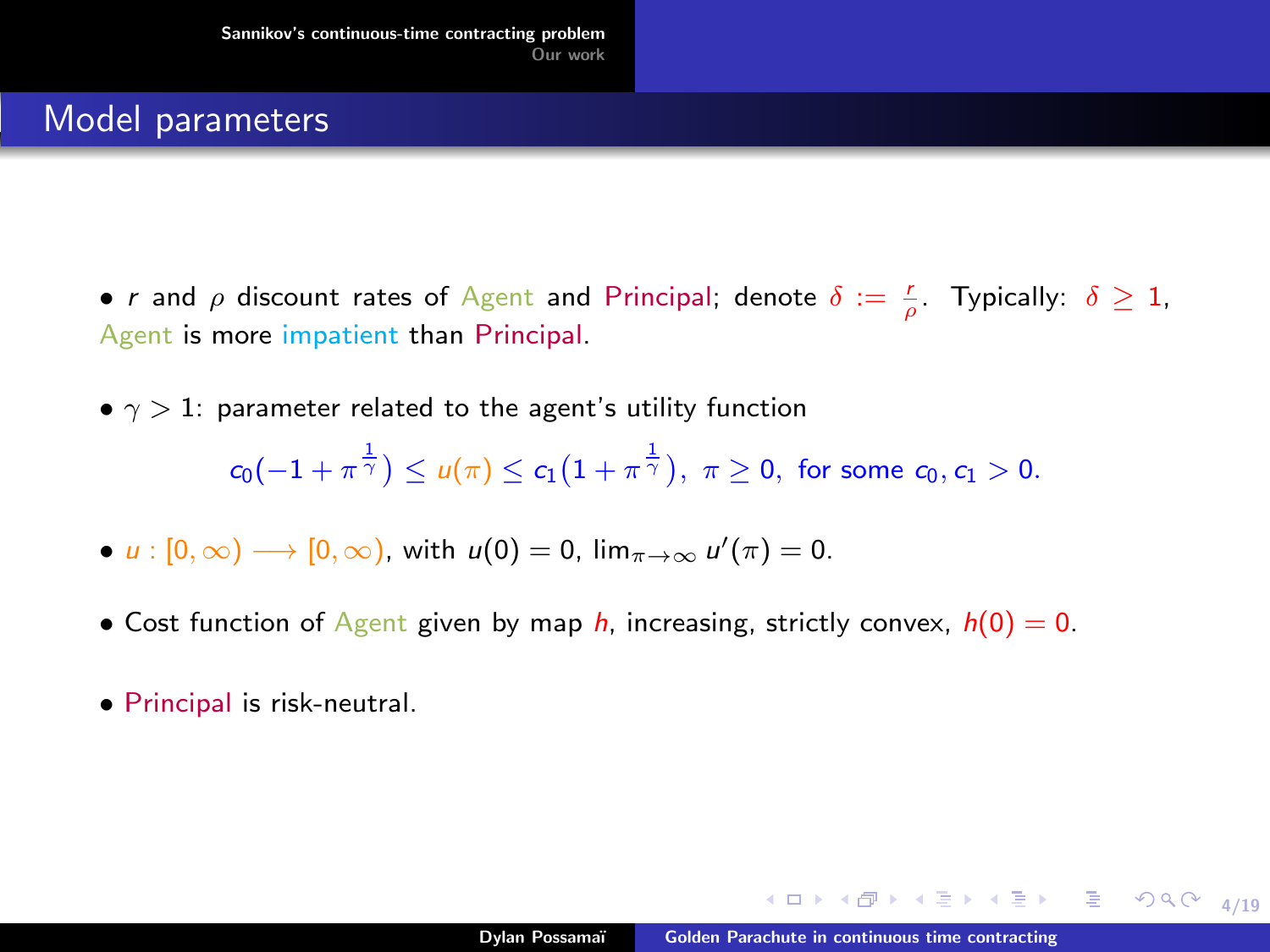- r and  $\rho$  discount rates of Agent and Principal; denote  $\delta := \frac{r}{\rho}$ . Typically:  $\delta \geq 1$ , Agent is more impatient than Principal.
- $\gamma > 1$ : parameter related to the agent's utility function  $c_0(-1+\pi^{\frac{1}{\gamma}})\leq u(\pi)\leq c_1\big(1+\pi^{\frac{1}{\gamma}}\big),\,\,\pi\geq 0,\,\,\text{for some}\,\,c_0,c_1>0.$
- $u: [0, \infty) \longrightarrow [0, \infty)$ , with  $u(0) = 0$ ,  $\lim_{\pi \to \infty} u'(\pi) = 0$ .
- Cost function of Agent given by map h, increasing, strictly convex,  $h(0) = 0$ .
- Principal is risk-neutral.

4 ロ → 4 @ → 4 블 → 4 블 → - 툴 → 9 Q O + 4/19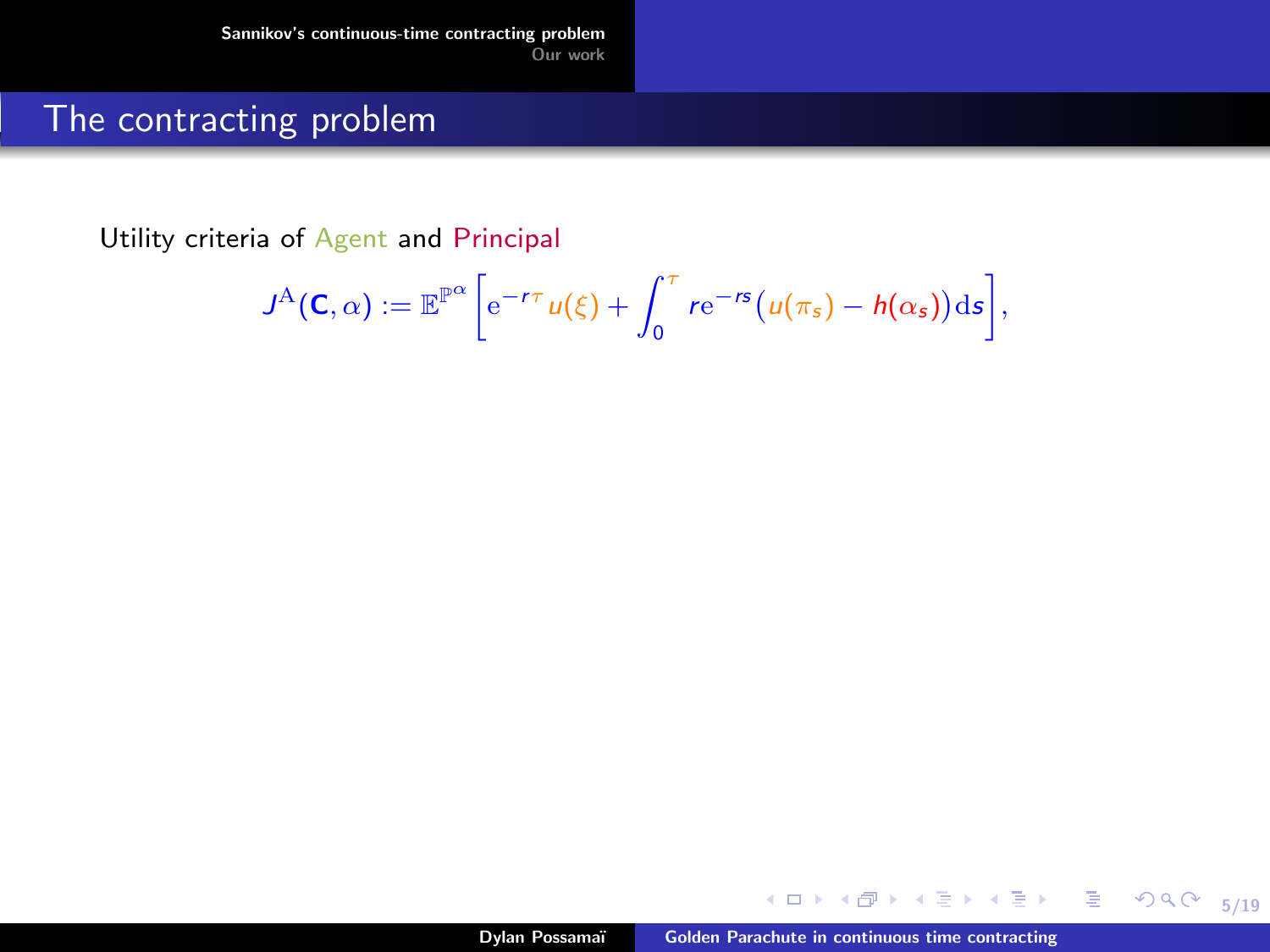### The contracting problem

Utility criteria of Agent and Principal

$$
J^{\mathcal{A}}(\mathbf{C},\alpha) := \mathbb{E}^{\mathbb{P}^{\alpha}} \bigg[ e^{-r\tau} u(\xi) + \int_0^{\tau} r e^{-rs} \big( u(\pi_s) - h(\alpha_s) \big) \mathrm{d} s \bigg],
$$

4. 0. 3.

同

- 4  $\sim$ 14 5/19

 $299$ 

重

ヨメ メヨメ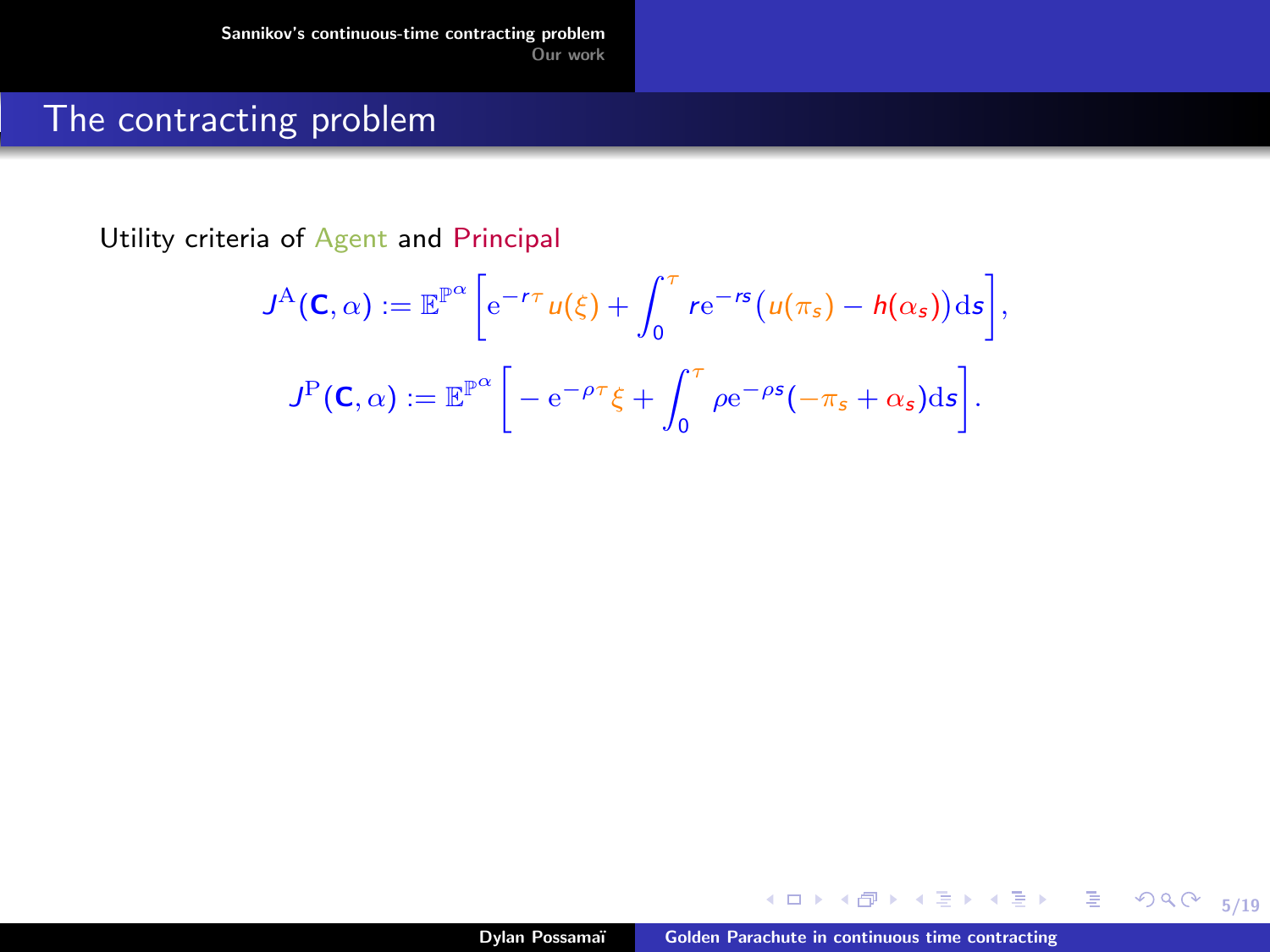### The contracting problem

Utility criteria of Agent and Principal

$$
J^{\mathsf{A}}(\mathbf{C}, \alpha) := \mathbb{E}^{\mathbb{P}^{\alpha}} \bigg[ e^{-r\tau} u(\xi) + \int_0^{\tau} r e^{-rs} (u(\pi_s) - h(\alpha_s)) \mathrm{d}s \bigg],
$$
  

$$
J^{\mathsf{P}}(\mathbf{C}, \alpha) := \mathbb{E}^{\mathbb{P}^{\alpha}} \bigg[ -e^{-\rho\tau} \xi + \int_0^{\tau} \rho e^{-\rho s} (-\pi_s + \alpha_s) \mathrm{d}s \bigg].
$$

4. 0. 3.

同

- 4  $\sim$ 14 5/19

 $299$ 

重

ヨメ メヨメ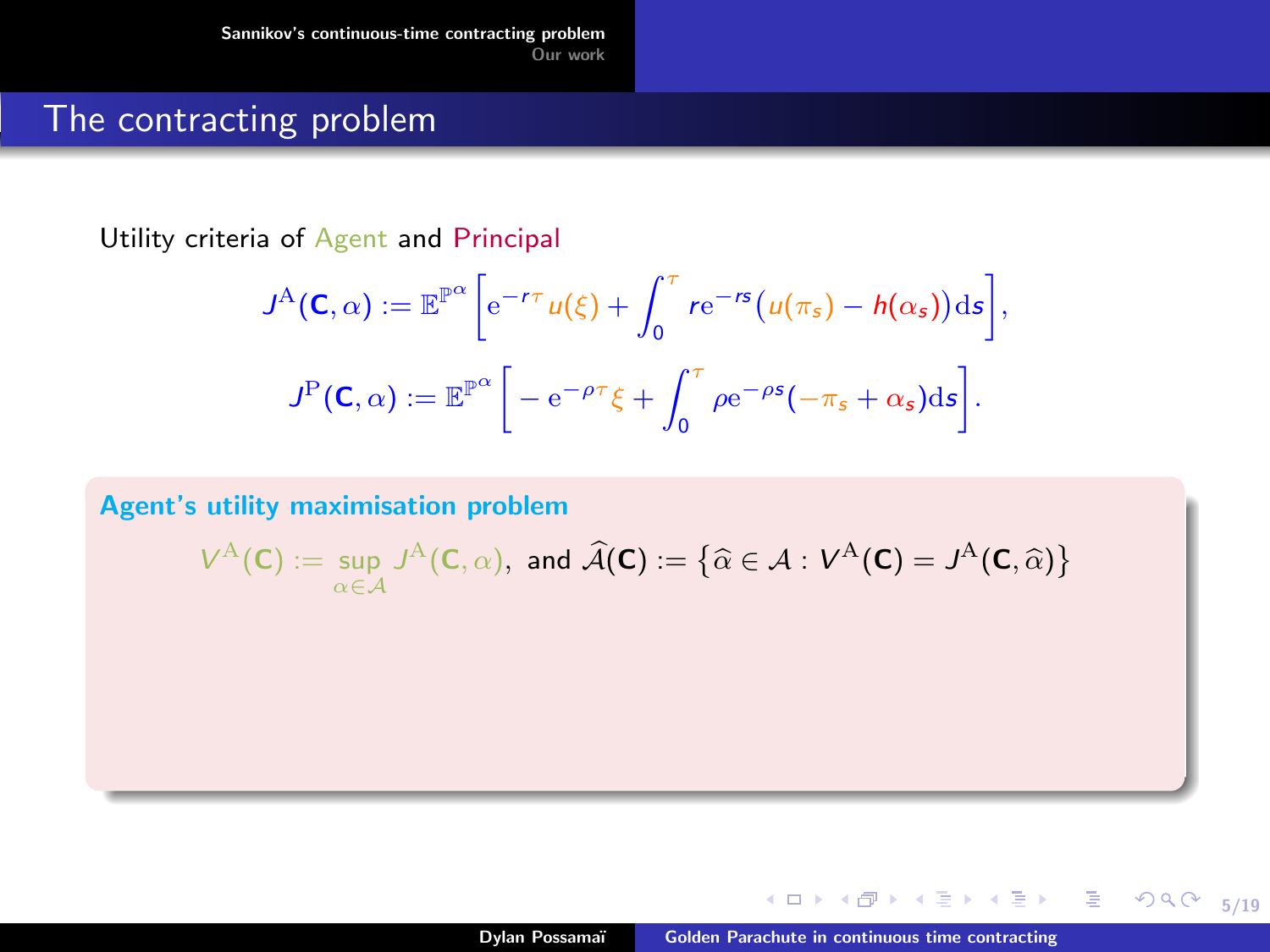### The contracting problem

Utility criteria of Agent and Principal

$$
J^{\mathsf{A}}(\mathbf{C}, \alpha) := \mathbb{E}^{\mathbb{P}^{\alpha}} \bigg[ e^{-r\tau} u(\xi) + \int_0^{\tau} r e^{-rs} (u(\pi_s) - h(\alpha_s)) \mathrm{d}s \bigg],
$$
  

$$
J^{\mathsf{P}}(\mathbf{C}, \alpha) := \mathbb{E}^{\mathbb{P}^{\alpha}} \bigg[ -e^{-\rho\tau} \xi + \int_0^{\tau} \rho e^{-\rho s} (-\pi_s + \alpha_s) \mathrm{d}s \bigg].
$$

Agent's utility maximisation problem

$$
V^{\mathcal{A}}(\mathsf{C}):=\sup_{\alpha\in\mathcal{A}}J^{\mathcal{A}}(\mathsf{C},\alpha),\,\,\text{and}\,\,\widehat{\mathcal{A}}(\mathsf{C}):=\left\{\widehat{\alpha}\in\mathcal{A}:\,V^{\mathcal{A}}(\mathsf{C})=J^{\mathcal{A}}(\mathsf{C},\widehat{\alpha})\right\}
$$

5/19

 $299$ 

重

ヨメ メヨメ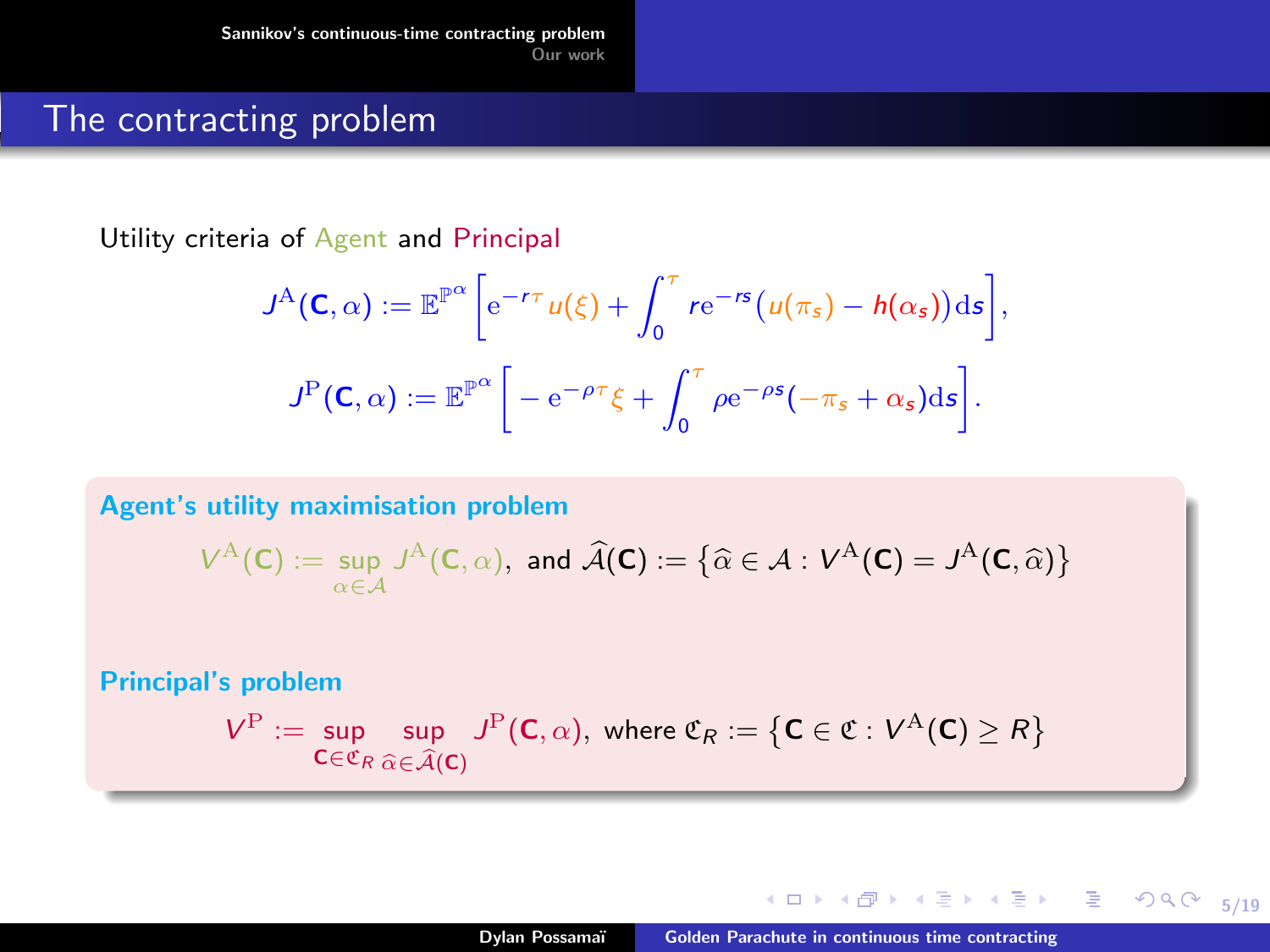### The contracting problem

Utility criteria of Agent and Principal

$$
J^{\mathsf{A}}(\mathbf{C}, \alpha) := \mathbb{E}^{\mathbb{P}^{\alpha}} \bigg[ e^{-r\tau} u(\xi) + \int_0^{\tau} r e^{-rs} (u(\pi_s) - h(\alpha_s)) \mathrm{d}s \bigg],
$$
  

$$
J^{\mathsf{P}}(\mathbf{C}, \alpha) := \mathbb{E}^{\mathbb{P}^{\alpha}} \bigg[ -e^{-\rho\tau} \xi + \int_0^{\tau} \rho e^{-\rho s} (-\pi_s + \alpha_s) \mathrm{d}s \bigg].
$$

Agent's utility maximisation problem

$$
V^{\mathcal{A}}(\mathbf{C}):=\sup_{\alpha\in\mathcal{A}}J^{\mathcal{A}}(\mathbf{C},\alpha),\,\,\text{and}\,\,\widehat{\mathcal{A}}(\mathbf{C}):=\left\{\widehat{\alpha}\in\mathcal{A}:\,V^{\mathcal{A}}(\mathbf{C})=J^{\mathcal{A}}(\mathbf{C},\widehat{\alpha})\right\}
$$

Principal's problem

$$
V^{\mathrm{P}} := \sup_{\mathbf{C} \in \mathfrak{C}_R} \sup_{\widehat{\alpha} \in \widehat{\mathcal{A}}(\mathbf{C})} J^{\mathrm{P}}(\mathbf{C}, \alpha), \text{ where } \mathfrak{C}_R := \left\{ \mathbf{C} \in \mathfrak{C} : V^{\mathrm{A}}(\mathbf{C}) \ge R \right\}
$$

4 0 8 4

**State** 

5/19

重

 $298$ 

→ 君 → → 君 →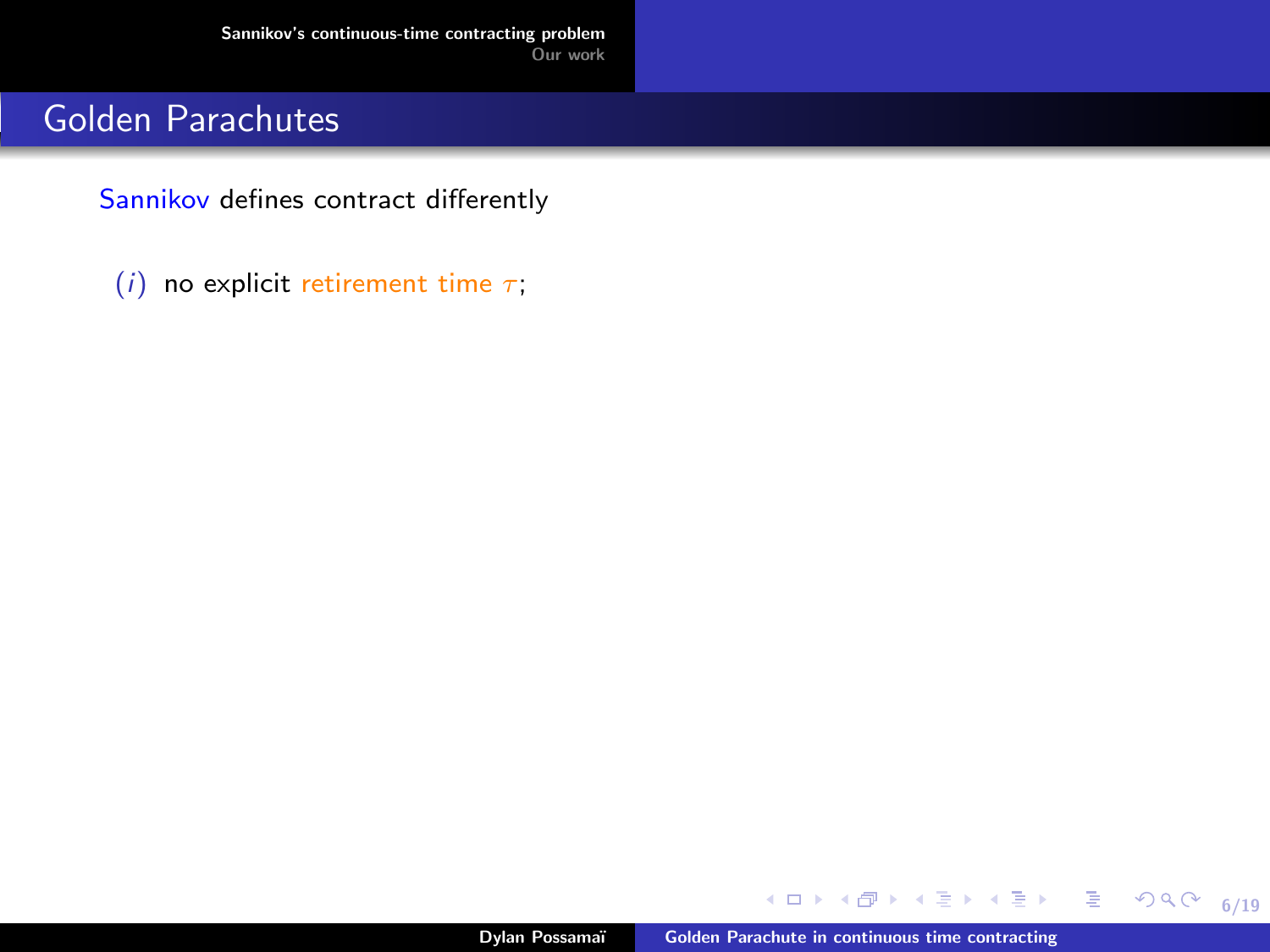Sannikov defines contract differently

(i) no explicit retirement time  $\tau$ ;

4 0 8 4 向

**State** 

6/19

■  $\Omega$ 

化重氮化重氮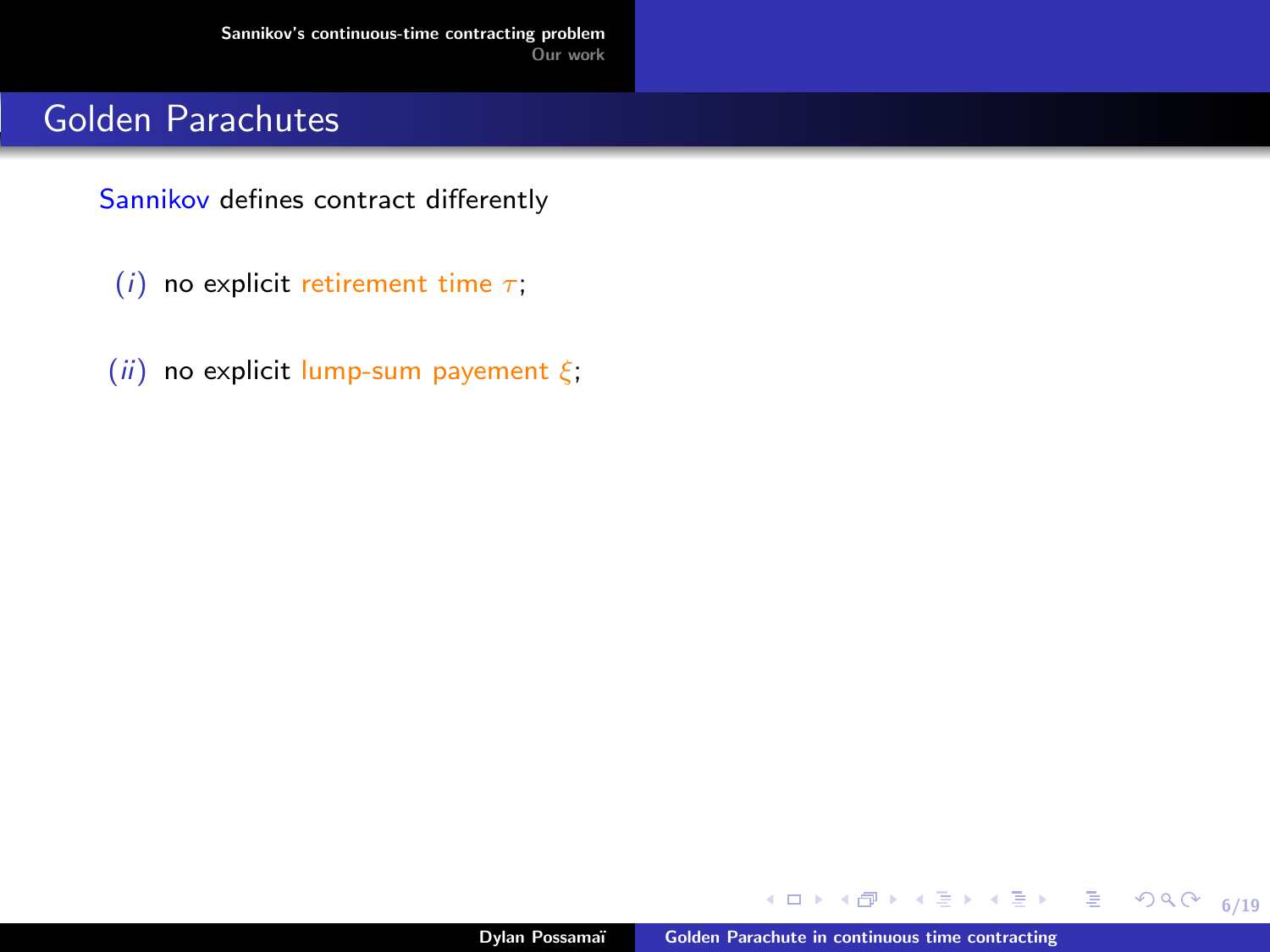Sannikov defines contract differently

- (i) no explicit retirement time  $\tau$ ;
- (ii) no explicit lump-sum payement  $\xi$ ;

向  $\sim$  $\prec$  6/19

重

ほう メヨシ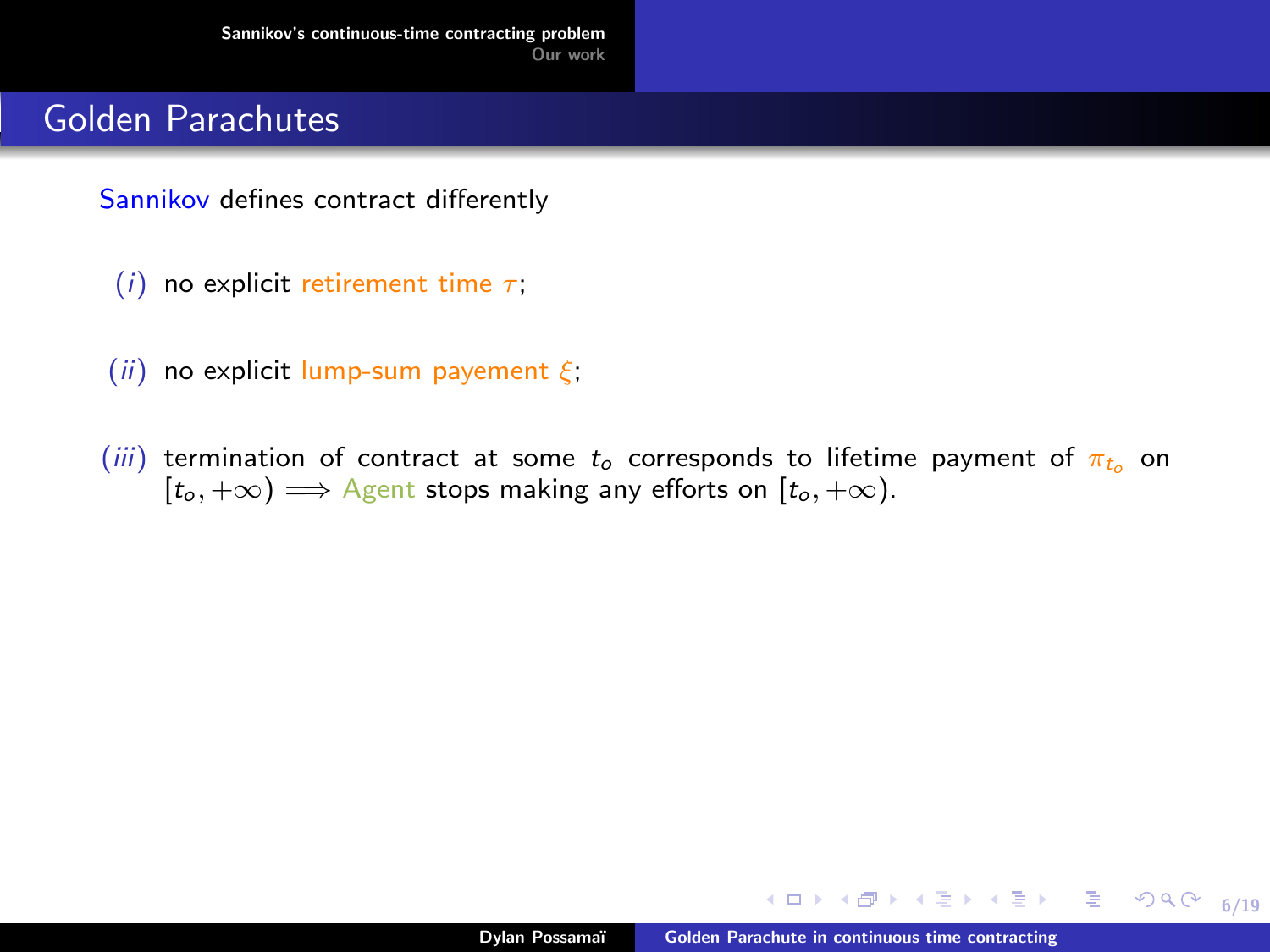Sannikov defines contract differently

- (i) no explicit retirement time  $\tau$ ;
- (ii) no explicit lump-sum payement  $\xi$ ;
- (iii) termination of contract at some  $t_0$  corresponds to lifetime payment of  $\pi_{t_0}$  on  $[t_0, +\infty) \Longrightarrow$  Agent stops making any efforts on  $[t_0, +\infty)$ .

**◆ ロ ▶ → 何** 

医阿里氏阿里氏

6/19

 $299$ 

造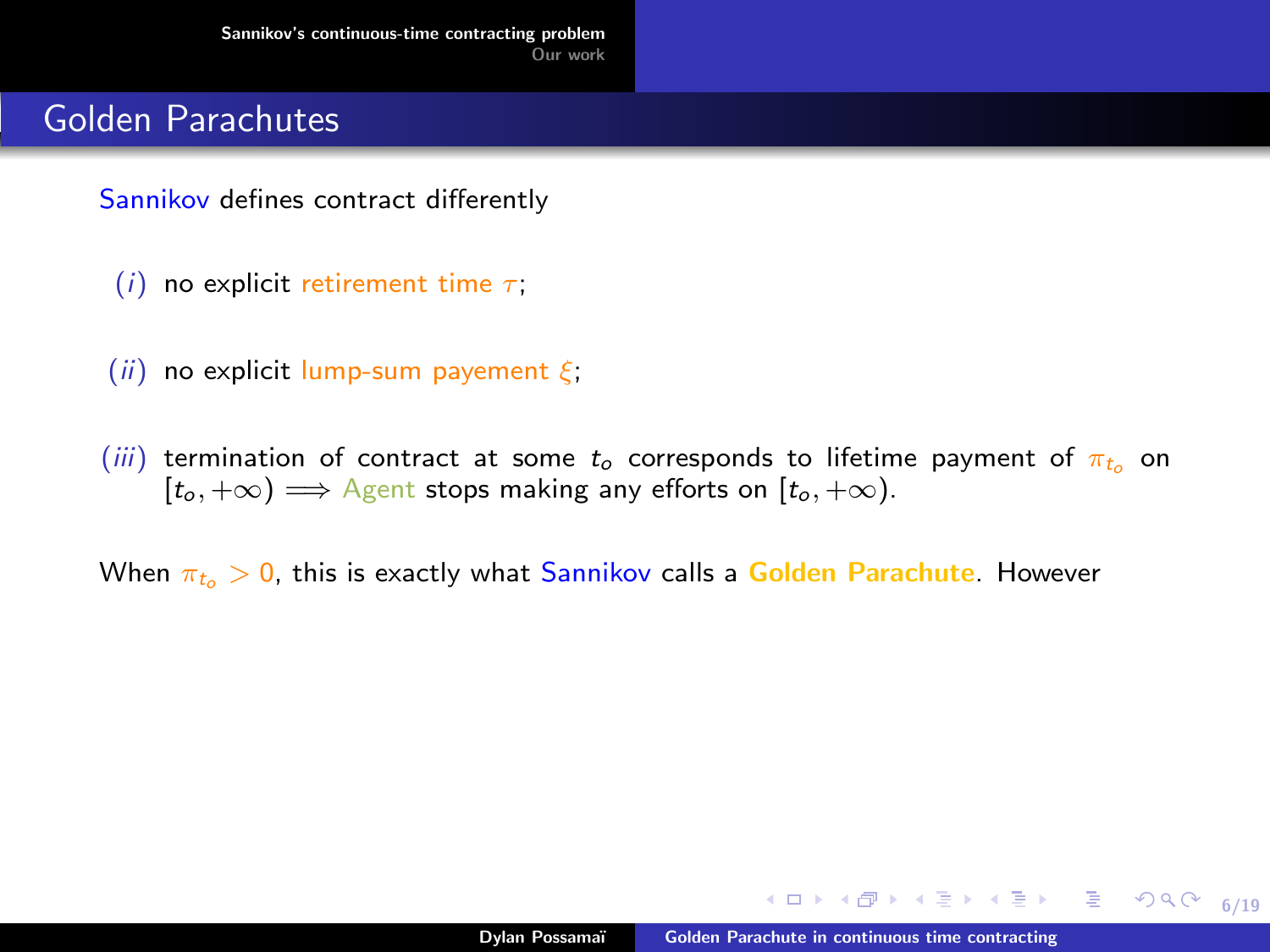Sannikov defines contract differently

- (i) no explicit retirement time  $\tau$ ;
- (ii) no explicit lump-sum payement  $\xi$ ;
- (iii) termination of contract at some  $t_0$  corresponds to lifetime payment of  $\pi_{t_0}$  on  $[t_0, +\infty) \Longrightarrow$  Agent stops making any efforts on  $[t_0, +\infty)$ .

When  $\pi_{t_0} > 0$ , this is exactly what Sannikov calls a Golden Parachute. However

∢ロ ▶ ∢何 ▶ ∢ ヨ ▶ ∢ ヨ ▶

6/19

目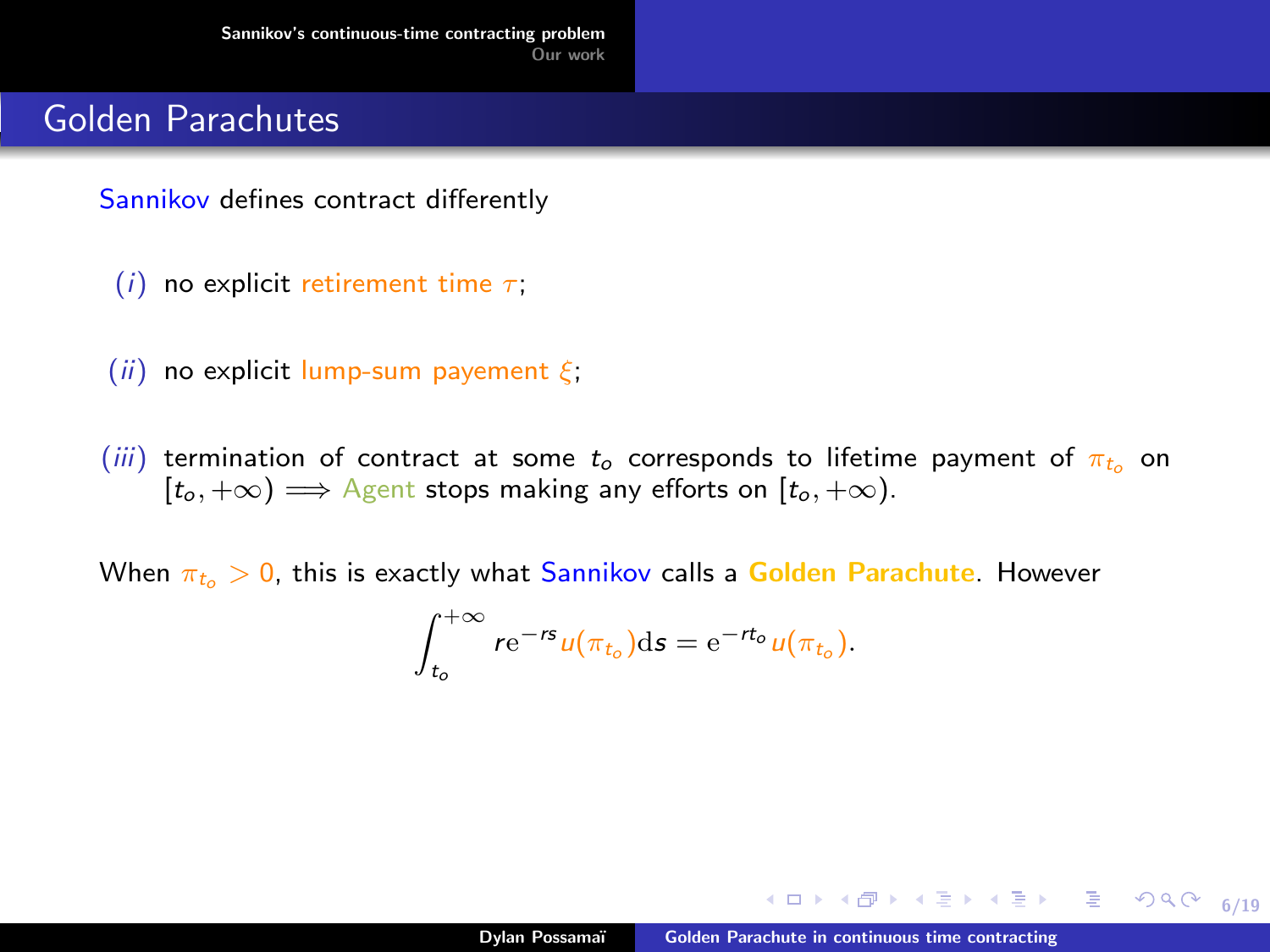Sannikov defines contract differently

- (i) no explicit retirement time  $\tau$ ;
- (ii) no explicit lump-sum payement  $\xi$ ;
- (iii) termination of contract at some  $t_0$  corresponds to lifetime payment of  $\pi_{t_0}$  on  $[t_0, +\infty) \Longrightarrow$  Agent stops making any efforts on  $[t_0, +\infty)$ .

When  $\pi_{t_0} > 0$ , this is exactly what Sannikov calls a Golden Parachute. However

$$
\int_{t_o}^{+\infty} r e^{-rs} u(\pi_{t_o}) ds = e^{-rt_o} u(\pi_{t_o}).
$$

∢ロ ▶ ∢何 ▶ ∢ ヨ ▶ ∢ ヨ ▶

6/19

目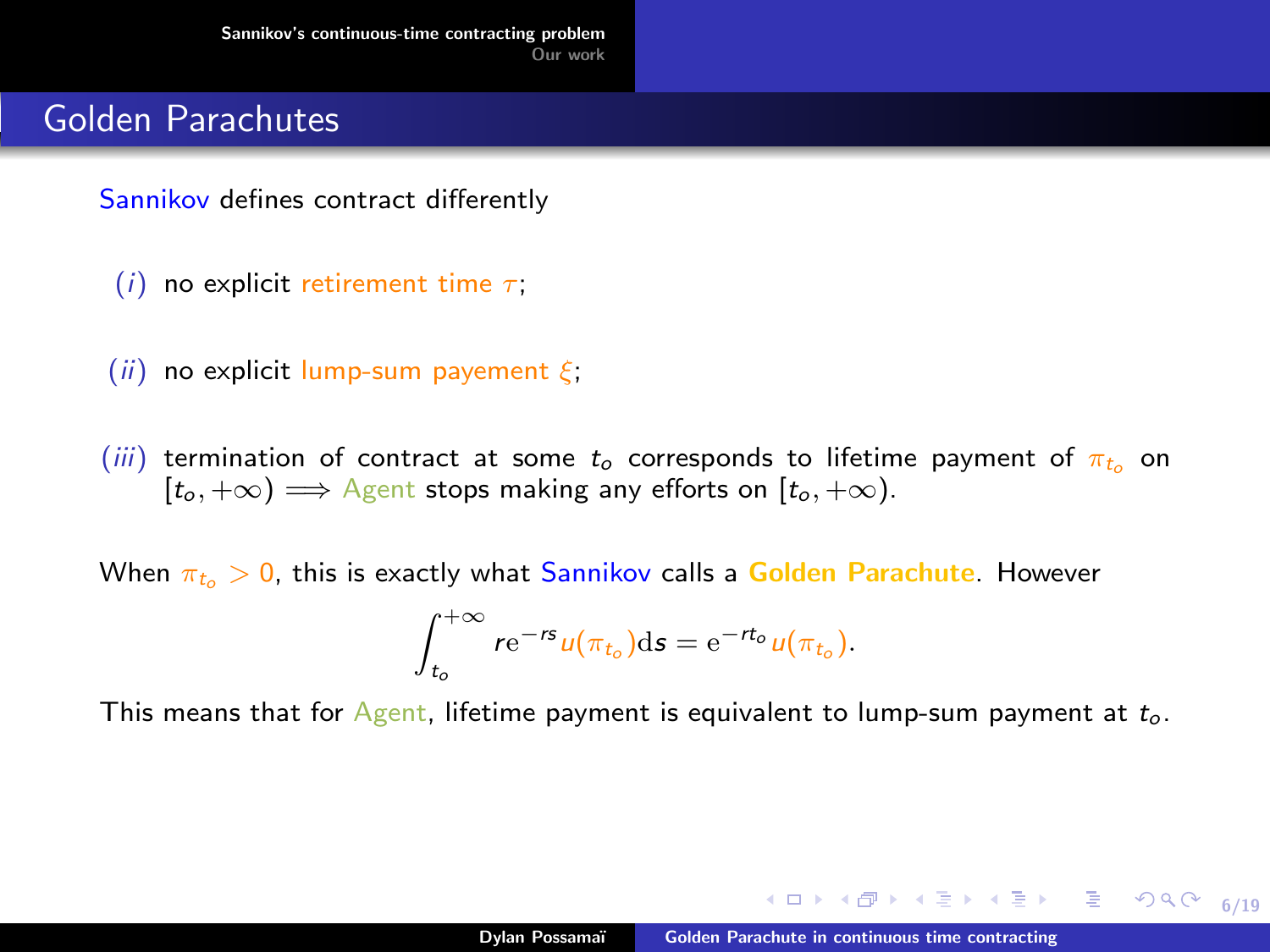Sannikov defines contract differently

- (i) no explicit retirement time  $\tau$ ;
- (ii) no explicit lump-sum payement  $\xi$ ;
- (iii) termination of contract at some  $t_0$  corresponds to lifetime payment of  $\pi_{t_0}$  on  $[t_0, +\infty) \Longrightarrow$  Agent stops making any efforts on  $[t_0, +\infty)$ .

When  $\pi_{t_0} > 0$ , this is exactly what Sannikov calls a Golden Parachute. However

$$
\int_{t_o}^{+\infty} r e^{-rs} u(\pi_{t_o}) ds = e^{-rt_o} u(\pi_{t_o}).
$$

This means that for  $A$ gent, lifetime payment is equivalent to lump-sum payment at  $t_o$ .

 $\mathcal{A} \subseteq \mathcal{F} \times \{ \bigoplus \mathcal{F} \times \{ \bigoplus \mathcal{F} \times \{ \bigoplus \mathcal{F} \} \}$ 

6/19

 $299$ 

目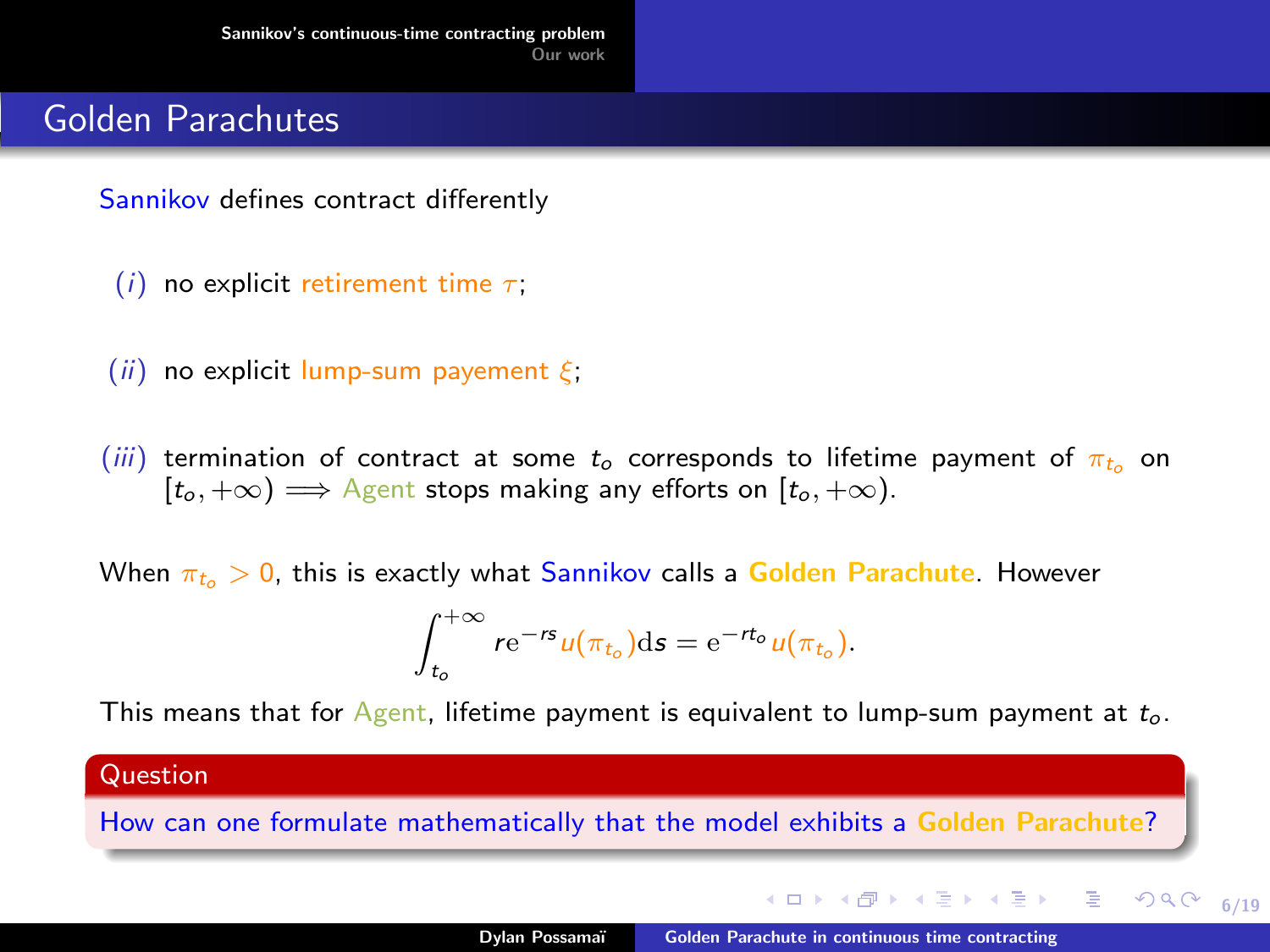Sannikov defines contract differently

- (i) no explicit retirement time  $\tau$ ;
- (ii) no explicit lump-sum payement  $\xi$ ;
- (iii) termination of contract at some  $t_0$  corresponds to lifetime payment of  $\pi_{t_0}$  on  $[t_0, +\infty) \Longrightarrow$  Agent stops making any efforts on  $[t_0, +\infty)$ .

When  $\pi_{t_0} > 0$ , this is exactly what Sannikov calls a Golden Parachute. However

$$
\int_{t_o}^{+\infty} r e^{-rs} u(\pi_{t_o}) ds = e^{-rt_o} u(\pi_{t_o}).
$$

This means that for  $\Delta g$ ent, lifetime payment is equivalent to lump-sum payment at  $t_o$ .

#### Question

How can one formulate mathematically that the model exhibits a Golden Parachute?

←ロト ←何ト ←ヨト ←ヨト

6/19

 $299$ 

重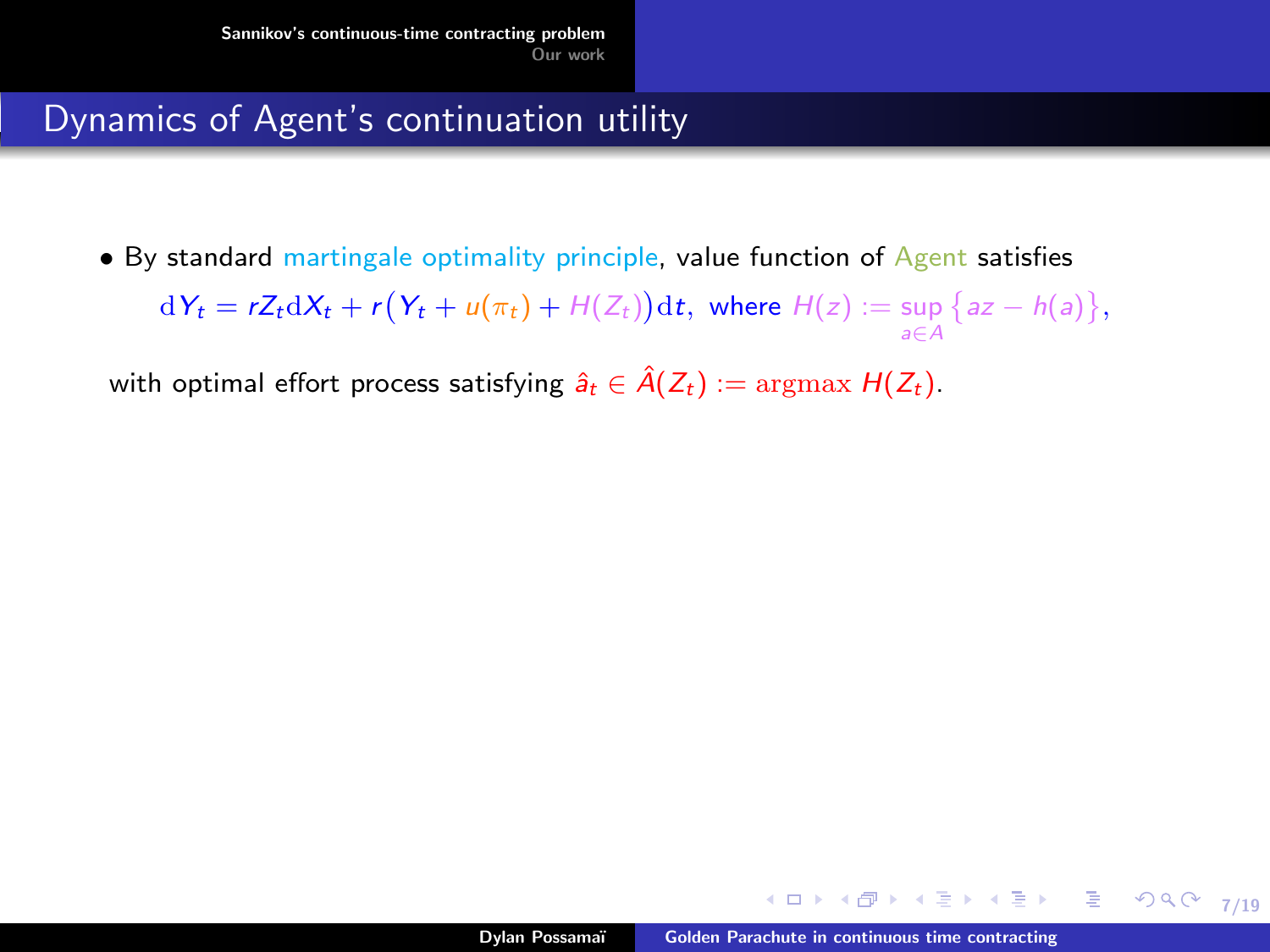• By standard martingale optimality principle, value function of Agent satisfies  $dY_t = rZ_t dX_t + r(Y_t + u(\pi_t) + H(Z_t))dt$ , where  $H(z) := \sup \{az - h(a)\},$ a∈A

with optimal effort process satisfying  $\hat{a}_t \in \hat{A}(Z_t) := \text{argmax } H(Z_t)$ .

メロメ オ何 メメミメ オミメー

7/19

 $299$ 

目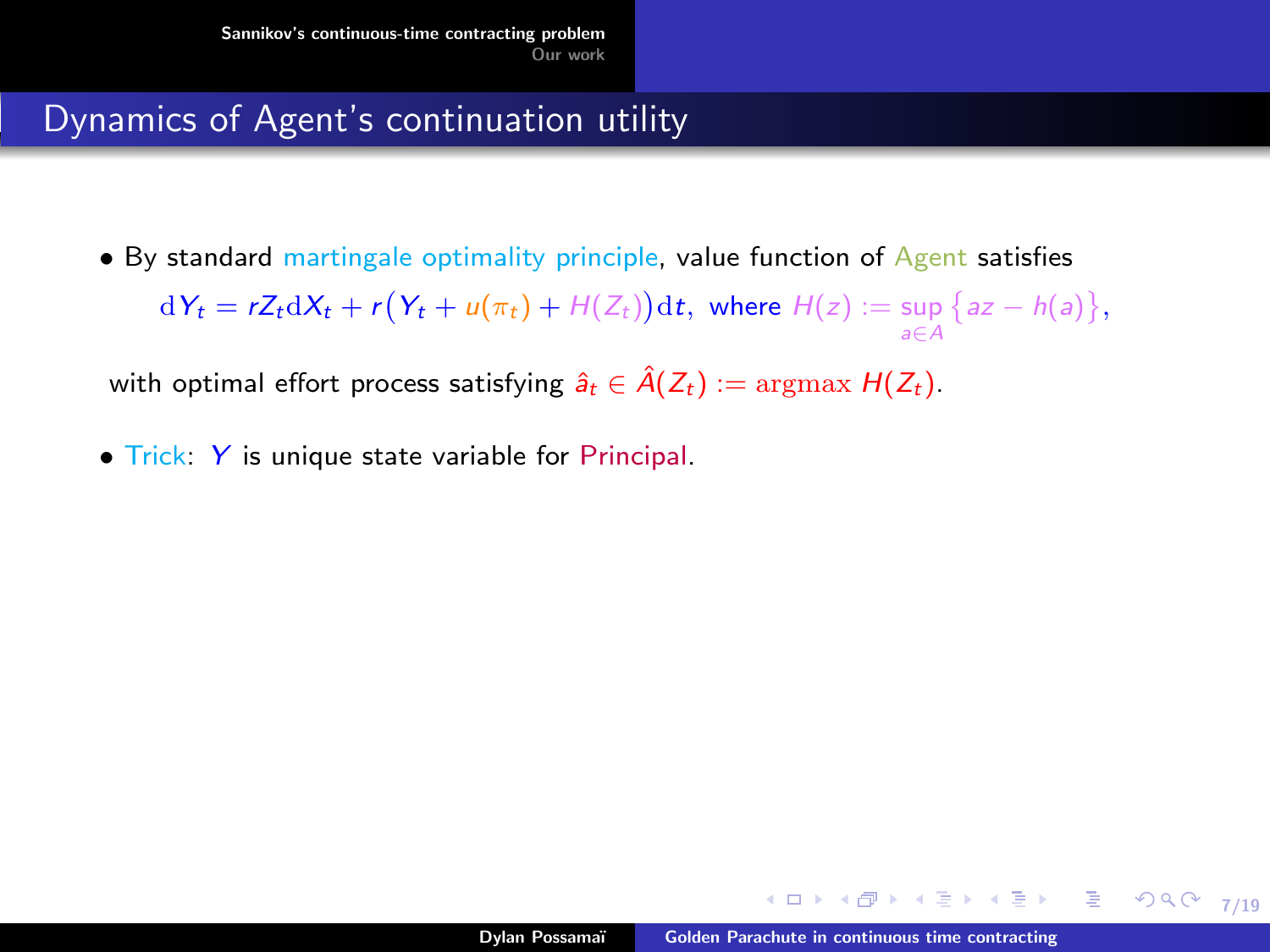• By standard martingale optimality principle, value function of Agent satisfies  $dY_t = rZ_t dX_t + r(Y_t + u(\pi_t) + H(Z_t))dt$ , where  $H(z) := \sup \{az - h(a)\},$ a∈A

with optimal effort process satisfying  $\hat{a}_t \in \hat{A}(Z_t) := \text{argmax } H(Z_t)$ .

• Trick: Y is unique state variable for Principal.

∢ ロ ▶ ( 何 ) ( ミ ) ( ミ ) (

7/19

 $299$ 

目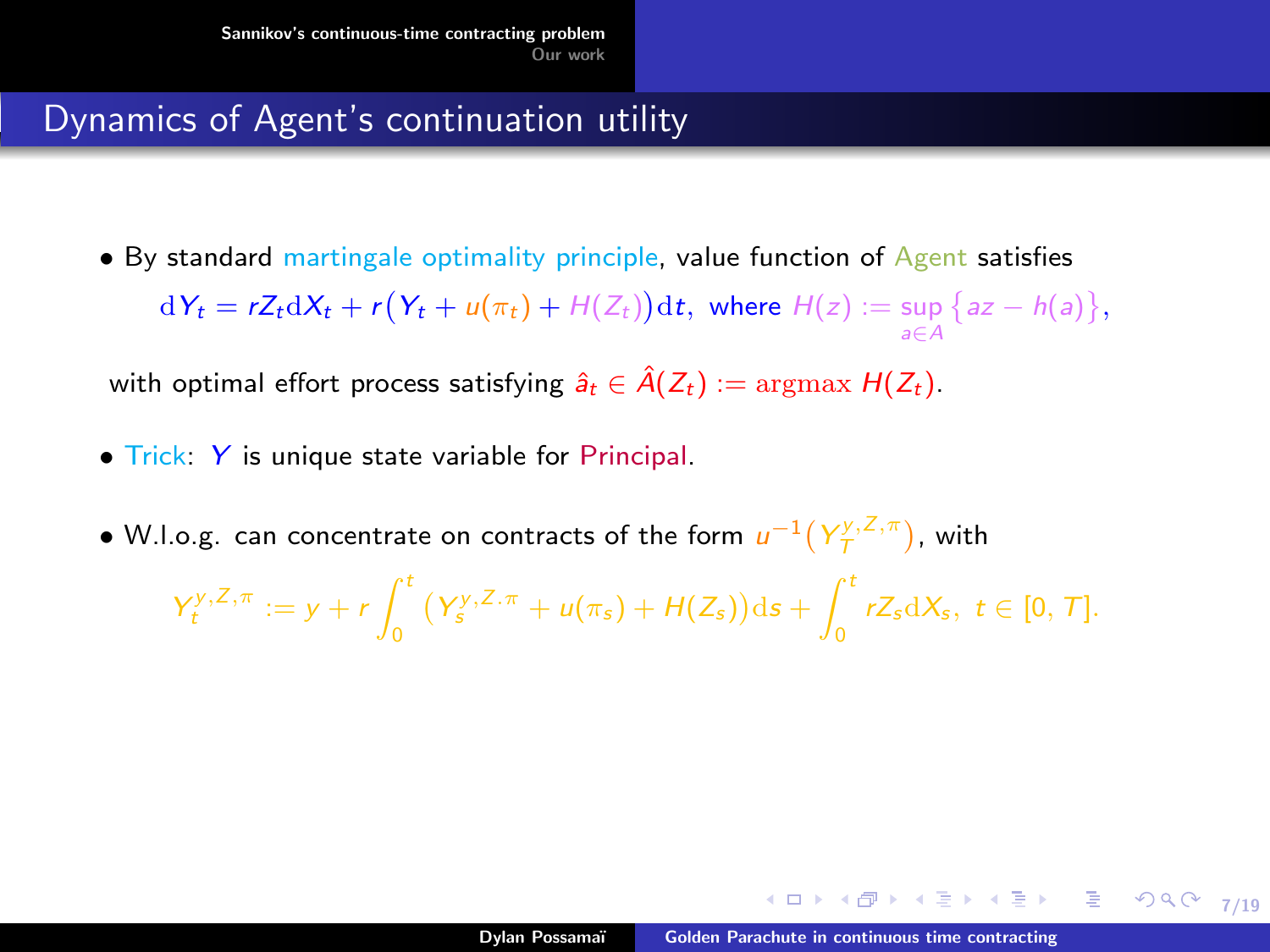• By standard martingale optimality principle, value function of Agent satisfies  $dY_t = rZ_t dX_t + r(Y_t + u(\pi_t) + H(Z_t))dt$ , where  $H(z) := \sup \{az - h(a)\},$ a∈A

with optimal effort process satisfying  $\hat{a}_t \in \hat{A}(Z_t) := \text{argmax } H(Z_t)$ .

- Trick: Y is unique state variable for Principal.
- W.l.o.g. can concentrate on contracts of the form  $u^{-1}(Y^{y,\overline{Z},\pi}_\mathcal{T})$ , with

$$
Y_t^{y,Z,\pi} := y + r \int_0^t (Y_s^{y,Z,\pi} + u(\pi_s) + H(Z_s)) ds + \int_0^t r Z_s dX_s, \ t \in [0,T].
$$

イロト イ押 トイヨ トイヨ トー

7/19

 $298$ 

G.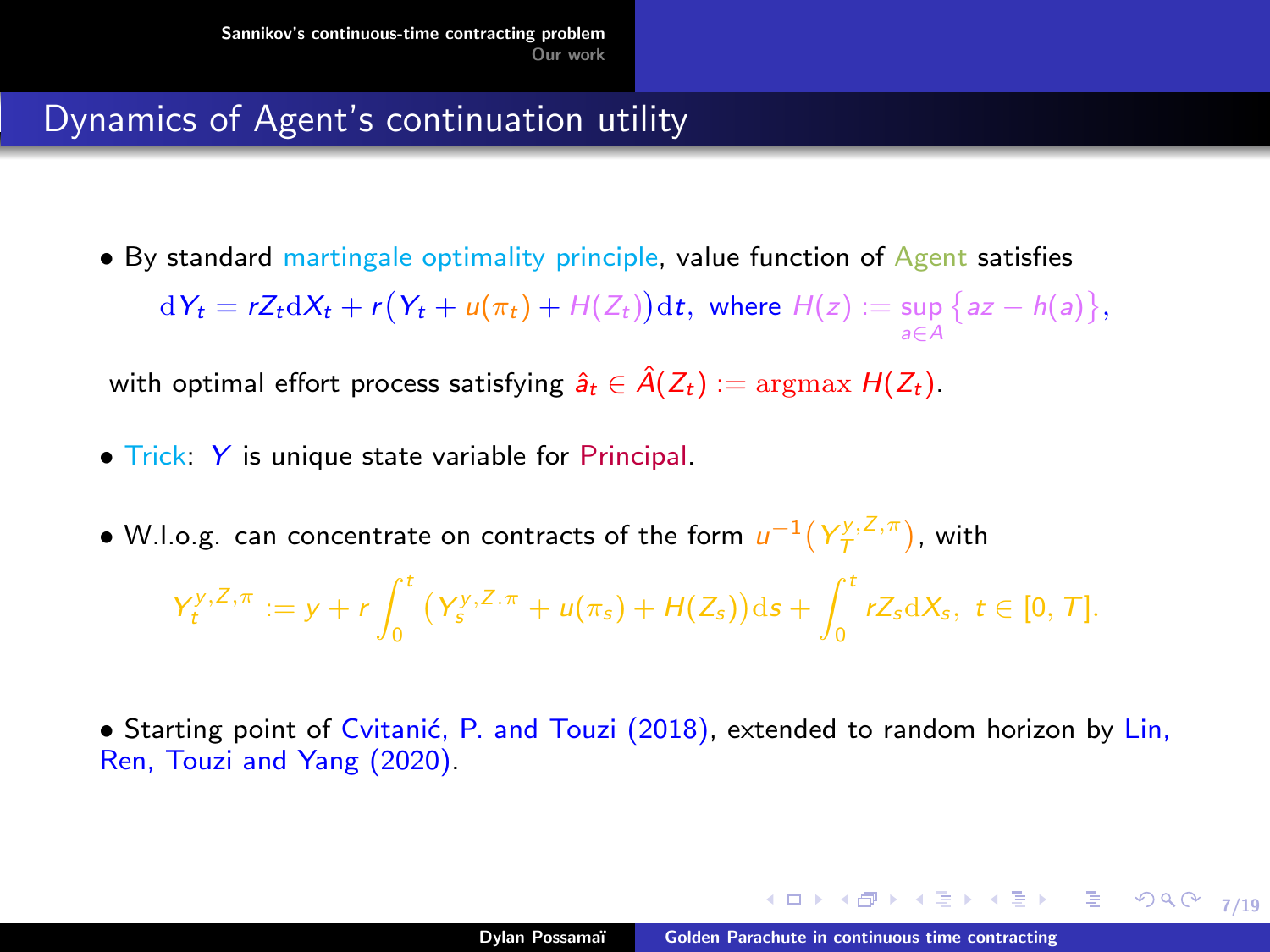• By standard martingale optimality principle, value function of Agent satisfies  $dY_t = rZ_t dX_t + r(Y_t + u(\pi_t) + H(Z_t))dt$ , where  $H(z) := \sup \{az - h(a)\},$ a∈A

with optimal effort process satisfying  $\hat{a}_t \in \hat{A}(Z_t) := \text{argmax } H(Z_t)$ .

- Trick: Y is unique state variable for Principal.
- W.l.o.g. can concentrate on contracts of the form  $u^{-1}(Y^{y,\overline{Z},\pi}_\mathcal{T})$ , with

$$
Y_t^{y,Z,\pi} := y + r \int_0^t (Y_s^{y,Z,\pi} + u(\pi_s) + H(Z_s)) ds + \int_0^t r Z_s dX_s, \ t \in [0,T].
$$

• Starting point of Cvitanić, P. and Touzi (2018), extended to random horizon by Lin, Ren, Touzi and Yang (2020).

4 ロ → 4 @ → 4 블 → 4 블 → 1 를 → 9 Q O + 7/19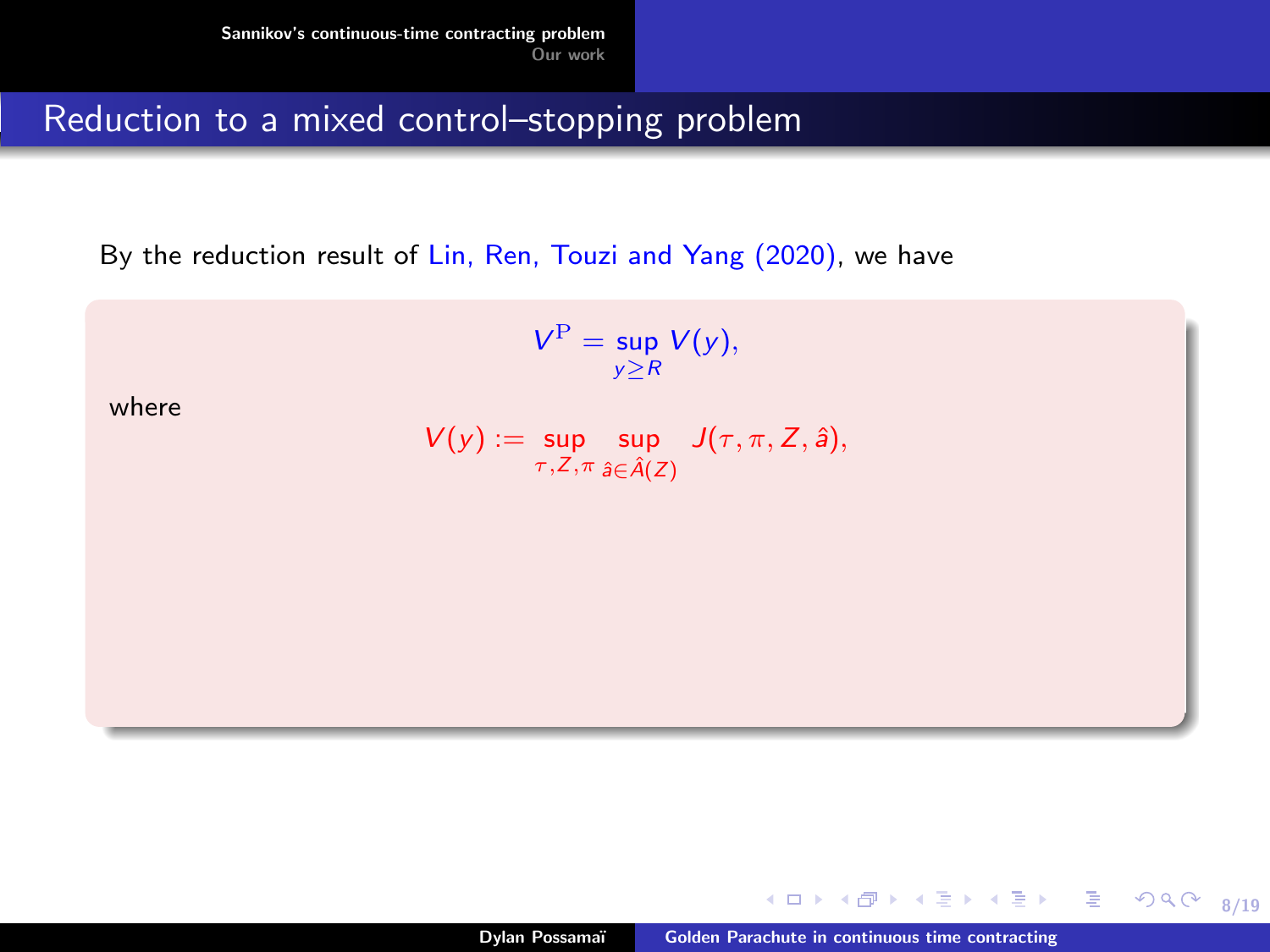By the reduction result of Lin, Ren, Touzi and Yang (2020), we have

$$
V^{\mathrm{P}}=\sup_{y\geq R}V(y),
$$

where

$$
V(y) := \sup_{\tau, Z, \pi} \sup_{\hat{a} \in \hat{A}(Z)} J(\tau, \pi, Z, \hat{a}),
$$

4. 0. 3.

8/19

重

 $2990$ 

 $\rightarrow$   $\equiv$   $\rightarrow$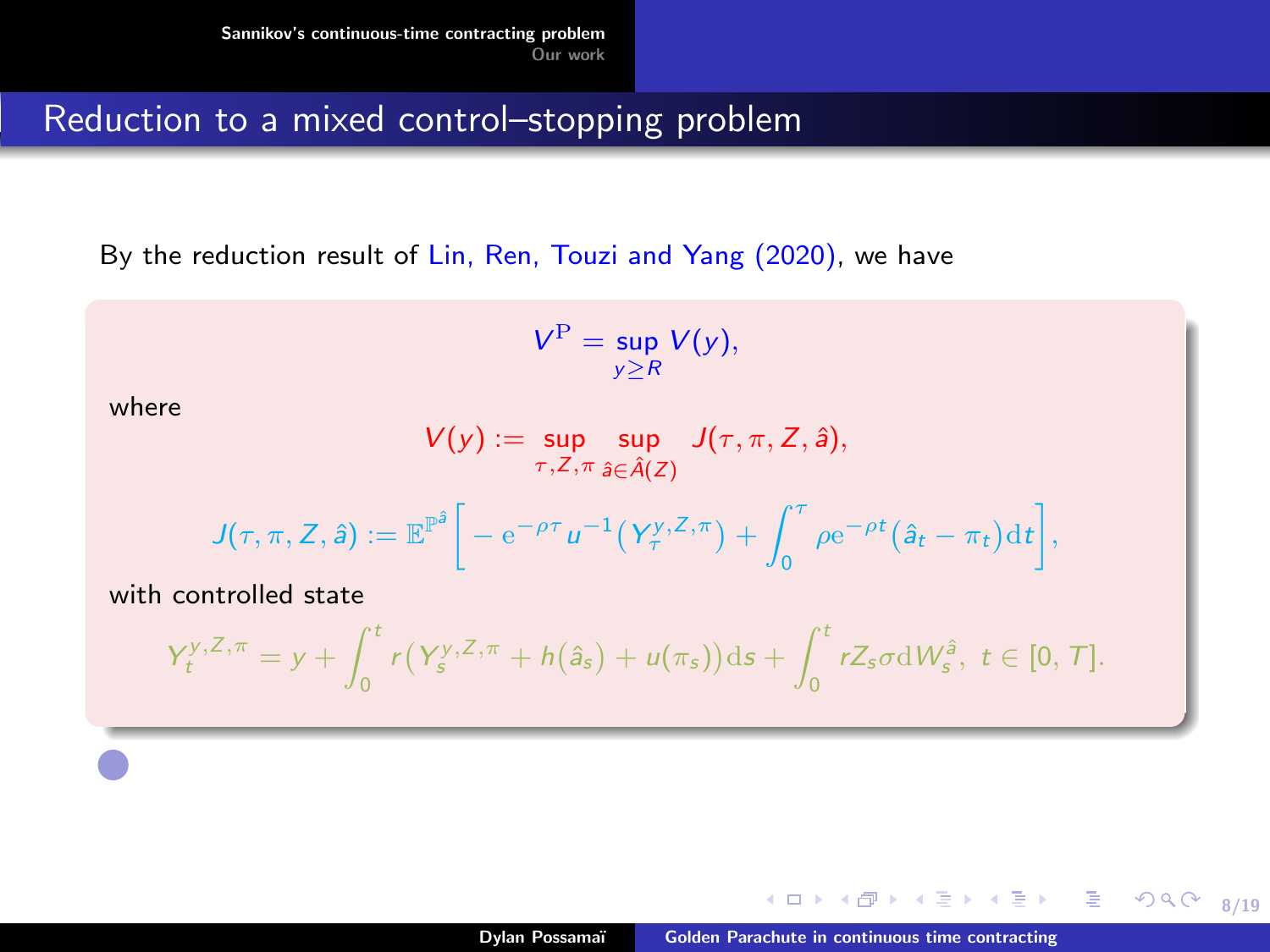By the reduction result of Lin, Ren, Touzi and Yang (2020), we have

$$
V^{\mathrm{P}}=\sup_{y\geq R}V(y),
$$

where

$$
V(y) := \sup_{\tau, Z, \pi} \sup_{\hat{a} \in \hat{A}(Z)} J(\tau, \pi, Z, \hat{a}),
$$

$$
J(\tau,\pi,Z,\hat{a}):=\mathbb{E}^{\mathbb{P}^{\hat{a}}}\bigg[-\mathrm{e}^{-\rho\tau}u^{-1}\big(Y^{y,Z,\pi}_\tau\big)+\int_0^\tau\rho\mathrm{e}^{-\rho t}\big(\hat{a}_t-\pi_t\big)\mathrm{d} t\bigg],
$$

with controlled state

$$
Y_t^{y,Z,\pi}=y+\int_0^t r(Y_s^{y,Z,\pi}+h(\hat{a}_s)+u(\pi_s))\mathrm{d} s+\int_0^t rZ_s\sigma\mathrm{d} W_s^{\hat{a}},\ t\in[0,T].
$$

4. 0. 3.

8/19

重

医间周的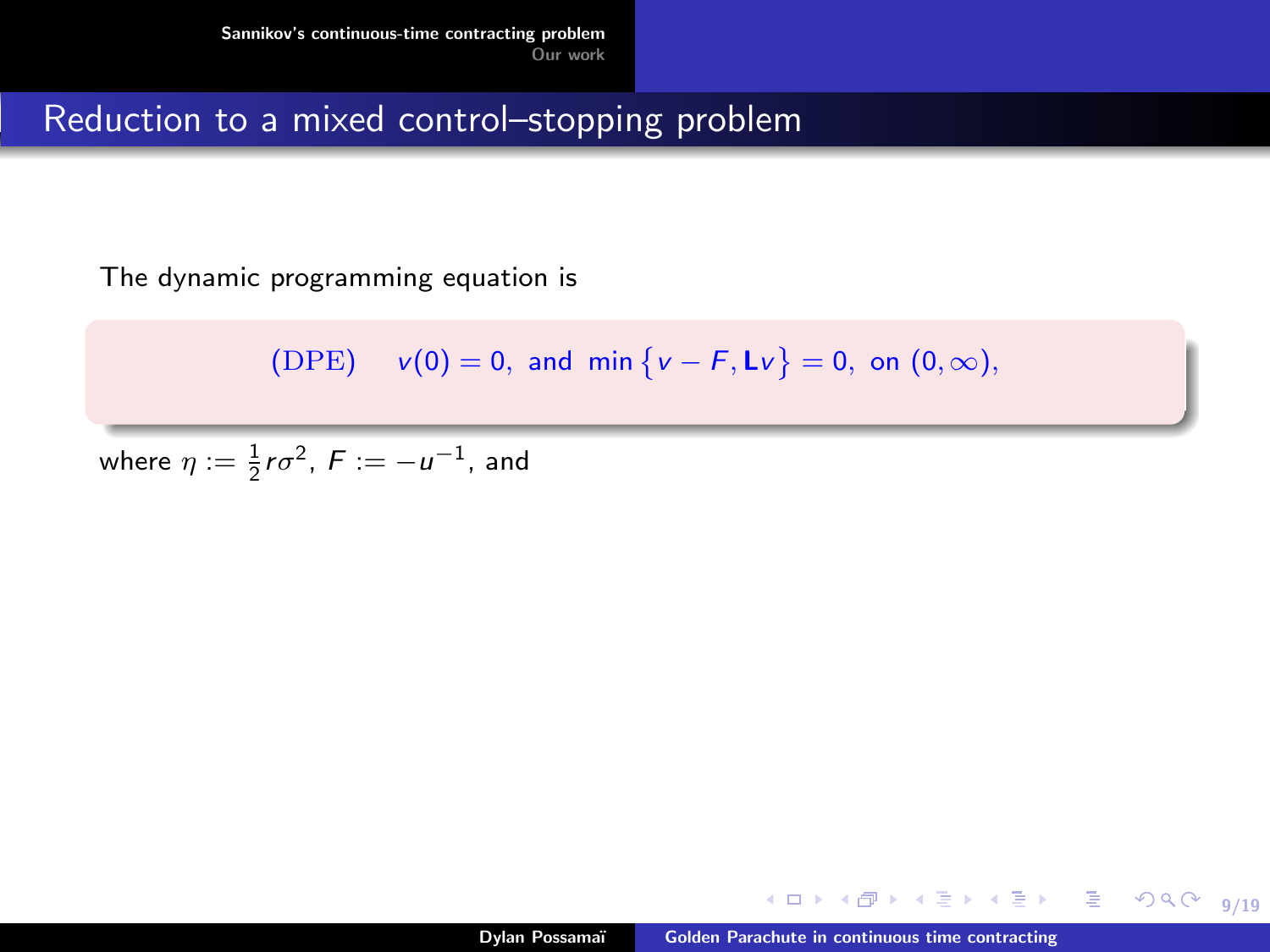The dynamic programming equation is

$$
(DPE) \t v(0) = 0, \text{ and } \min \{ v - F, Lv \} = 0, \text{ on } (0, \infty),
$$

where  $\eta := \frac{1}{2} r \sigma^2$ ,  $F := -u^{-1}$ , and

④重き ④重き 。

重

 $2990$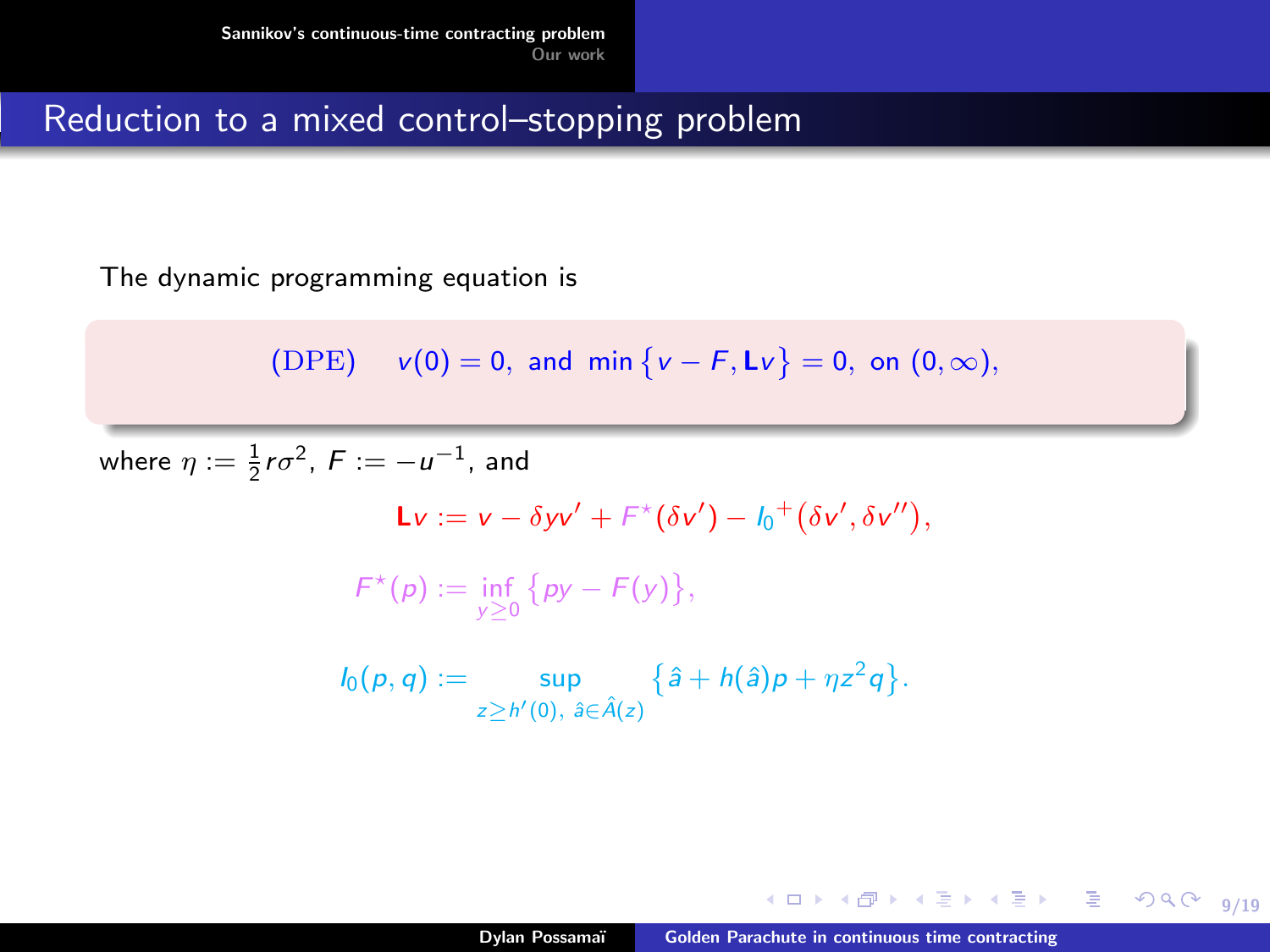The dynamic programming equation is

$$
(DPE) \t v(0) = 0, \text{ and } \min \{ v - F, Lv \} = 0, \text{ on } (0, \infty),
$$

where  $\eta := \frac{1}{2} r \sigma^2$ ,  $F := -u^{-1}$ , and  $\mathsf{L}v := v - \delta yv' + F^{\star}(\delta v') - I_0^+(\delta v', \delta v''),$  $F^{\star}(p) := \inf_{y \geq 0} \{ py - F(y) \},$  $I_0(p,q) := \sup_{z \ge h'(0), \hat{a} \in \hat{A}(z)}$  $\{\hat{a} + h(\hat{a})p + \eta z^2 q\}.$ 

K ロ ▶ K @ ▶ K 로 ▶ K 로 ▶ 『로 → Y) Q @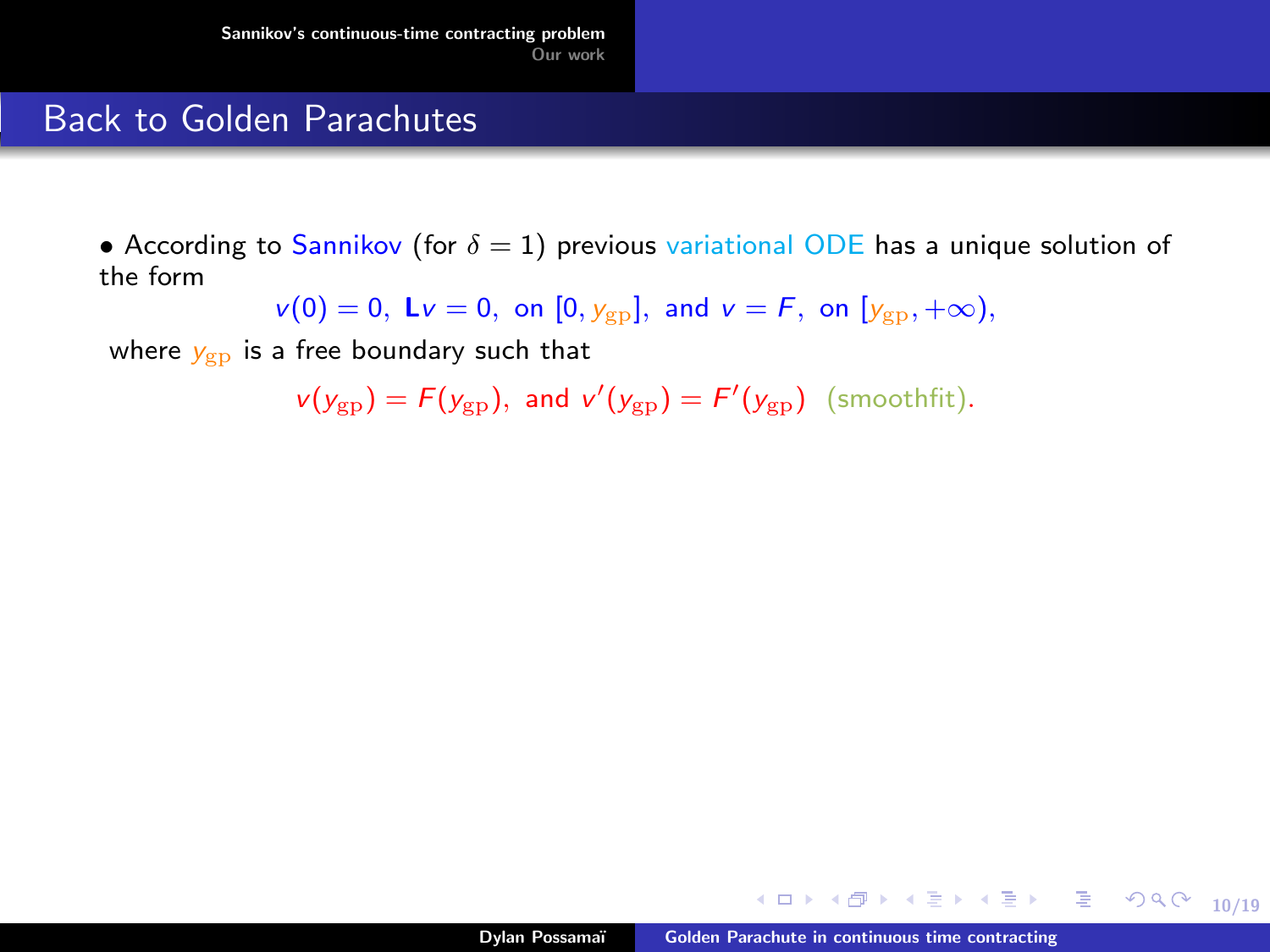#### Back to Golden Parachutes

• According to Sannikov (for  $\delta = 1$ ) previous variational ODE has a unique solution of the form

 $v(0) = 0$ ,  $Lv = 0$ , on  $[0, y_{gp}]$ , and  $v = F$ , on  $[y_{gp}, +\infty)$ ,

where  $y_{gp}$  is a free boundary such that

 $v(y_{gp}) = F(y_{gp}),$  and  $v'(y_{gp}) = F'(y_{gp})$  (smoothfit).

K ロ ▶ K @ ▶ K ミ » K ミ » - 를 → 9 Q @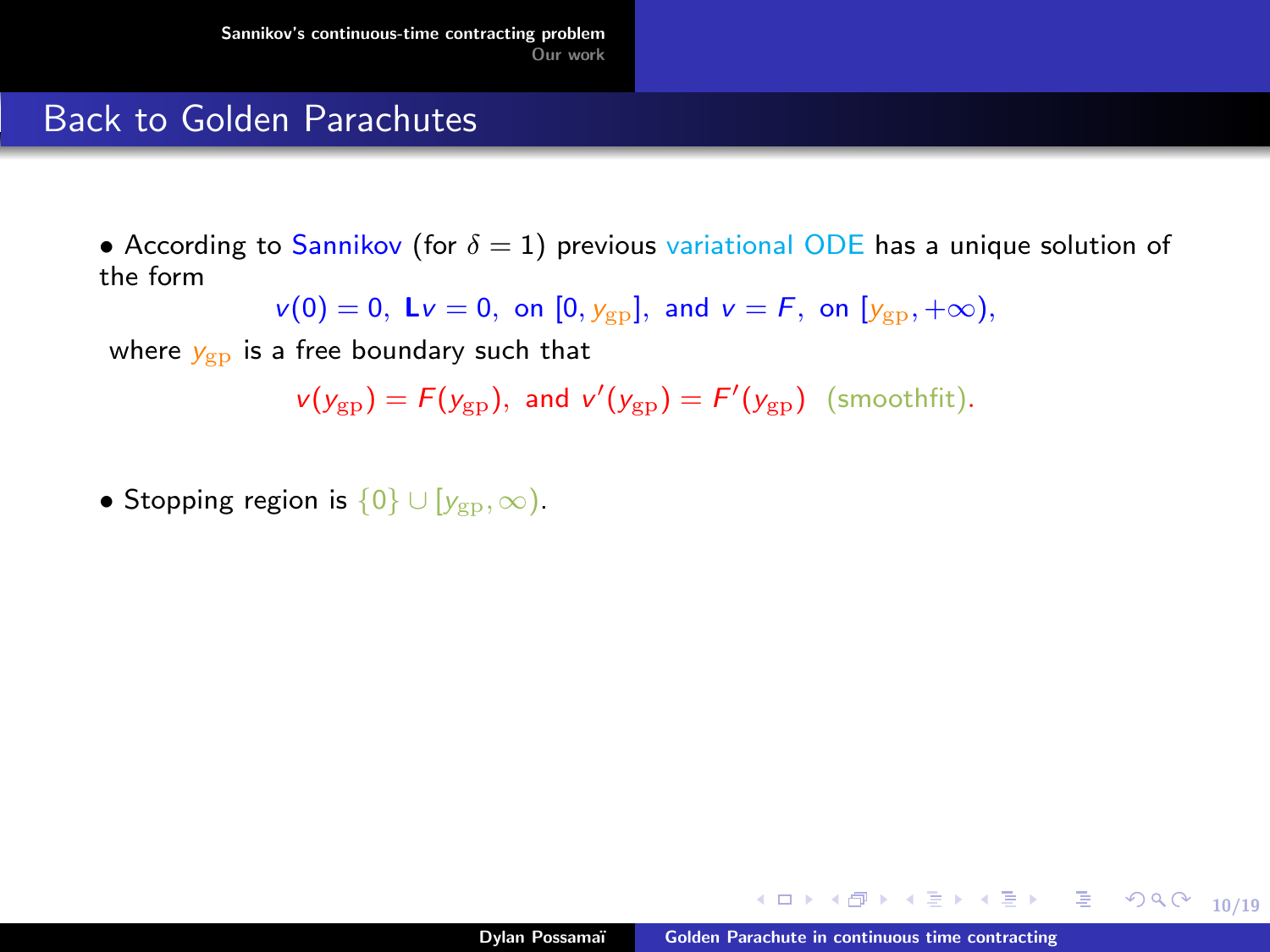#### Back to Golden Parachutes

• According to Sannikov (for  $\delta = 1$ ) previous variational ODE has a unique solution of the form

 $v(0) = 0$ ,  $Lv = 0$ , on  $[0, y_{gp}]$ , and  $v = F$ , on  $[y_{gp}, +\infty)$ ,

where  $y_{gp}$  is a free boundary such that

 $v(y_{gp}) = F(y_{gp}),$  and  $v'(y_{gp}) = F'(y_{gp})$  (smoothfit).

• Stopping region is  $\{0\} \cup [y_{\nu_D}, \infty)$ .

K ロ ▶ K @ ▶ K ミ K K E X 는 일 → 9 Q @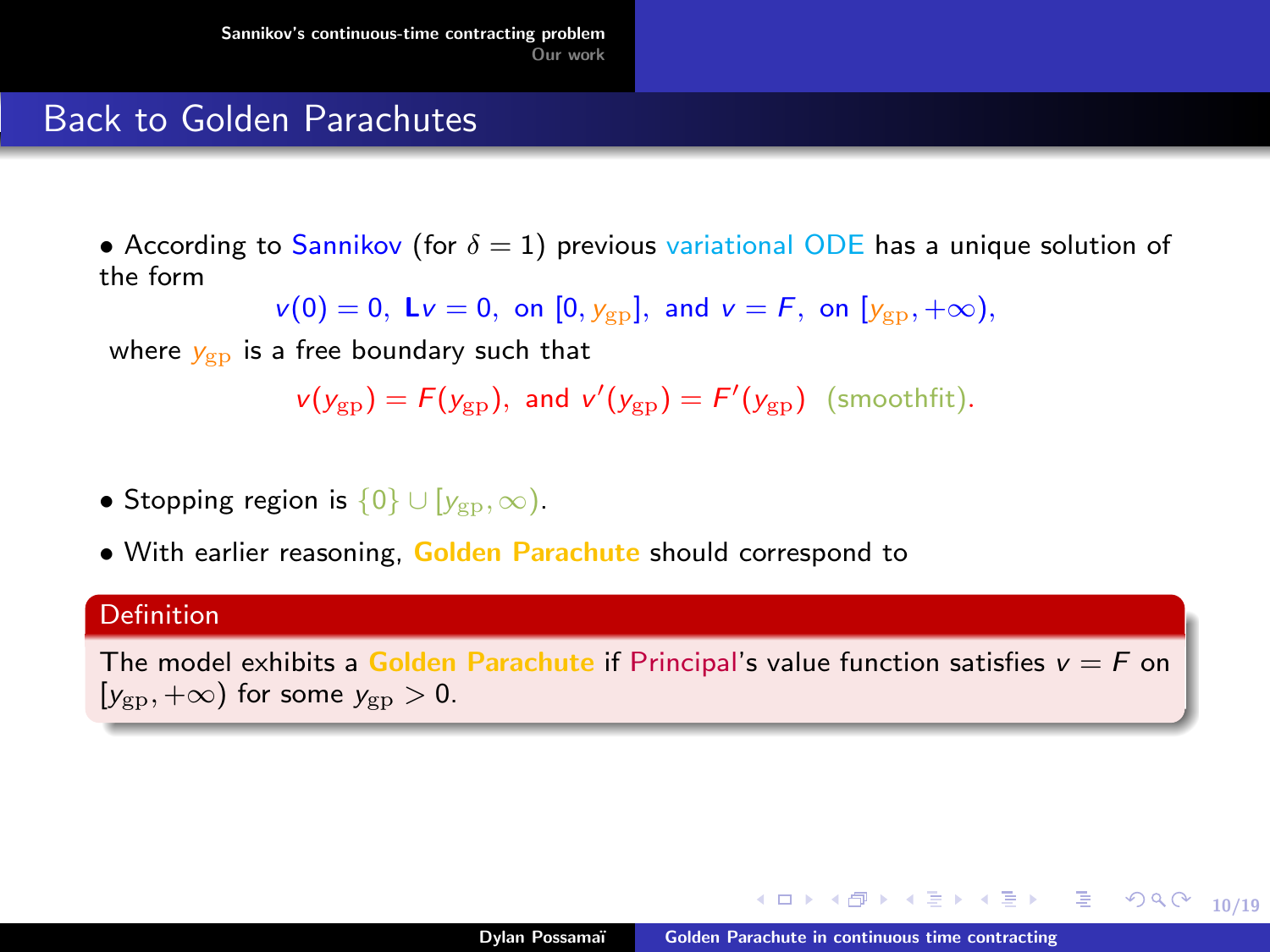#### Back to Golden Parachutes

• According to Sannikov (for  $\delta = 1$ ) previous variational ODE has a unique solution of the form

$$
v(0) = 0
$$
,  $Lv = 0$ , on  $[0, y_{gp}]$ , and  $v = F$ , on  $[y_{gp}, +\infty)$ ,

where  $y_{\text{g}p}$  is a free boundary such that

$$
v(y_{\rm gp}) = F(y_{\rm gp}), \text{ and } v'(y_{\rm gp}) = F'(y_{\rm gp}) \text{ (smoothfit)}.
$$

- Stopping region is  $\{0\} \cup [y_{\nu_D}, \infty)$ .
- With earlier reasoning, Golden Parachute should correspond to

#### Definition

The model exhibits a Golden Parachute if Principal's value function satisfies  $v = F$  on  $[y_{\rm gp}, +\infty)$  for some  $y_{\rm gp} > 0$ .

K ロ ▶ K @ ▶ K ミ » K ミ » - 를 → 9 Q @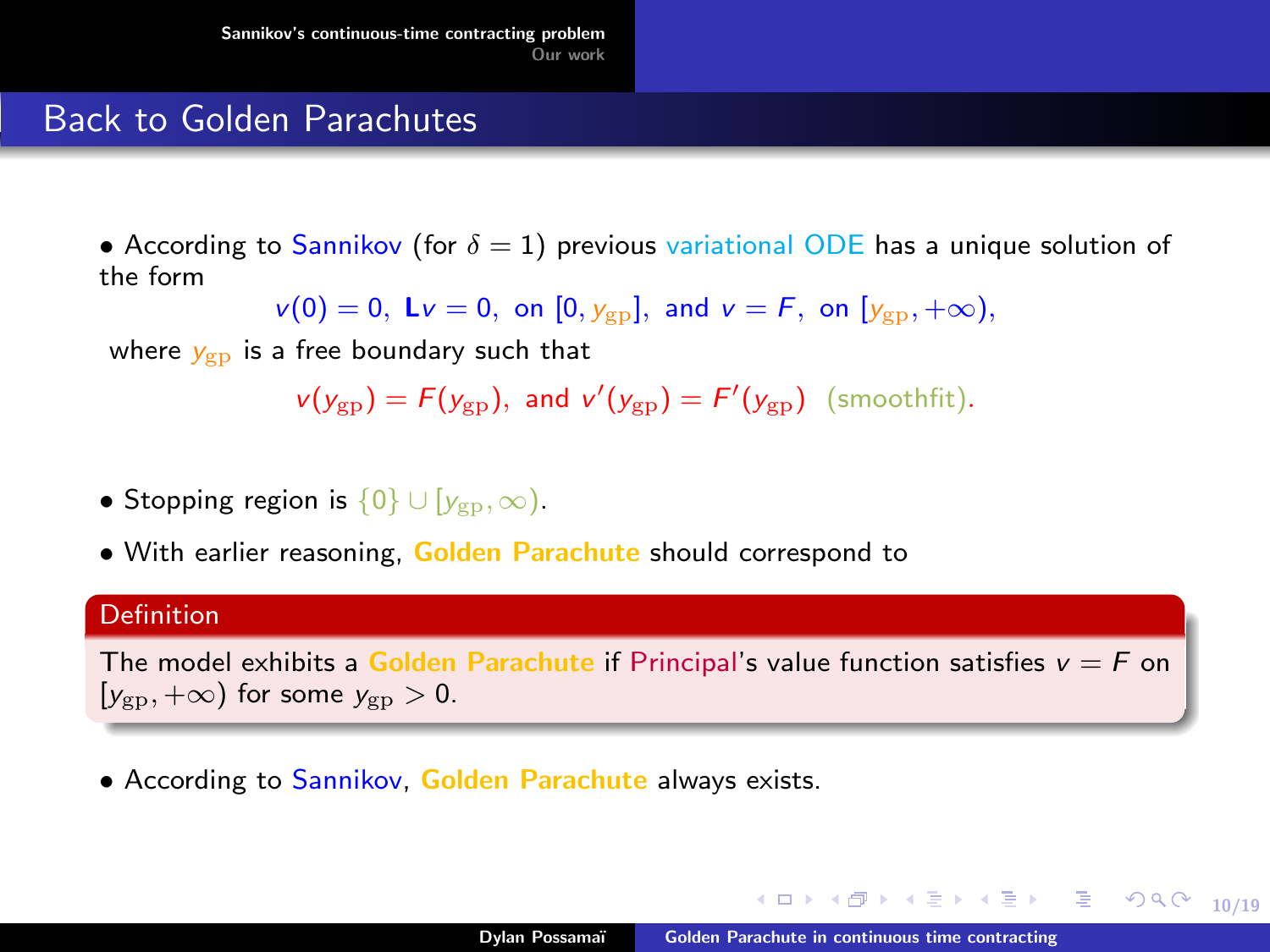#### Back to Golden Parachutes

• According to Sannikov (for  $\delta = 1$ ) previous variational ODE has a unique solution of the form

$$
v(0) = 0
$$
,  $Lv = 0$ , on  $[0, y_{gp}]$ , and  $v = F$ , on  $[y_{gp}, +\infty)$ ,

where  $y_{\text{g}p}$  is a free boundary such that

$$
v(y_{\rm gp}) = F(y_{\rm gp}), \text{ and } v'(y_{\rm gp}) = F'(y_{\rm gp}) \text{ (smoothfit)}.
$$

- Stopping region is  $\{0\} \cup [y_{\nu_D}, \infty)$ .
- With earlier reasoning, Golden Parachute should correspond to

#### **Definition**

The model exhibits a Golden Parachute if Principal's value function satisfies  $v = F$  on  $[y_{\rm gp}, +\infty)$  for some  $y_{\rm gp} > 0$ .

• According to Sannikov, Golden Parachute always exists.

K ロ ▶ K @ ▶ K ミ » K ミ » - 를 → 9 Q @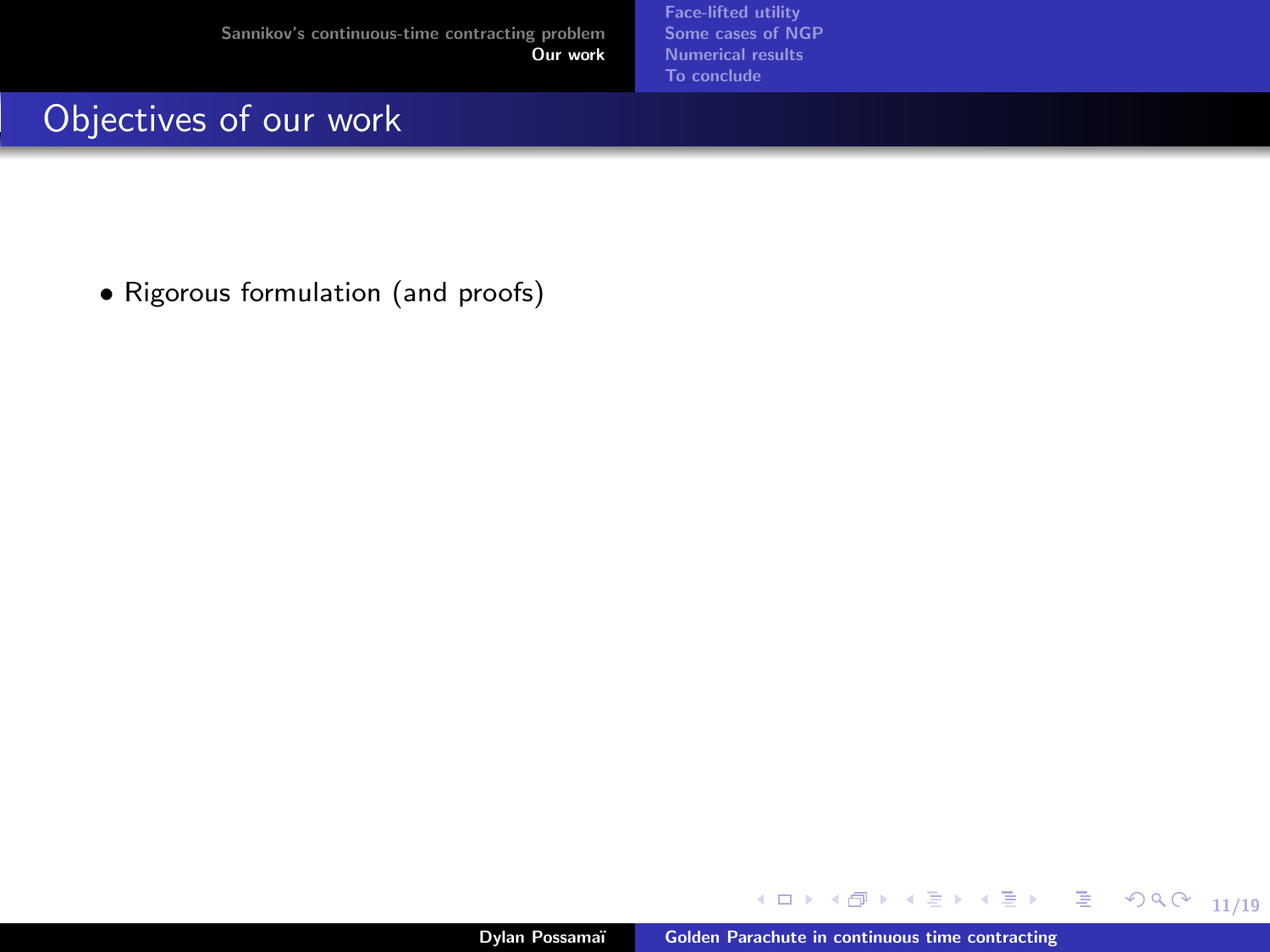[Face-lifted utility](#page-43-0) [Some cases of NGP](#page-60-0) [Numerical results](#page-63-0) [To conclude](#page-65-0)

# <span id="page-38-0"></span>Objectives of our work

• Rigorous formulation (and proofs)

メロトメ 伊 トメ ミトメ ミト

11/19

 $\equiv$  990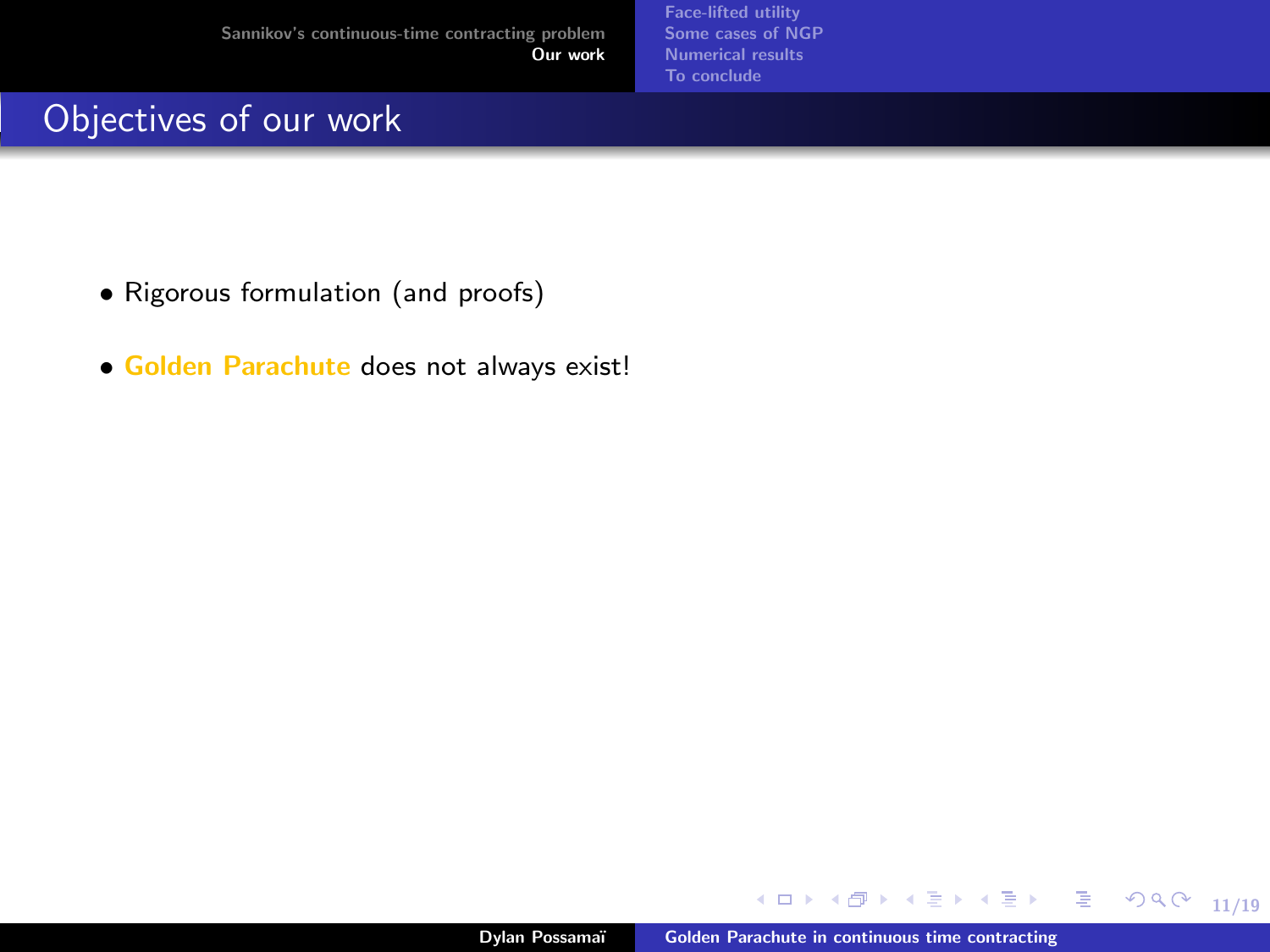# Objectives of our work

- Rigorous formulation (and proofs)
- Golden Parachute does not always exist!

**K ロ ▶ K 何 ▶ K** 

11/19

重

ミドマミド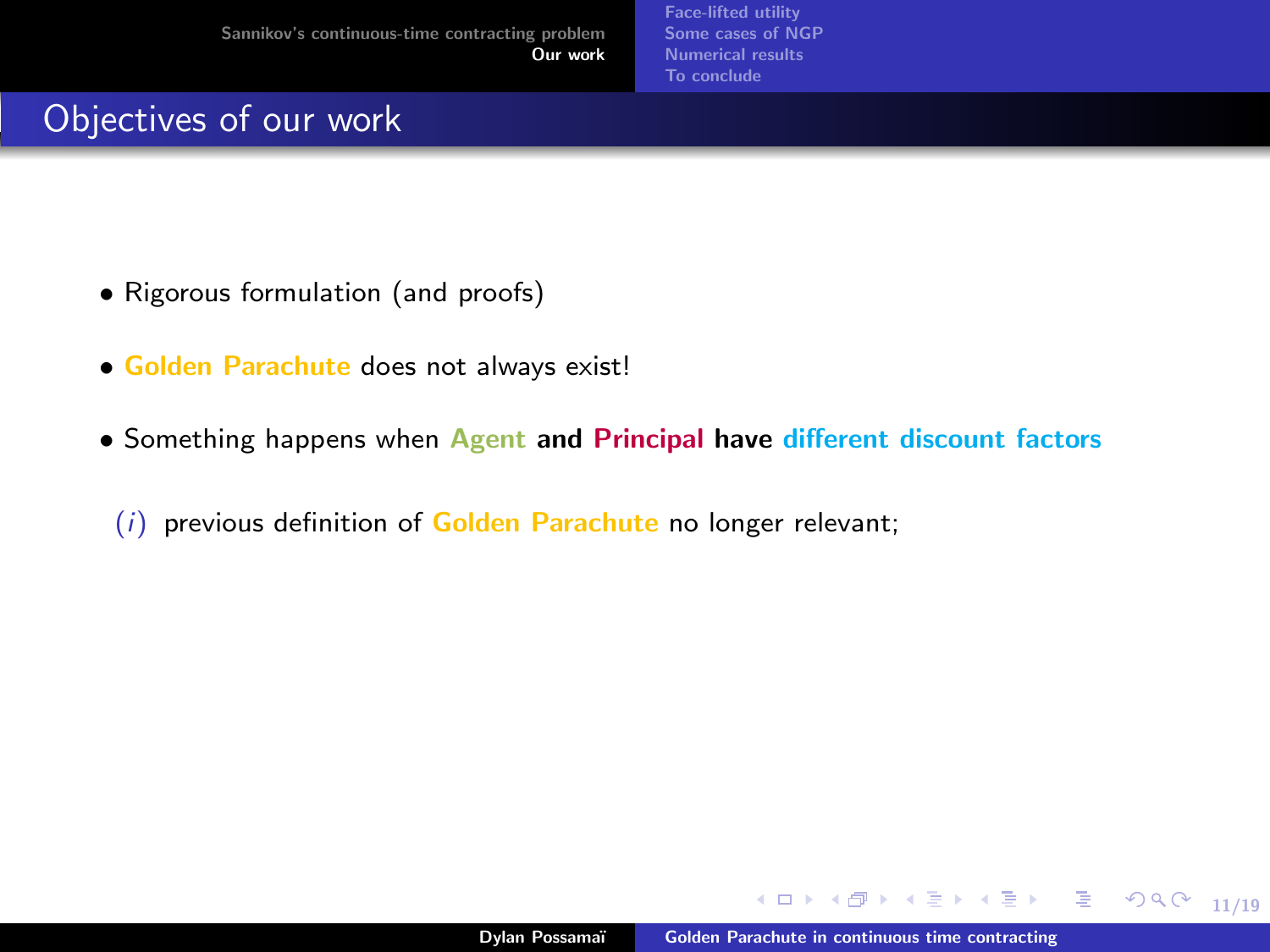# Objectives of our work

- Rigorous formulation (and proofs)
- Golden Parachute does not always exist!
- Something happens when Agent and Principal have different discount factors
	- $(i)$  previous definition of Golden Parachute no longer relevant;

11/19

 $\Rightarrow$ 

ミドマミド

**The State**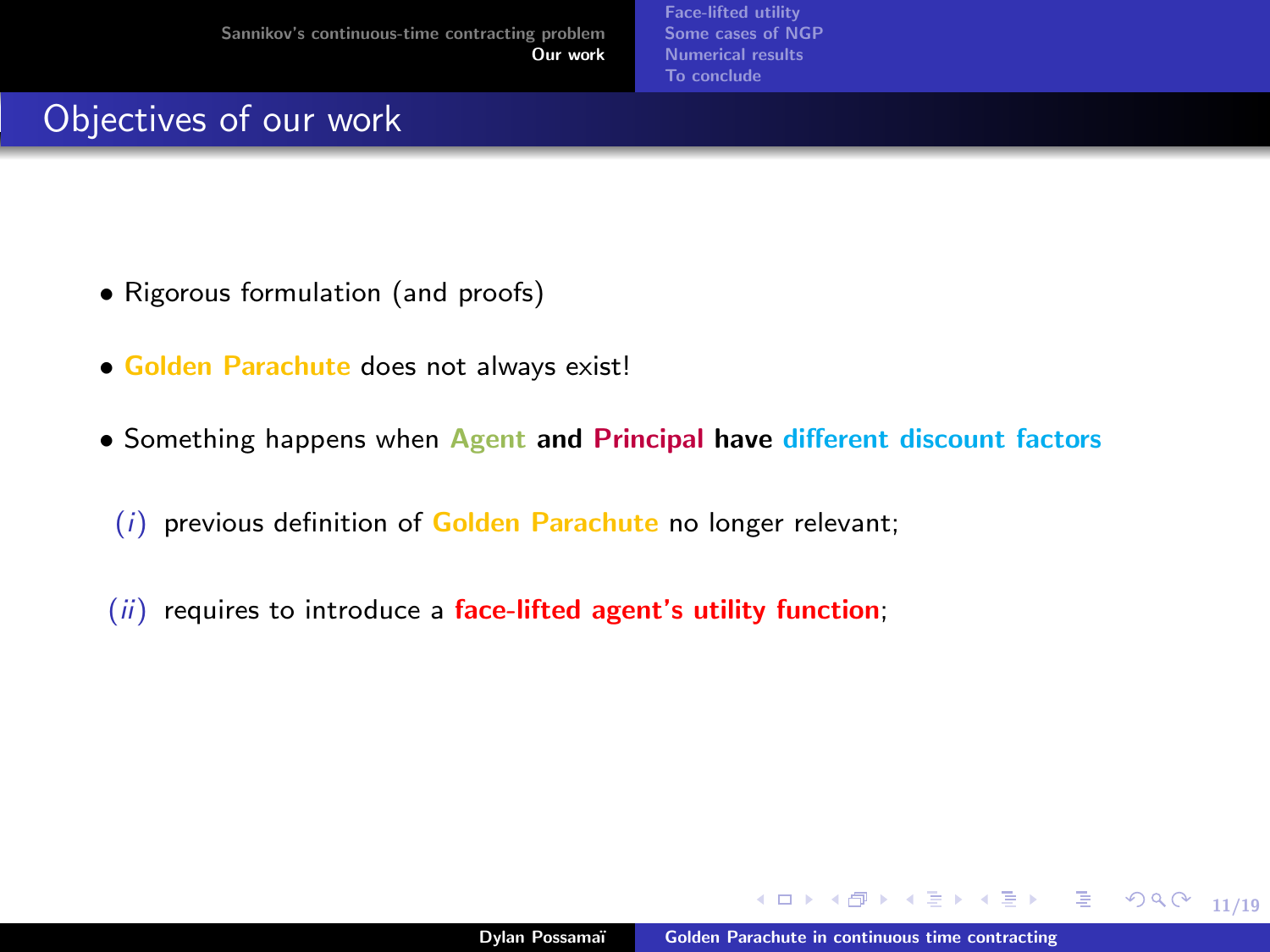# Objectives of our work

- Rigorous formulation (and proofs)
- Golden Parachute does not always exist!
- Something happens when Agent and Principal have different discount factors
	- $(i)$  previous definition of Golden Parachute no longer relevant;
- $(ii)$  requires to introduce a face-lifted agent's utility function;

11/19

 $299$ 

目

 $\rightarrow$   $\rightarrow$   $\equiv$   $\rightarrow$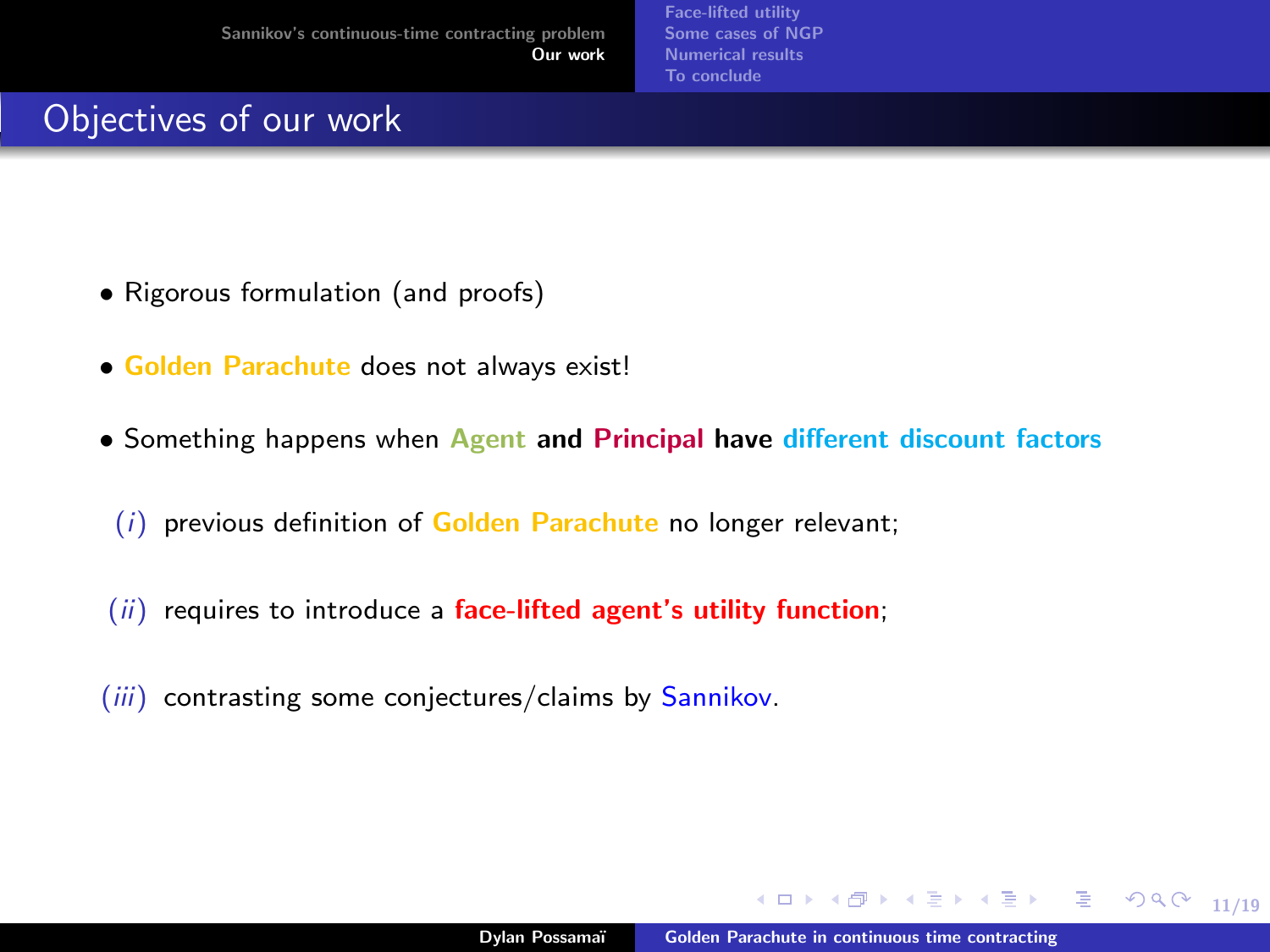# Objectives of our work

- Rigorous formulation (and proofs)
- Golden Parachute does not always exist!
- Something happens when Agent and Principal have different discount factors
	- $(i)$  previous definition of Golden Parachute no longer relevant;
- $(ii)$  requires to introduce a face-lifted agent's utility function;
- (iii) contrasting some conjectures/claims by Sannikov.

 $\rightarrow$   $\rightarrow$   $\equiv$   $\rightarrow$ 

目

 $298$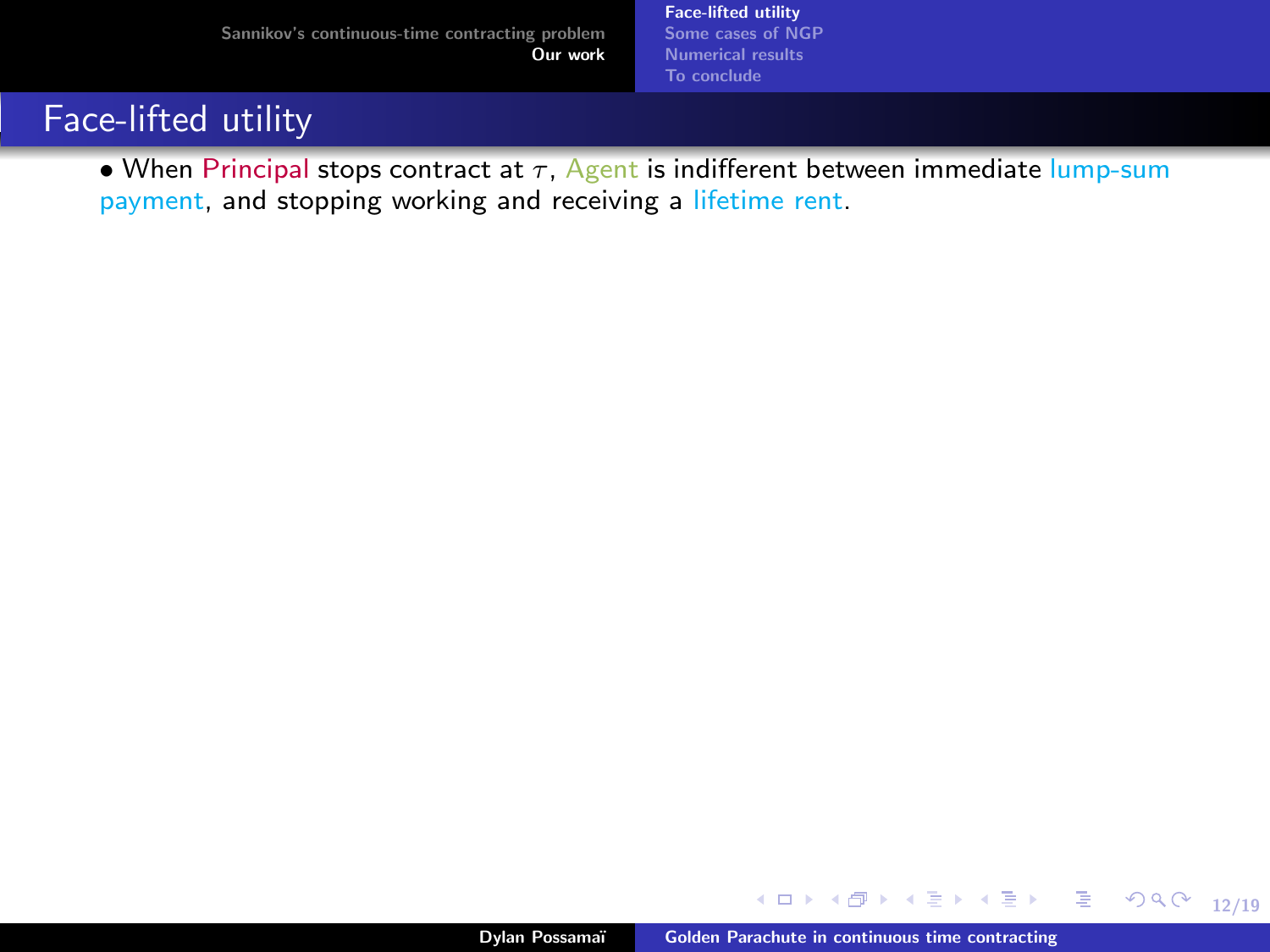[Face-lifted utility](#page-48-0) [Some cases of NGP](#page-60-0) [Numerical results](#page-63-0) [To conclude](#page-65-0)

# <span id="page-43-0"></span>Face-lifted utility

• When Principal stops contract at  $\tau$ , Agent is indifferent between immediate lump-sum payment, and stopping working and receiving a lifetime rent.

**K ロ ▶ K 何 ▶ K** 

12/19

Þ

ミドマミド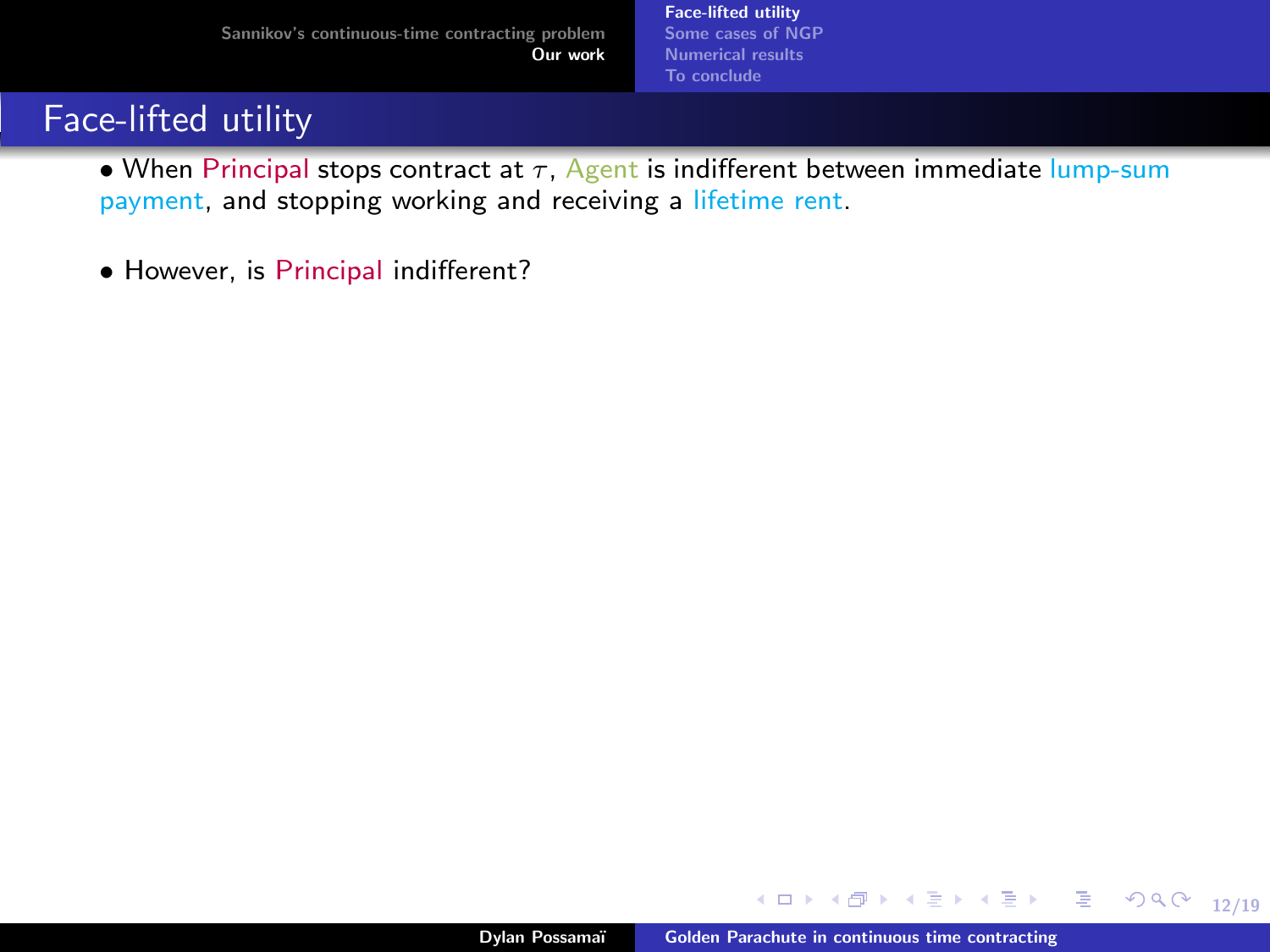[Face-lifted utility](#page-48-0) [Some cases of NGP](#page-60-0) [Numerical results](#page-63-0) [To conclude](#page-65-0)

# Face-lifted utility

• When Principal stops contract at  $\tau$ , Agent is indifferent between immediate lump-sum payment, and stopping working and receiving a lifetime rent.

• However, is Principal indifferent?

**← ロ ▶ → 何 ▶** 

12/19

 $\Rightarrow$ 

ミドマミド

×.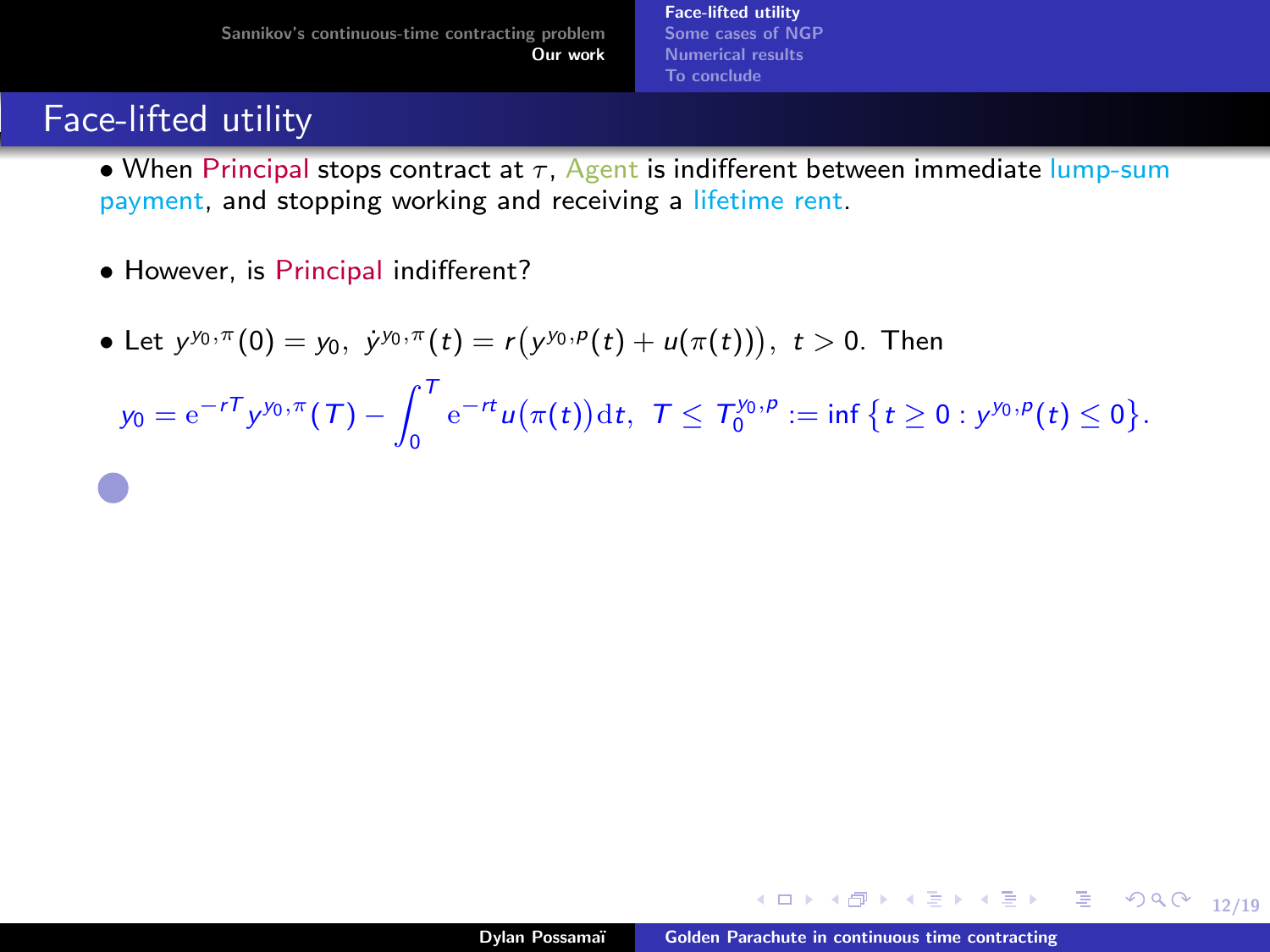# Face-lifted utility

- When Principal stops contract at  $\tau$ . Agent is indifferent between immediate lump-sum payment, and stopping working and receiving a lifetime rent.
- However, is Principal indifferent?
- Let  $y^{y_0,\pi}(0) = y_0, \; \dot{y}^{y_0,\pi}(t) = r(y^{y_0,p}(t) + u(\pi(t))), \; t > 0.$  Then

 $y_0 = e^{-rT} y^{y_0, \pi}(T) - \int_0^T$  $\int_{0}^{\pi} e^{-rt} u(\pi(t)) dt$ ,  $\tau \leq \tau_{0}^{\gamma_{0}, \rho} := \inf \{ t \geq 0 : y^{\gamma_{0}, \rho}(t) \leq 0 \}.$ 

12/19 → 12/19 → 12/19 → 12/19 → 12/19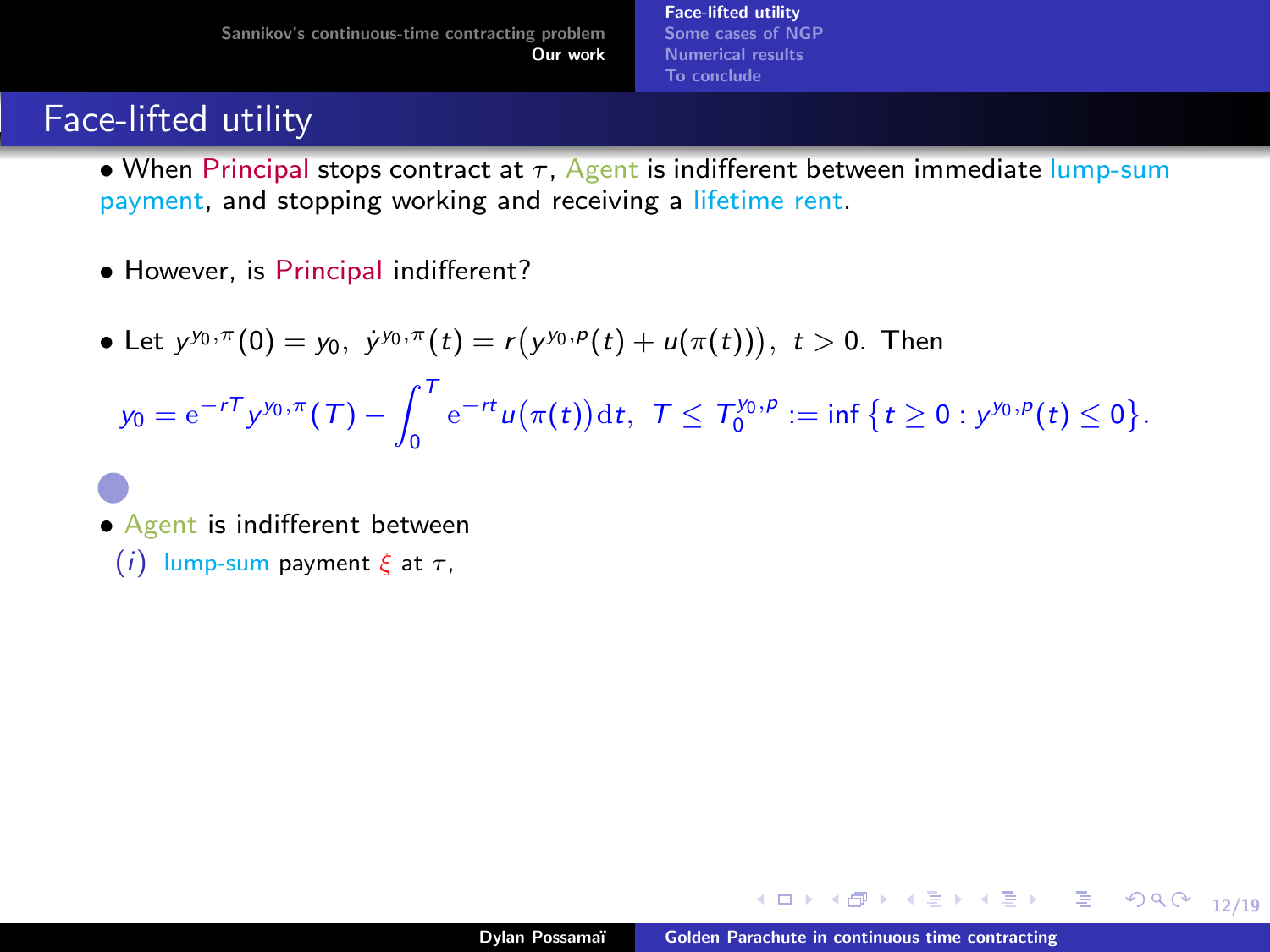[Face-lifted utility](#page-48-0) [Some cases of NGP](#page-60-0) [Numerical results](#page-63-0) [To conclude](#page-65-0)

# Face-lifted utility

- When Principal stops contract at  $\tau$ . Agent is indifferent between immediate lump-sum payment, and stopping working and receiving a lifetime rent.
- However, is Principal indifferent?
- Let  $y^{y_0,\pi}(0) = y_0, \; \dot{y}^{y_0,\pi}(t) = r(y^{y_0,p}(t) + u(\pi(t))), \; t > 0.$  Then

 $y_0 = e^{-rT} y^{y_0, \pi}(T) - \int_0^T$  $\int_{0}^{\pi} e^{-rt} u(\pi(t)) dt$ ,  $\tau \leq \tau_{0}^{\gamma_{0}, \rho} := \inf \{ t \geq 0 : y^{\gamma_{0}, \rho}(t) \leq 0 \}.$ 

• Agent is indifferent between

(i) lump-sum payment  $\xi$  at  $\tau$ ,

12/19 12/19 12/19 12/19 12/19 12/19 12/19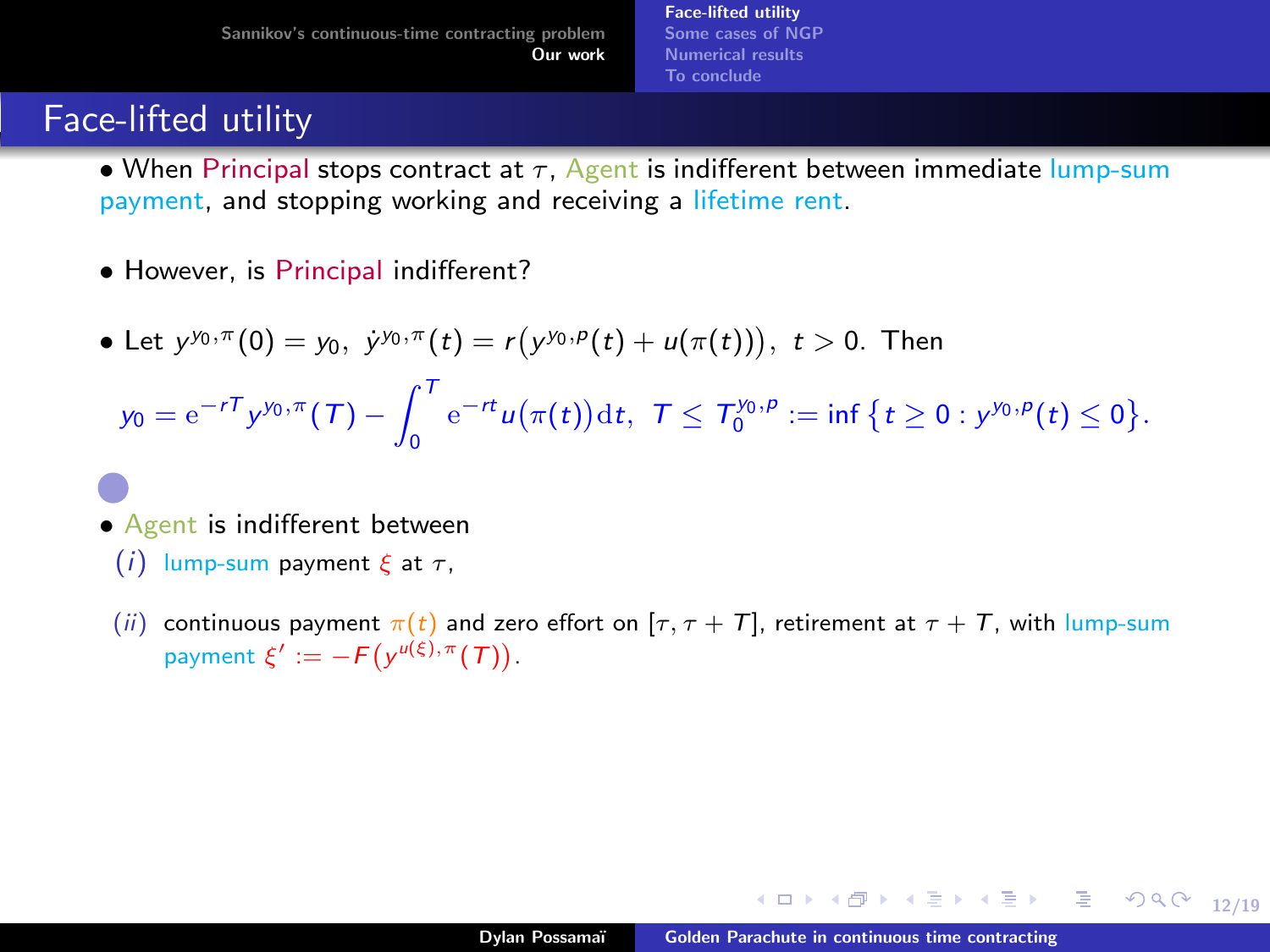# Face-lifted utility

- When Principal stops contract at  $\tau$ , Agent is indifferent between immediate lump-sum payment, and stopping working and receiving a lifetime rent.
- However, is Principal indifferent?
- Let  $y^{y_0,\pi}(0) = y_0, \; \dot{y}^{y_0,\pi}(t) = r(y^{y_0,p}(t) + u(\pi(t))), \; t > 0.$  Then

 $y_0 = e^{-rT} y^{y_0, \pi}(T) - \int_0^T$  $\int_{0}^{\pi} e^{-rt} u(\pi(t)) dt$ ,  $\tau \leq \tau_{0}^{\gamma_{0}, \rho} := \inf \{ t \geq 0 : y^{\gamma_{0}, \rho}(t) \leq 0 \}.$ 

- Agent is indifferent between
	- (i) lump-sum payment  $\xi$  at  $\tau$ ,
	- (ii) continuous payment  $\pi(t)$  and zero effort on  $[\tau, \tau + T]$ , retirement at  $\tau + T$ , with lump-sum payment  $\xi' := -F(y^{\mu(\xi), \pi}(T))$ .

12/19 12/19 12/19 12/19 12/19 12/19 12/19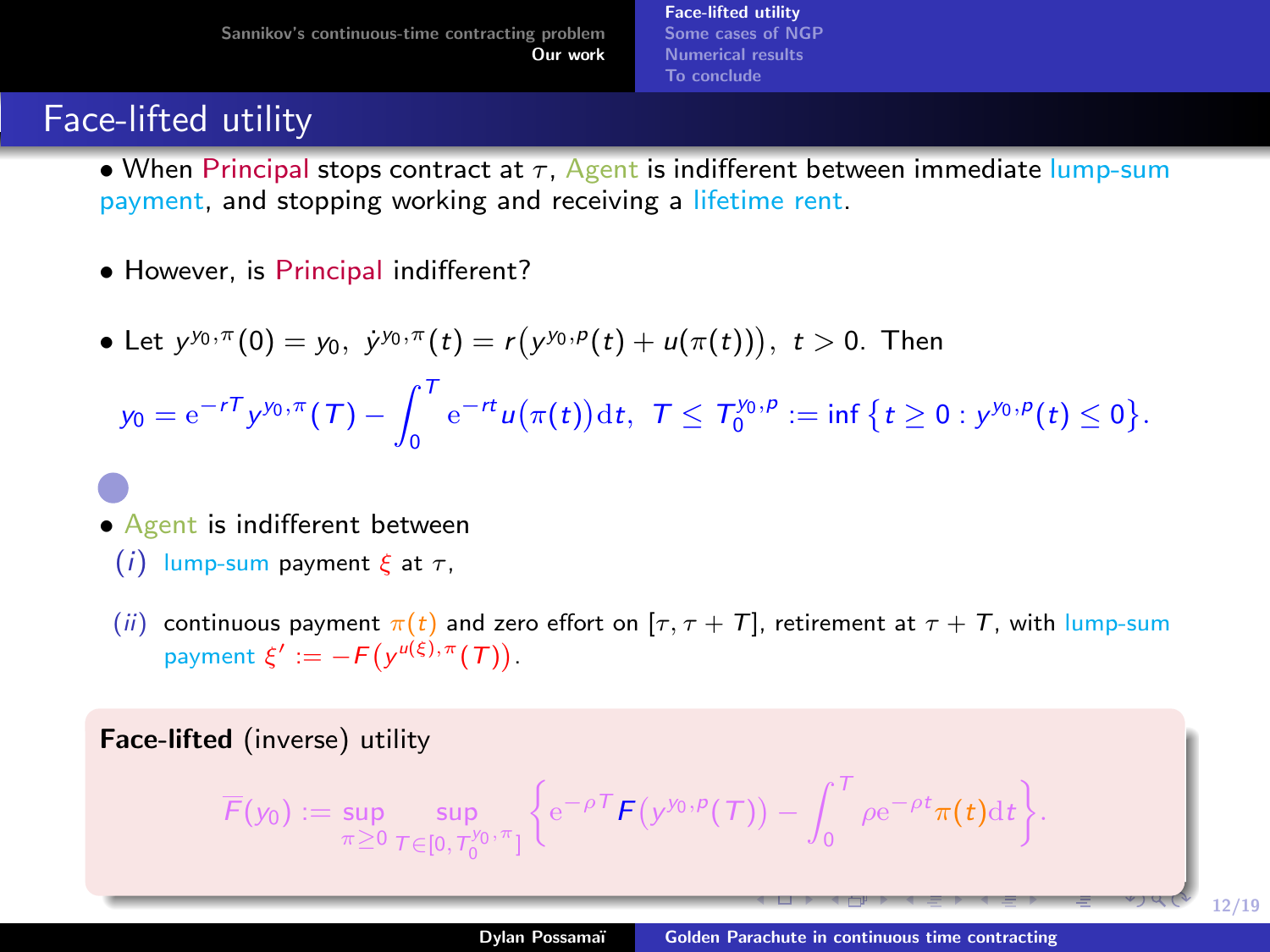# <span id="page-48-0"></span>Face-lifted utility

- When Principal stops contract at  $\tau$ . Agent is indifferent between immediate lump-sum payment, and stopping working and receiving a lifetime rent.
- However, is Principal indifferent?
- Let  $y^{y_0,\pi}(0) = y_0, \; \dot{y}^{y_0,\pi}(t) = r(y^{y_0,p}(t) + u(\pi(t))), \; t > 0.$  Then

 $y_0 = e^{-rT} y^{y_0, \pi}(T) - \int_0^T$  $\int_{0}^{\pi} e^{-rt} u(\pi(t)) dt$ ,  $\tau \leq \tau_{0}^{\gamma_{0}, \rho} := \inf \{ t \geq 0 : y^{\gamma_{0}, \rho}(t) \leq 0 \}.$ 

- Agent is indifferent between
	- (i) lump-sum payment  $\xi$  at  $\tau$ ,
	- (ii) continuous payment  $\pi(t)$  and zero effort on  $[\tau, \tau + T]$ , retirement at  $\tau + T$ , with lump-sum payment  $\xi' := -F(y^{\mu(\xi), \pi}(T))$ .

Face-lifted (inverse) utility

$$
\overline{F}(y_0):=\sup_{\pi\geq 0}\sup_{\mathcal{T}\in[0,\mathcal{T}_0^{y_0,\pi}]}\Big\{{\rm e}^{-\rho\mathcal{T}}\bm{F}\big(y^{y_0,\rho}(\mathcal{T})\big)-\int_0^\mathcal{T}\rho{\rm e}^{-\rho t}\pi(t){\rm d}t\Big\}.
$$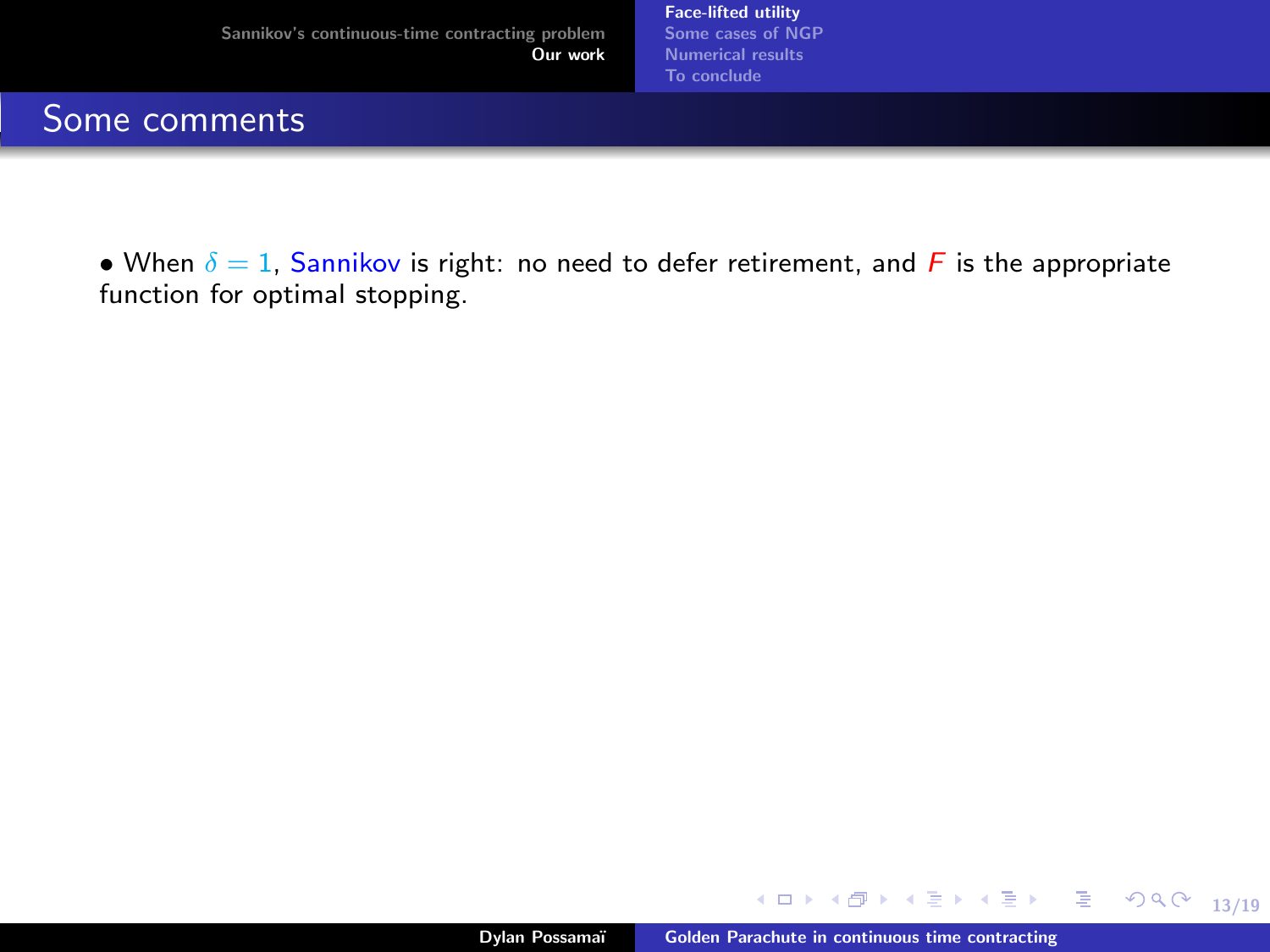[Face-lifted utility](#page-43-0) [Some cases of NGP](#page-60-0) [Numerical results](#page-63-0) [To conclude](#page-65-0)

#### Some comments

• When  $\delta = 1$ , Sannikov is right: no need to defer retirement, and F is the appropriate function for optimal stopping.

メロト オ母 トメミト メミト

13/19

 $E = \Omega Q$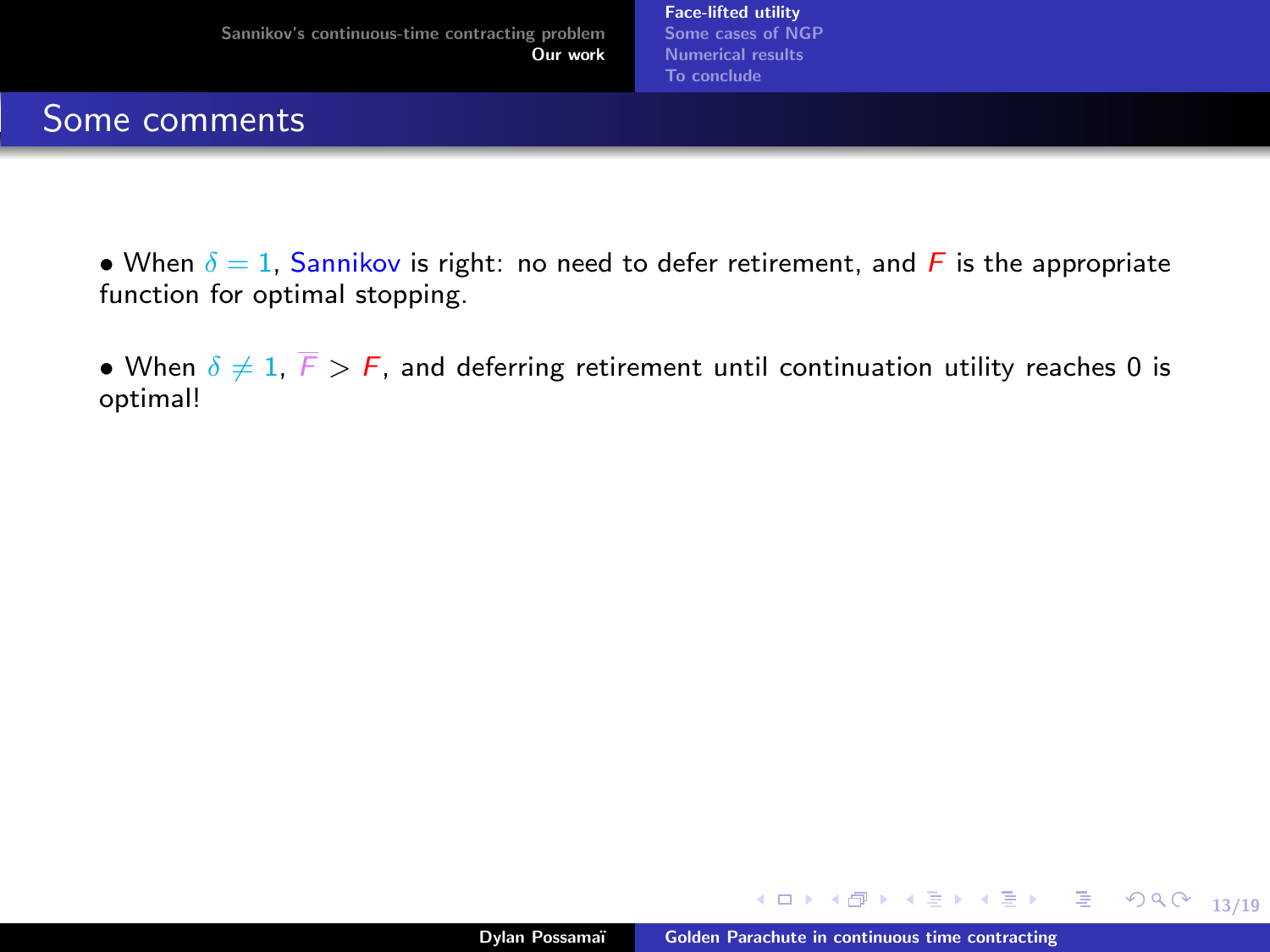- When  $\delta = 1$ , Sannikov is right: no need to defer retirement, and F is the appropriate function for optimal stopping.
- When  $\delta \neq 1$ ,  $\overline{F} > F$ , and deferring retirement until continuation utility reaches 0 is optimal!

∢ ロ ▶ ( 何 ) ( ミ ) ( ミ ) ( ニ )

13/19

GHT.  $299$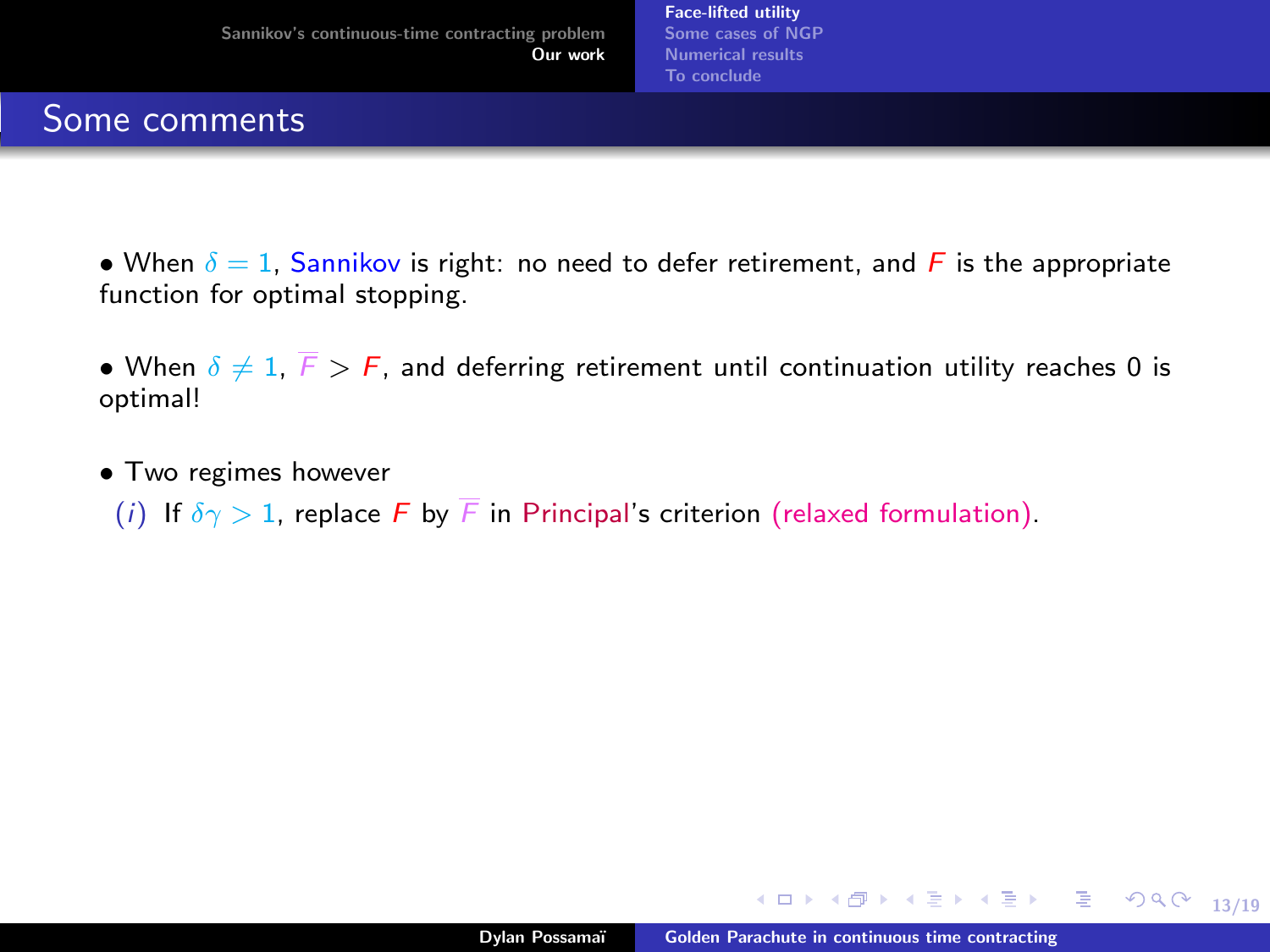- When  $\delta = 1$ , Sannikov is right: no need to defer retirement, and F is the appropriate function for optimal stopping.
- When  $\delta \neq 1$ ,  $\overline{F} > F$ , and deferring retirement until continuation utility reaches 0 is optimal!
- Two regimes however
	- (i) If  $\delta \gamma > 1$ , replace F by F in Principal's criterion (relaxed formulation).

イロト イ押ト イヨト イヨトー

13/19

**GRAN**  $299$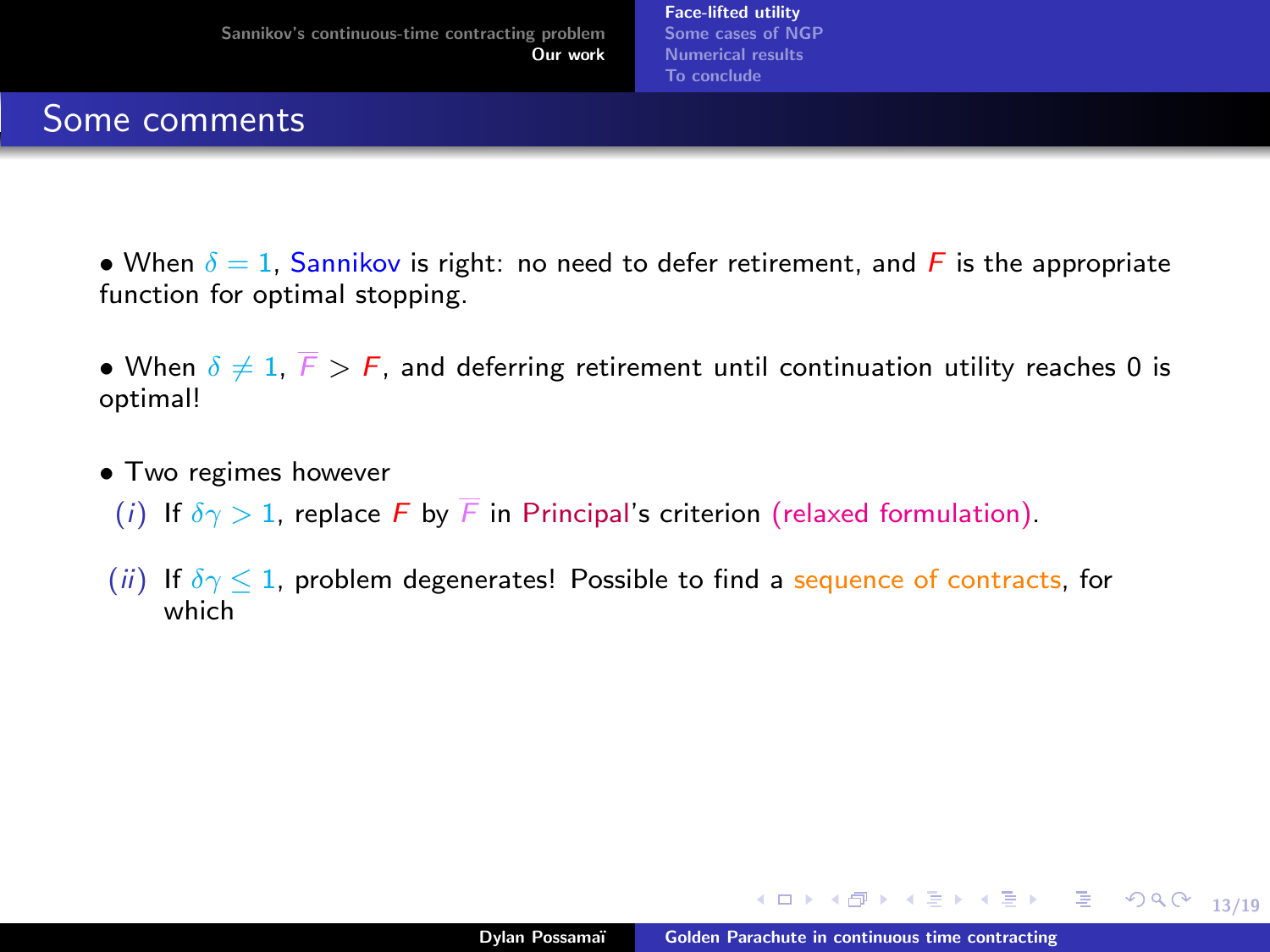- When  $\delta = 1$ , Sannikov is right: no need to defer retirement, and F is the appropriate function for optimal stopping.
- When  $\delta \neq 1$ ,  $\overline{F} > F$ , and deferring retirement until continuation utility reaches 0 is optimal!
- Two regimes however
	- (i) If  $\delta \gamma > 1$ , replace F by F in Principal's criterion (relaxed formulation).
- (ii) If  $\delta \gamma \leq 1$ , problem degenerates! Possible to find a sequence of contracts, for which

∢ ロ ▶ ( 何 ) ( ミ ) ( ミ ) ( ニ )

13/19

(B)  $299$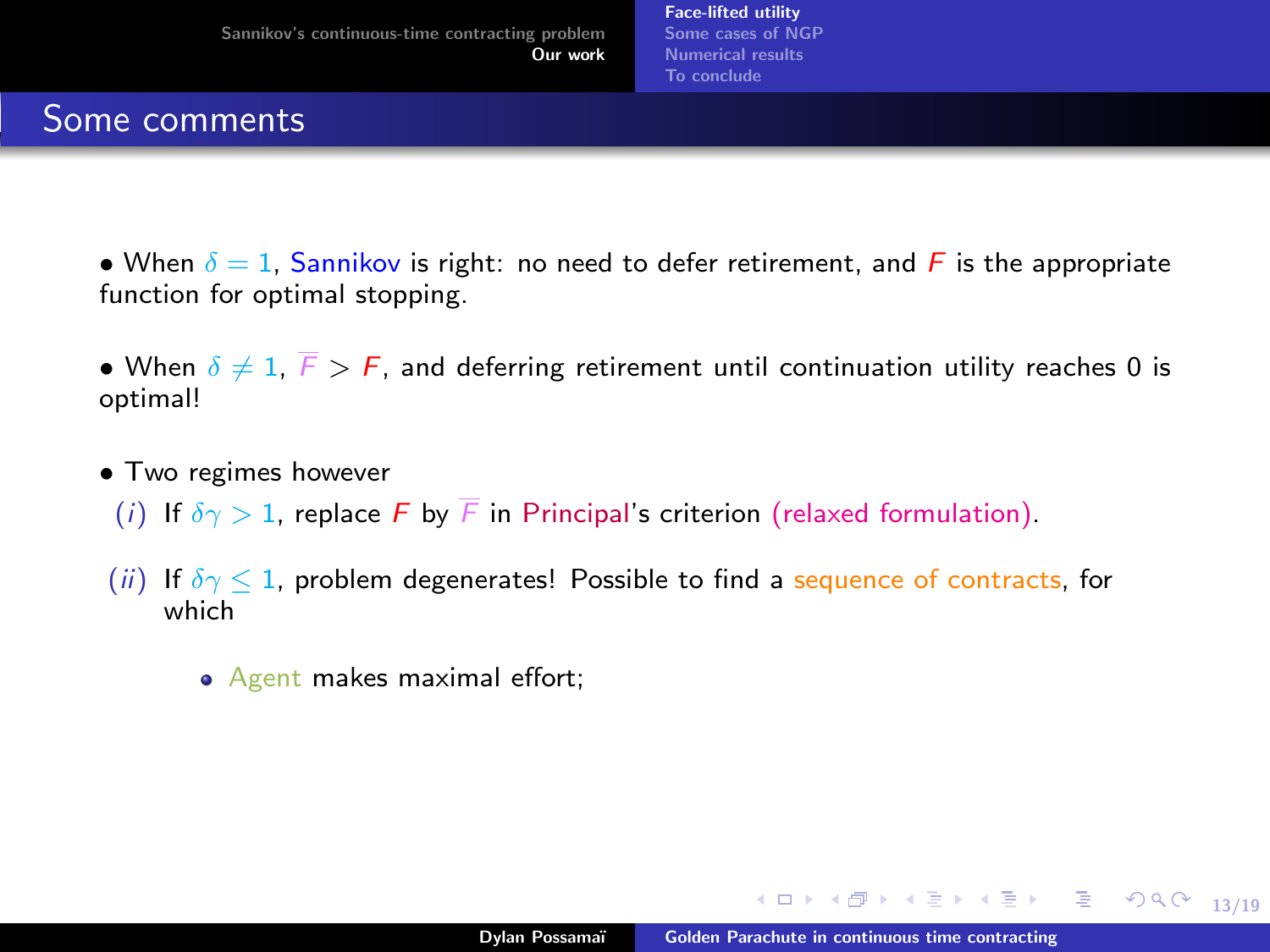- When  $\delta = 1$ , Sannikov is right: no need to defer retirement, and F is the appropriate function for optimal stopping.
- When  $\delta \neq 1$ ,  $\overline{F} > F$ , and deferring retirement until continuation utility reaches 0 is optimal!
- Two regimes however
	- (i) If  $\delta \gamma > 1$ , replace F by F in Principal's criterion (relaxed formulation).
- (ii) If  $\delta \gamma \leq 1$ , problem degenerates! Possible to find a sequence of contracts, for which
	- Agent makes maximal effort;

イロト イ押ト イヨト イヨトー

13/19

**GRAN**  $299$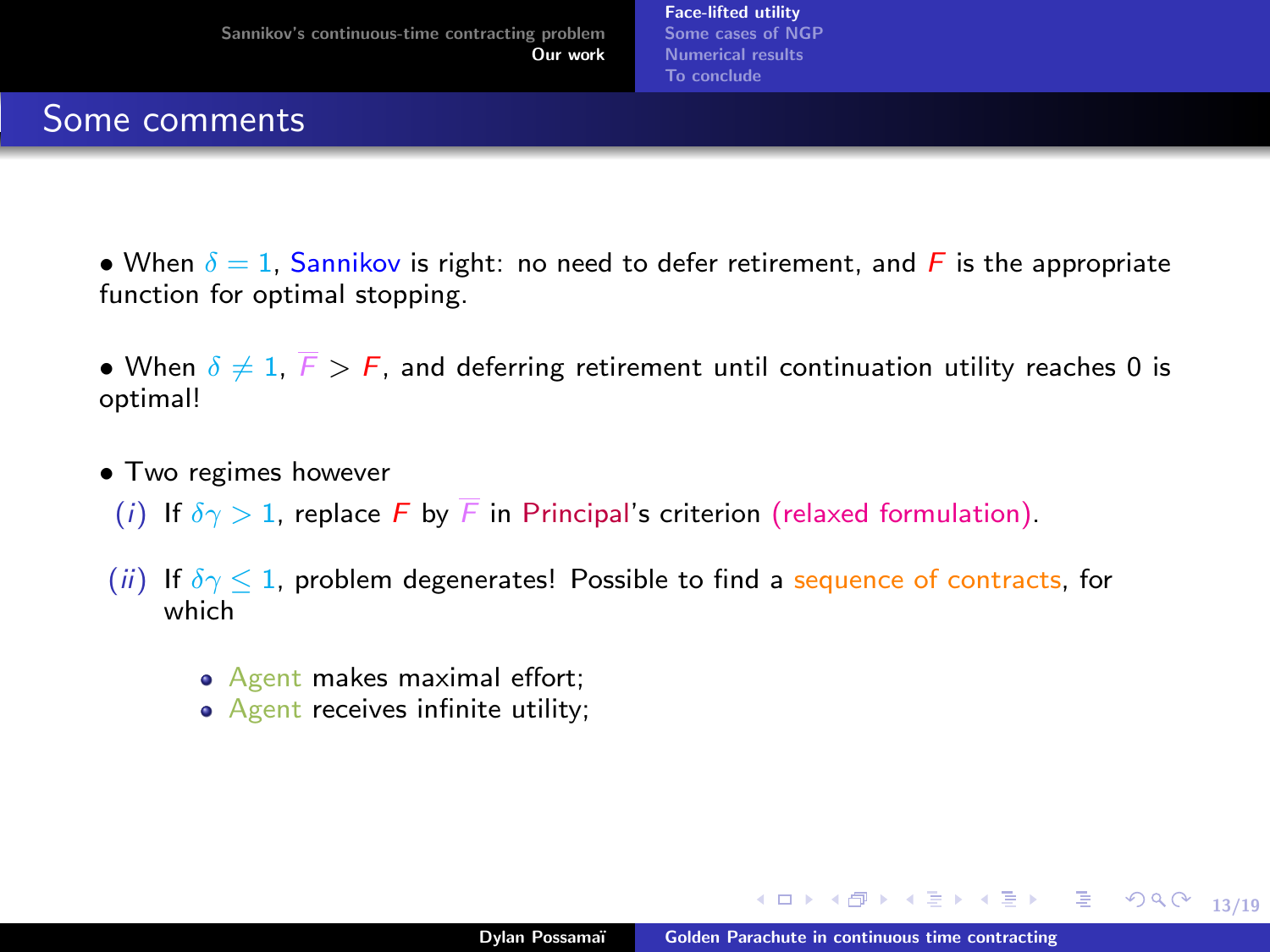- When  $\delta = 1$ , Sannikov is right: no need to defer retirement, and F is the appropriate function for optimal stopping.
- When  $\delta \neq 1$ ,  $\overline{F} > F$ , and deferring retirement until continuation utility reaches 0 is optimal!
- Two regimes however
	- (i) If  $\delta \gamma > 1$ , replace F by F in Principal's criterion (relaxed formulation).
- (ii) If  $\delta \gamma \leq 1$ , problem degenerates! Possible to find a sequence of contracts, for which
	- Agent makes maximal effort;
	- Agent receives infinite utility;

∢ ロ ▶ ( 何 ) ( ミ ) ( ミ ) ( ニ )

13/19

 $\equiv$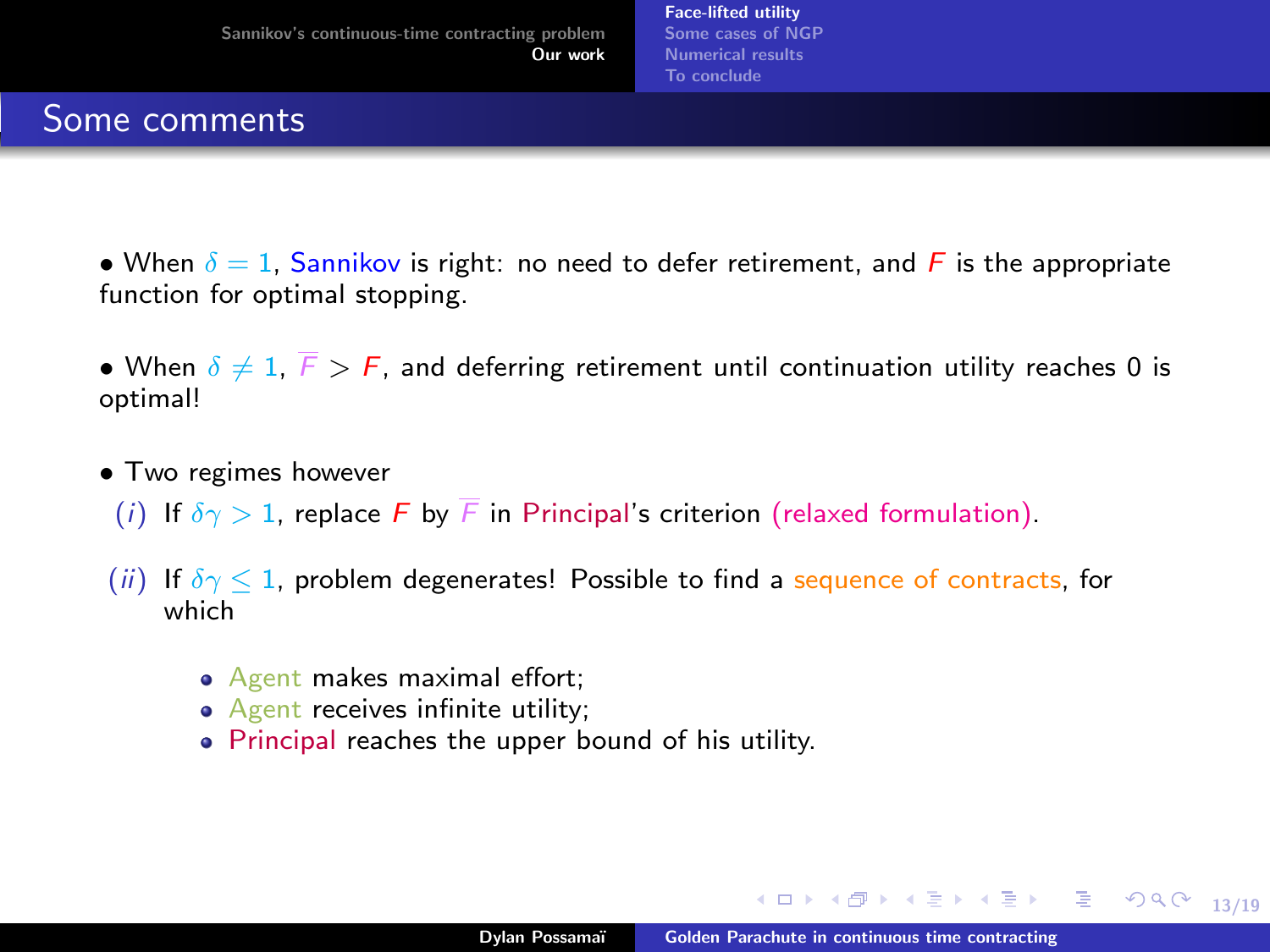- When  $\delta = 1$ , Sannikov is right: no need to defer retirement, and F is the appropriate function for optimal stopping.
- When  $\delta \neq 1$ ,  $\overline{F} > F$ , and deferring retirement until continuation utility reaches 0 is optimal!
- Two regimes however
	- (i) If  $\delta \gamma > 1$ , replace F by F in Principal's criterion (relaxed formulation).
- (ii) If  $\delta \gamma \leq 1$ , problem degenerates! Possible to find a sequence of contracts, for which
	- Agent makes maximal effort;
	- Agent receives infinite utility;
	- Principal reaches the upper bound of his utility.

∢ ロ ▶ ( 何 ) ( ミ ) ( ミ ) ( ニ )

13/19

 $\equiv$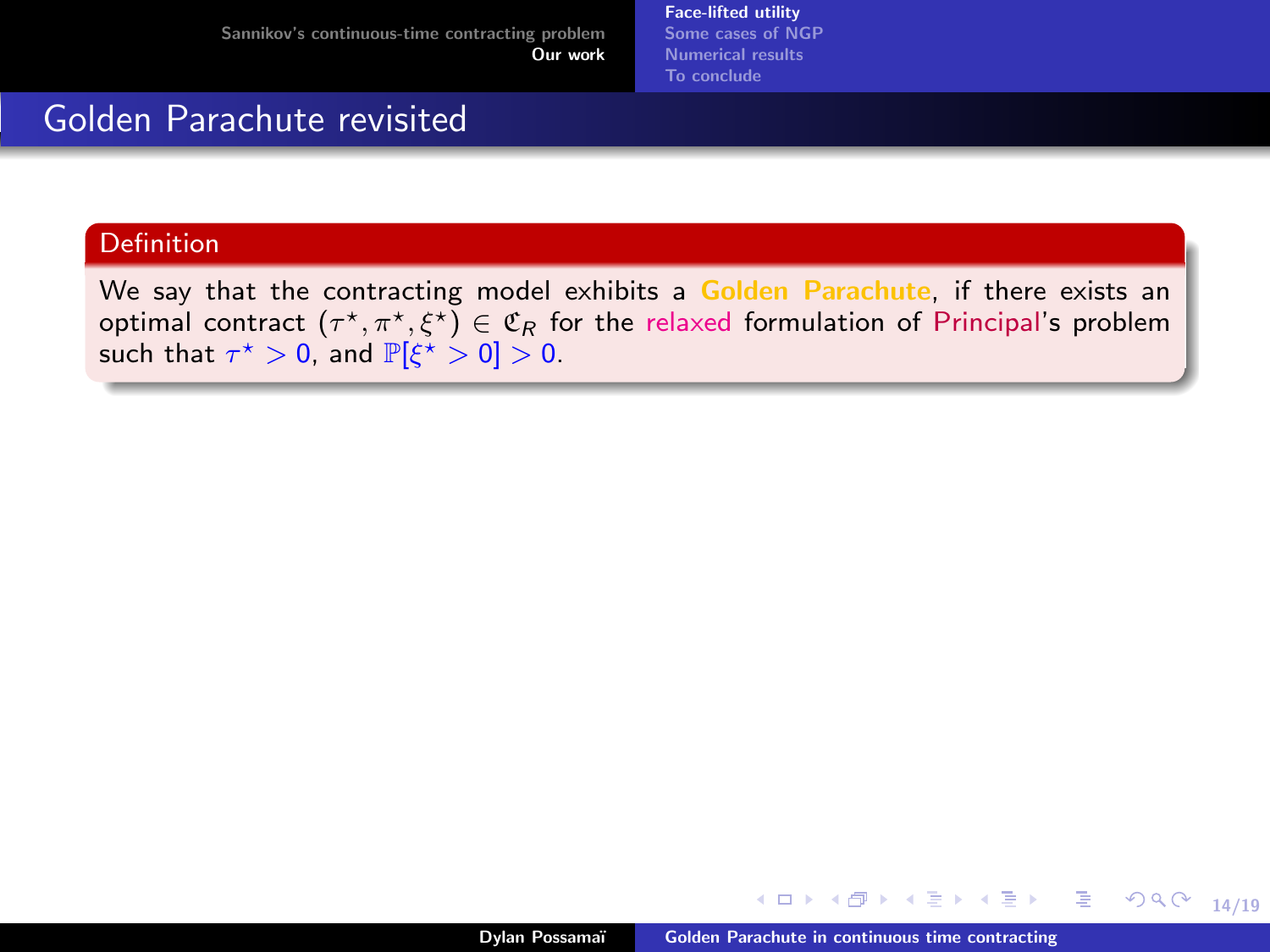[Face-lifted utility](#page-43-0) [Some cases of NGP](#page-60-0) [Numerical results](#page-63-0) [To conclude](#page-65-0)

#### Golden Parachute revisited

#### **Definition**

We say that the contracting model exhibits a Golden Parachute, if there exists an optimal contract  $(\tau^\star,\pi^\star,\xi^\star)\in\mathfrak{C}_R$  for the relaxed formulation of Principal's problem such that  $\tau^{\star} > 0$ , and  $\mathbb{P}[\xi^{\star} > 0] > 0$ .

14/19

 $\equiv$ 

医牙医的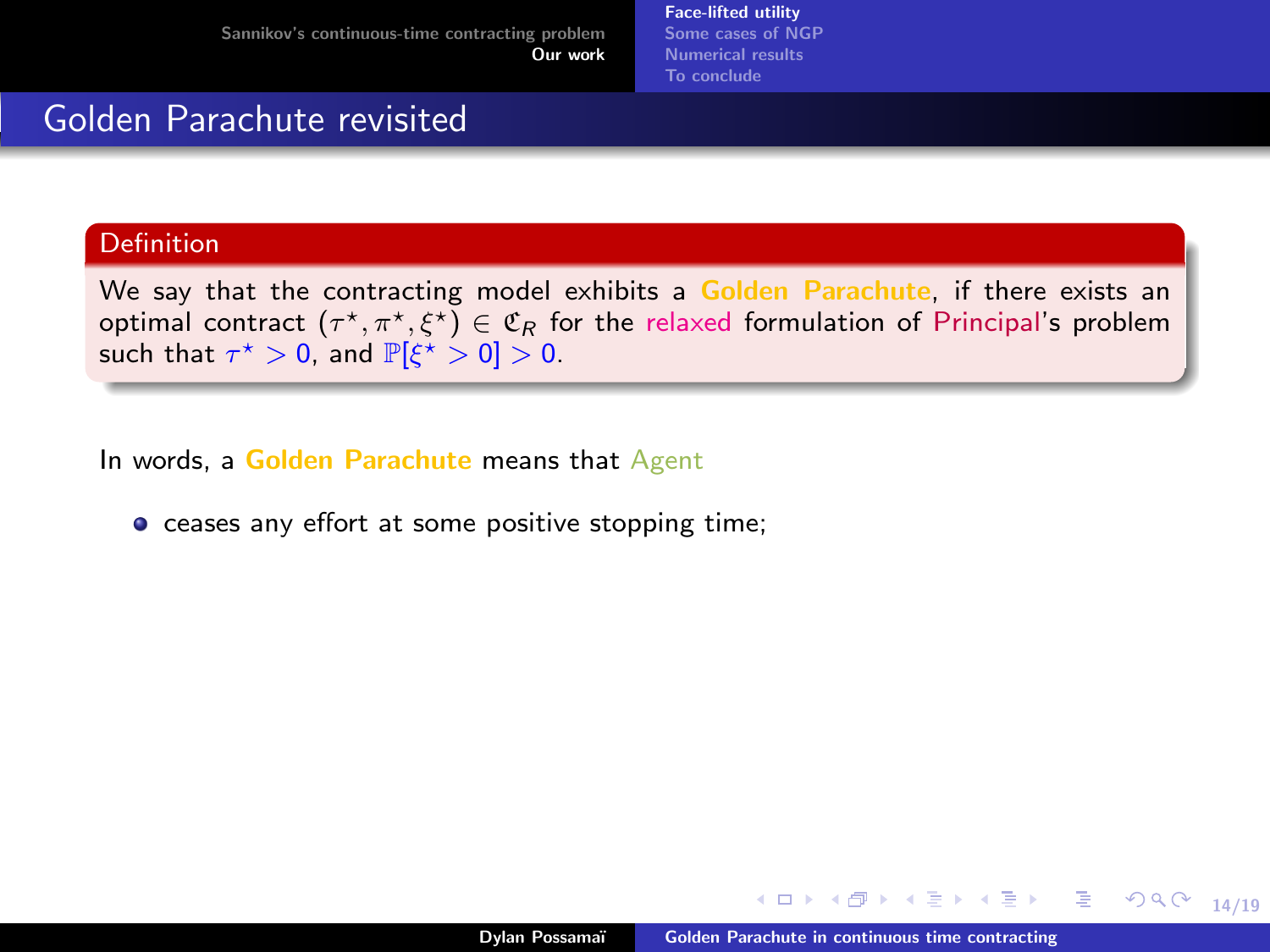[Face-lifted utility](#page-43-0) [Some cases of NGP](#page-60-0) [Numerical results](#page-63-0) [To conclude](#page-65-0)

#### Golden Parachute revisited

#### Definition

We say that the contracting model exhibits a Golden Parachute, if there exists an optimal contract  $(\tau^\star,\pi^\star,\xi^\star)\in\mathfrak{C}_R$  for the relaxed formulation of Principal's problem such that  $\tau^{\star} > 0$ , and  $\mathbb{P}[\xi^{\star} > 0] > 0$ .

In words, a Golden Parachute means that Agent

**•** ceases any effort at some positive stopping time:

14/19

 $299$ 

目

 $\rightarrow$   $\rightarrow$   $\rightarrow$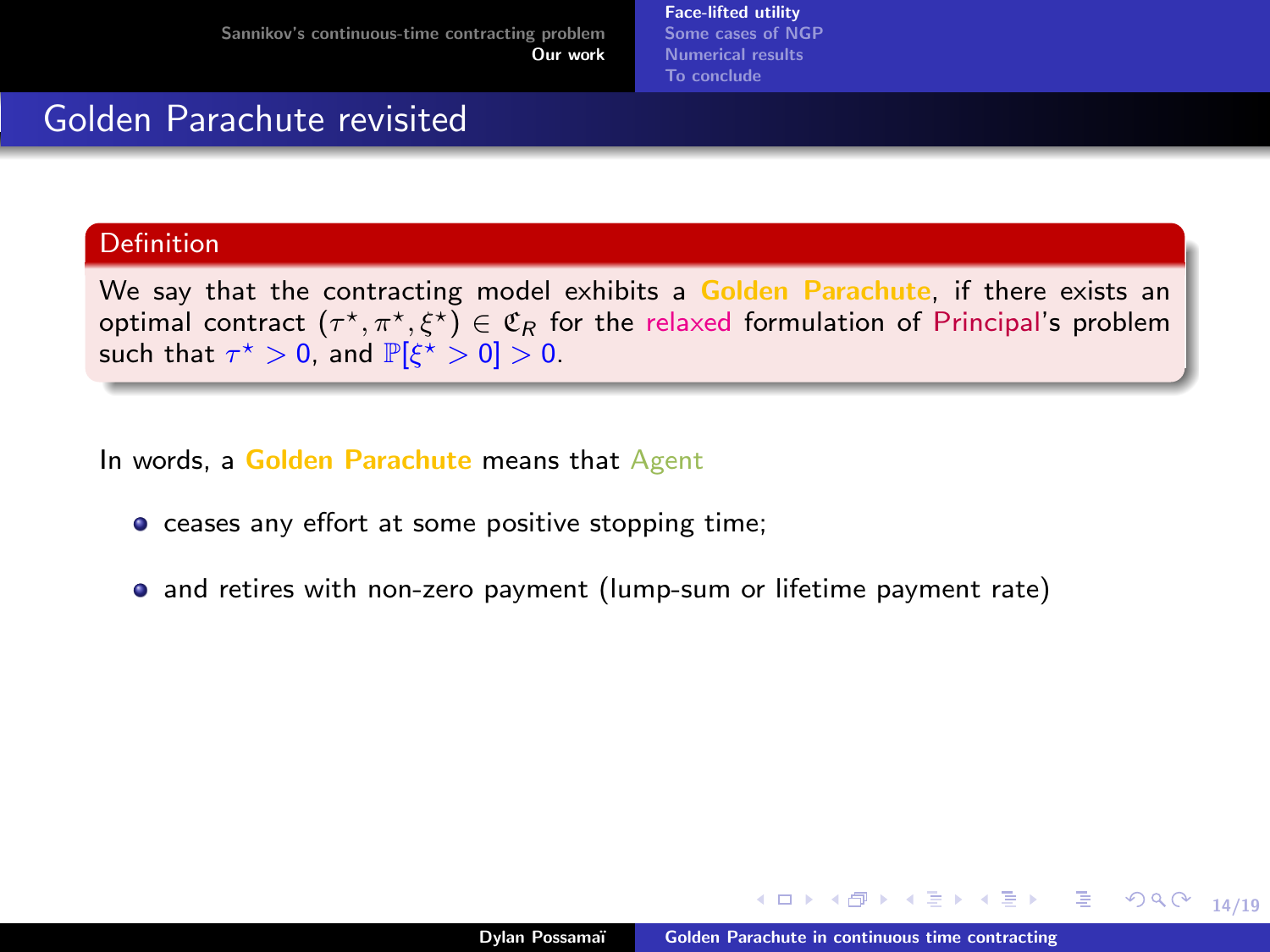[Face-lifted utility](#page-43-0) [Some cases of NGP](#page-60-0) [Numerical results](#page-63-0) [To conclude](#page-65-0)

#### Golden Parachute revisited

#### Definition

We say that the contracting model exhibits a Golden Parachute, if there exists an optimal contract  $(\tau^\star,\pi^\star,\xi^\star)\in\mathfrak{C}_R$  for the relaxed formulation of Principal's problem such that  $\tau^{\star} > 0$ , and  $\mathbb{P}[\xi^{\star} > 0] > 0$ .

In words, a Golden Parachute means that Agent

- **•** ceases any effort at some positive stopping time:
- and retires with non-zero payment (lump-sum or lifetime payment rate)

14/19

 $299$ 

目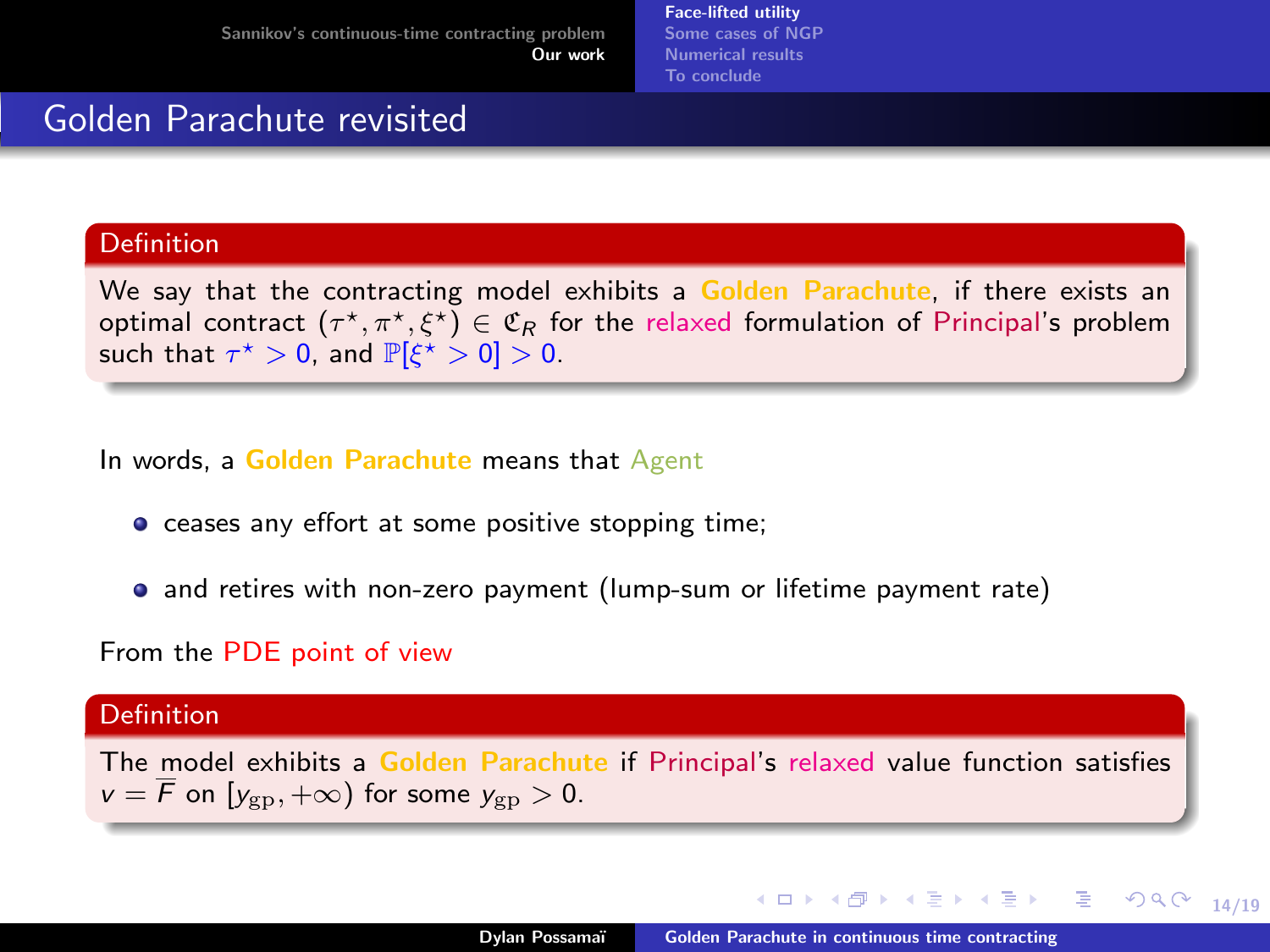[Face-lifted utility](#page-43-0) [Some cases of NGP](#page-60-0) [Numerical results](#page-63-0) [To conclude](#page-65-0)

#### Golden Parachute revisited

#### Definition

We say that the contracting model exhibits a Golden Parachute, if there exists an optimal contract  $(\tau^\star,\pi^\star,\xi^\star)\in\mathfrak{C}_R$  for the relaxed formulation of Principal's problem such that  $\tau^{\star} > 0$ , and  $\mathbb{P}[\xi^{\star} > 0] > 0$ .

In words, a Golden Parachute means that Agent

- **•** ceases any effort at some positive stopping time:
- and retires with non-zero payment (lump-sum or lifetime payment rate)

#### From the PDE point of view

#### **Definition**

The model exhibits a Golden Parachute if Principal's relaxed value function satisfies  $v = \overline{F}$  on  $[y_{\text{gn}}, +\infty)$  for some  $y_{\text{gn}} > 0$ .

14/19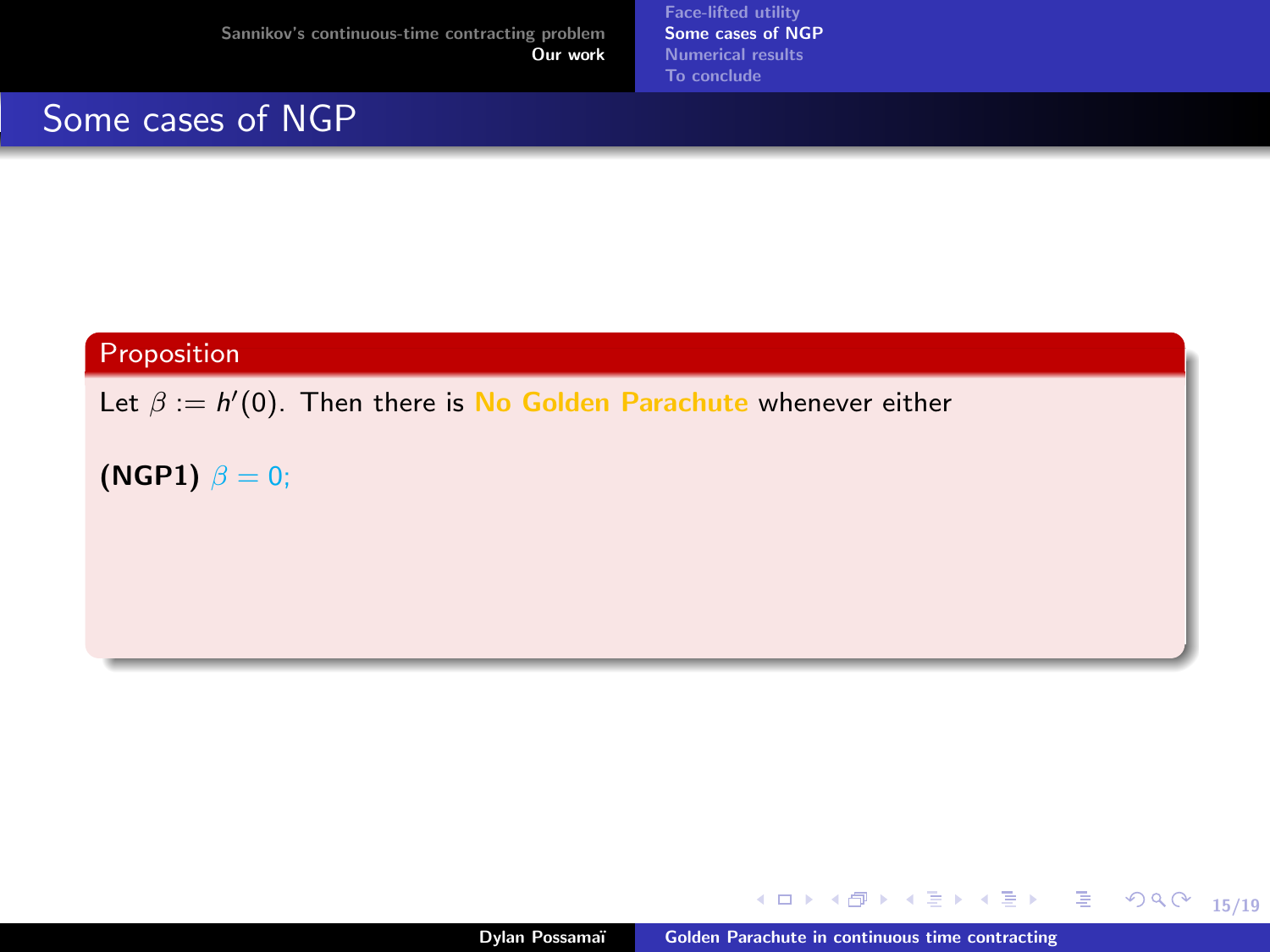<span id="page-60-0"></span>Some cases of NGP

[Face-lifted utility](#page-43-0) [Some cases of NGP](#page-62-0) [Numerical results](#page-63-0) [To conclude](#page-65-0)

#### Proposition

Let  $\beta := h'(0)$ . Then there is No Golden Parachute whenever either

(NGP1)  $\beta = 0$ ;

Dylan Possamaï [Golden Parachute in continuous time contracting](#page-0-0)

K ロ ▶ K 御 ▶ K 重 ▶ K 重 ▶ 「重 」 の Q Q →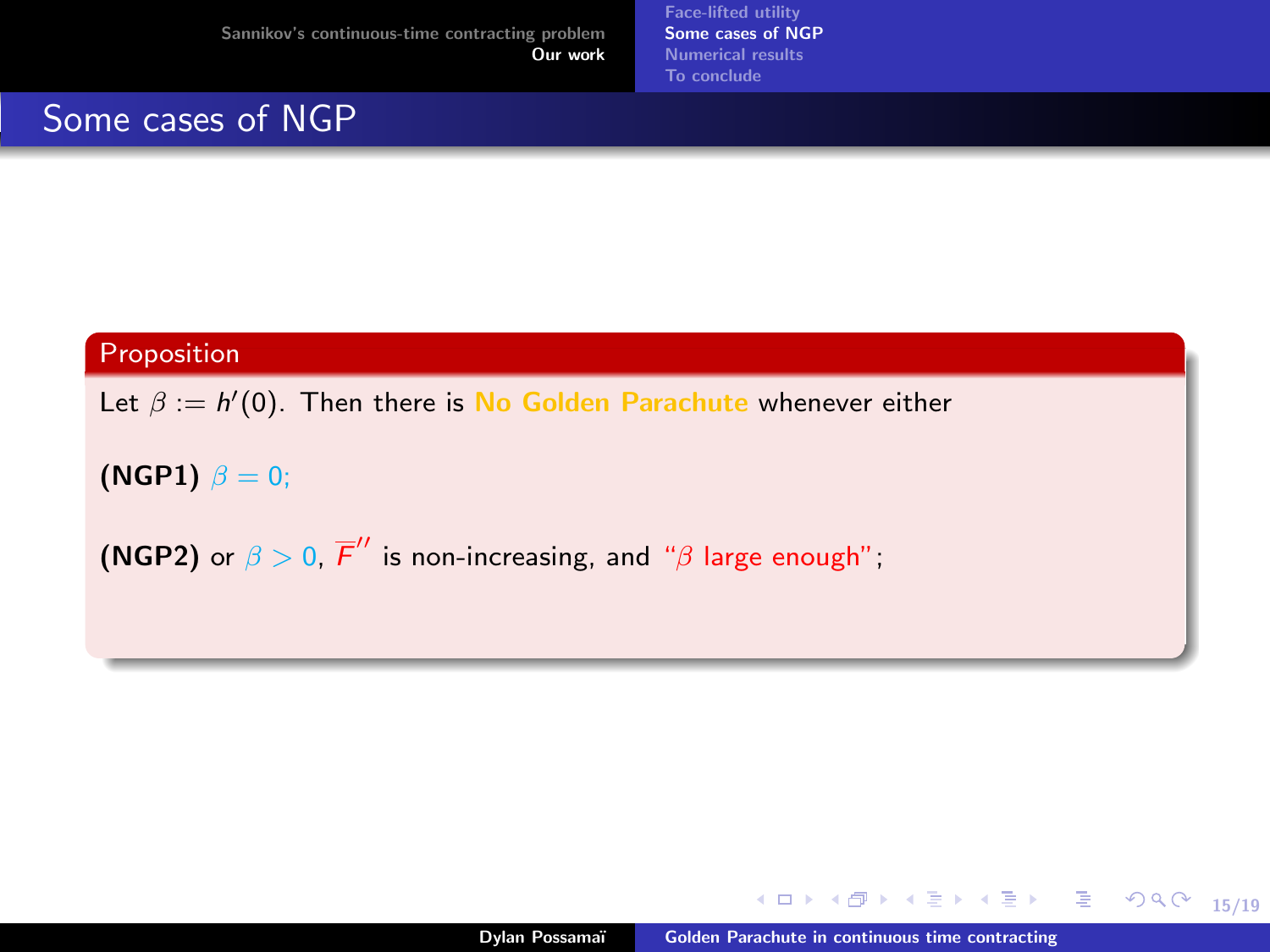Some cases of NGP

[Face-lifted utility](#page-43-0) [Some cases of NGP](#page-62-0) [Numerical results](#page-63-0) [To conclude](#page-65-0)

#### Proposition

Let  $\beta := h'(0)$ . Then there is No Golden Parachute whenever either

(NGP1)  $\beta = 0$ ;

(NGP2) or  $\beta > 0$ ,  $\overline{F}''$  is non-increasing, and " $\beta$  large enough";

K ロ ▶ K @ ▶ K 할 ▶ K 할 ▶ (할 수 있어 안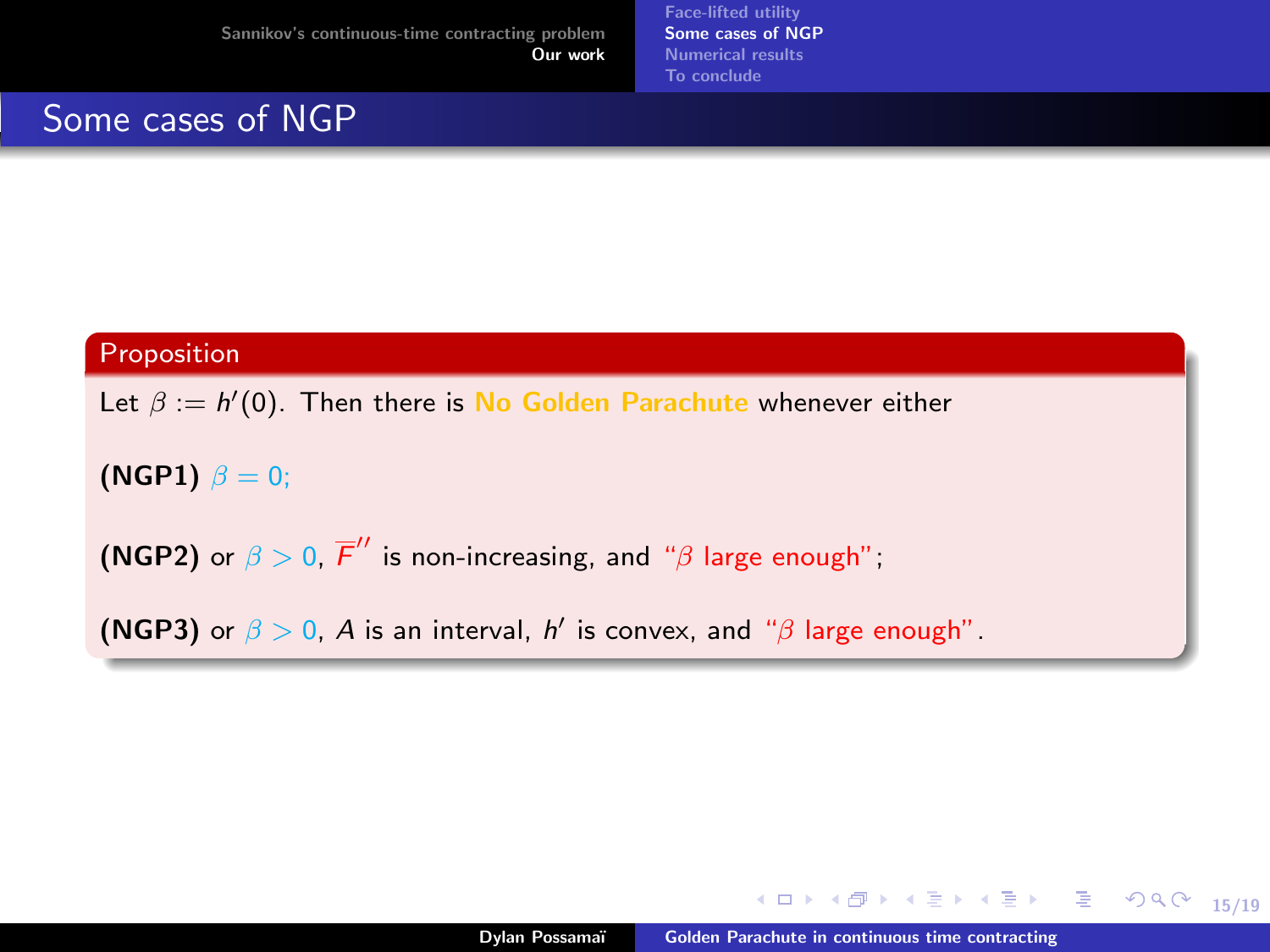<span id="page-62-0"></span>Some cases of NGP

[Face-lifted utility](#page-43-0) [Some cases of NGP](#page-60-0) [Numerical results](#page-63-0) [To conclude](#page-65-0)

#### Proposition

Let  $\beta := h'(0)$ . Then there is No Golden Parachute whenever either

(NGP1)  $\beta = 0$ ;

(NGP2) or  $\beta > 0$ ,  $\overline{F}''$  is non-increasing, and " $\beta$  large enough";

(NGP3) or  $\beta > 0$ , A is an interval, h' is convex, and " $\beta$  large enough".

K ロ ▶ K @ ▶ K 할 ▶ K 할 ▶ (할 수 있어 안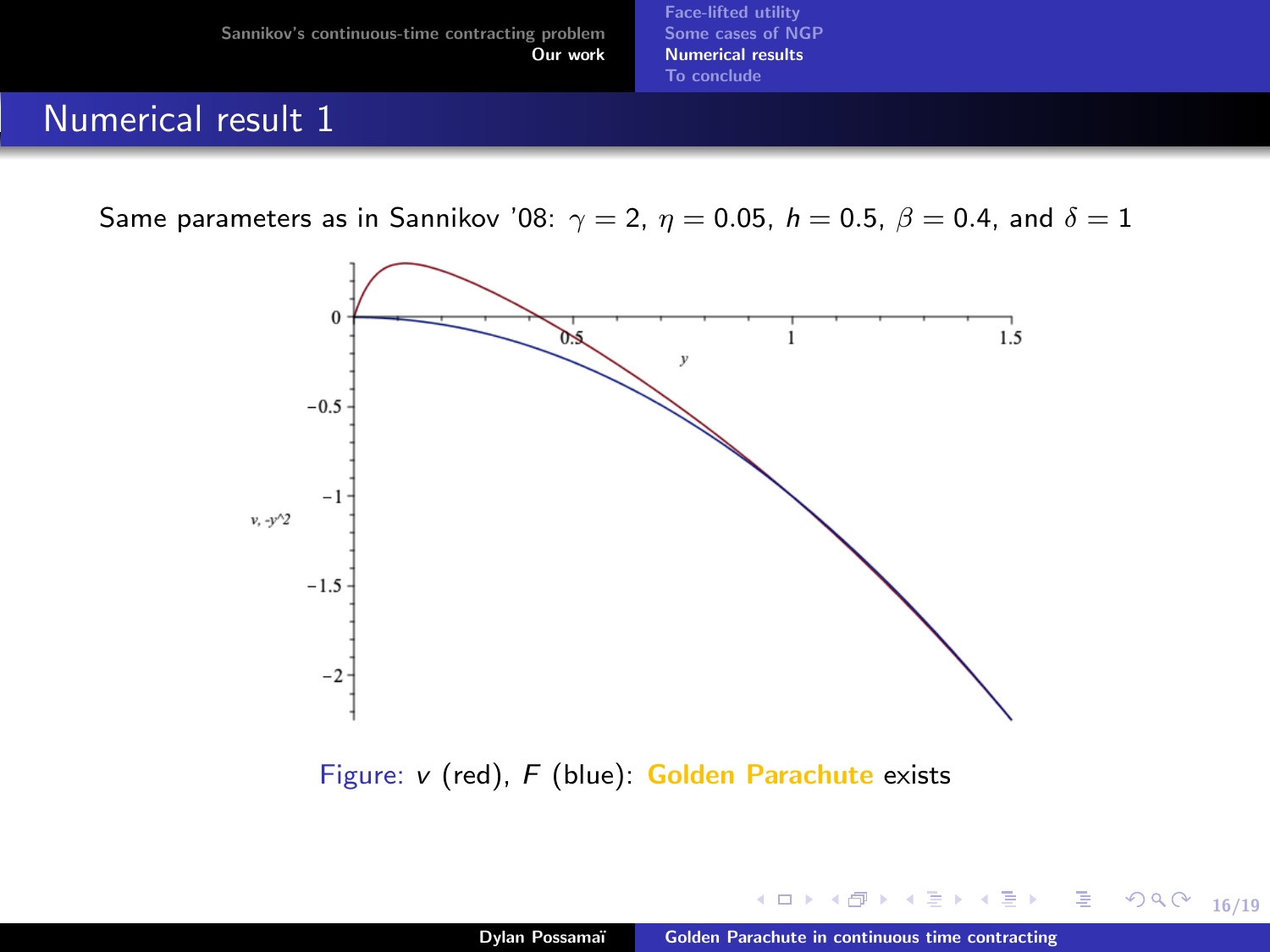[Face-lifted utility](#page-43-0) [Some cases of NGP](#page-60-0) [Numerical results](#page-63-0) [To conclude](#page-65-0)

# <span id="page-63-0"></span>Numerical result 1

Same parameters as in Sannikov '08:  $\gamma = 2$ ,  $\eta = 0.05$ ,  $h = 0.5$ ,  $\beta = 0.4$ , and  $\delta = 1$ 



Figure:  $v$  (red),  $F$  (blue): Golden Parachute exists

**Sec.** 

16/19

Þ

∍  $\sim$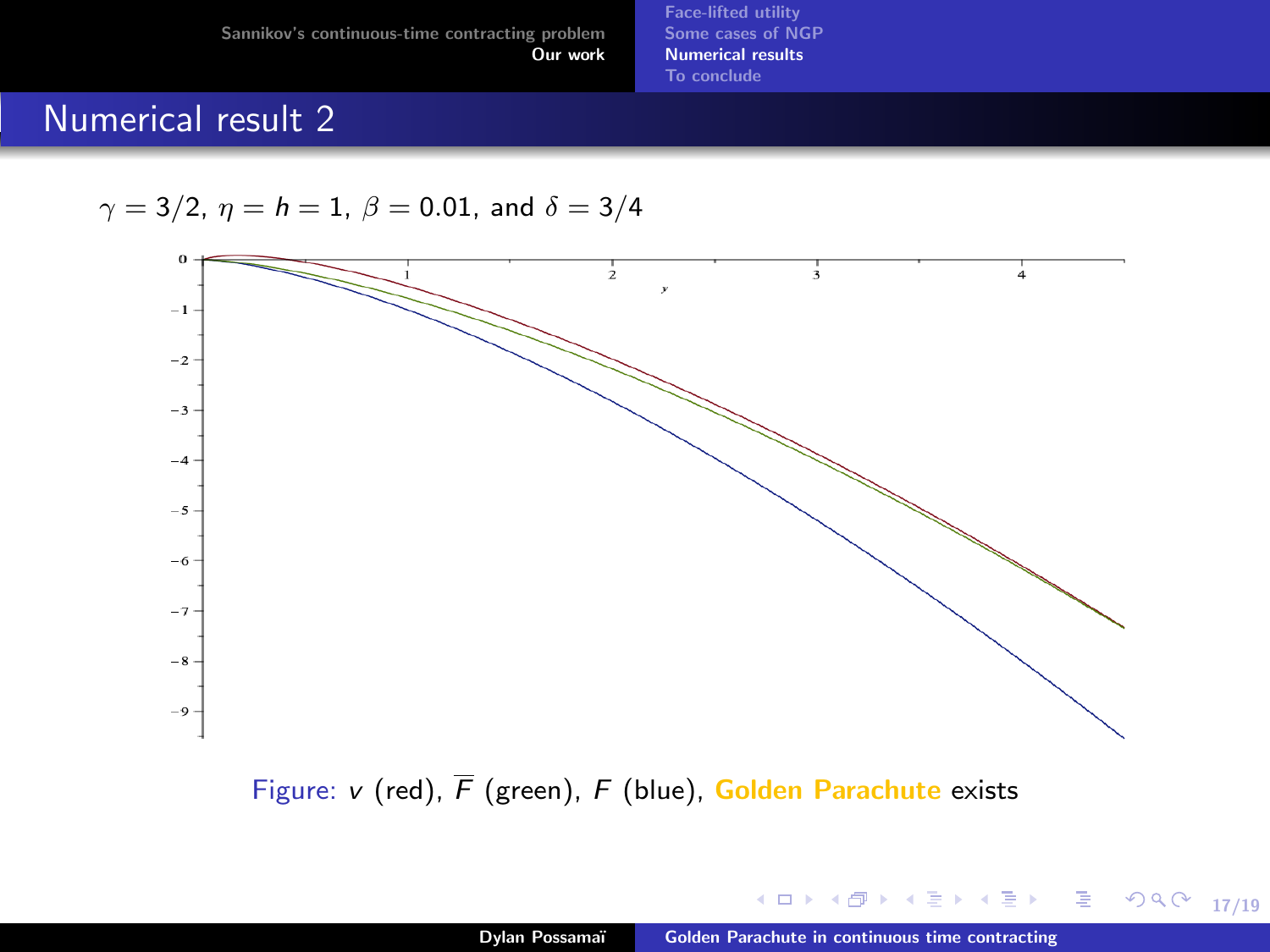[Face-lifted utility](#page-43-0) [Some cases of NGP](#page-60-0) [Numerical results](#page-63-0) [To conclude](#page-65-0)

# Numerical result 2

$$
\gamma=3/2,\ \eta=h=1,\ \beta=0.01,\ \text{and}\ \delta=3/4
$$



Figure: v (red),  $\overline{F}$  (green),  $F$  (blue), Golden Parachute exists

**Sec.** 

17/19

重

Þ  $\,$   $\,$ 

14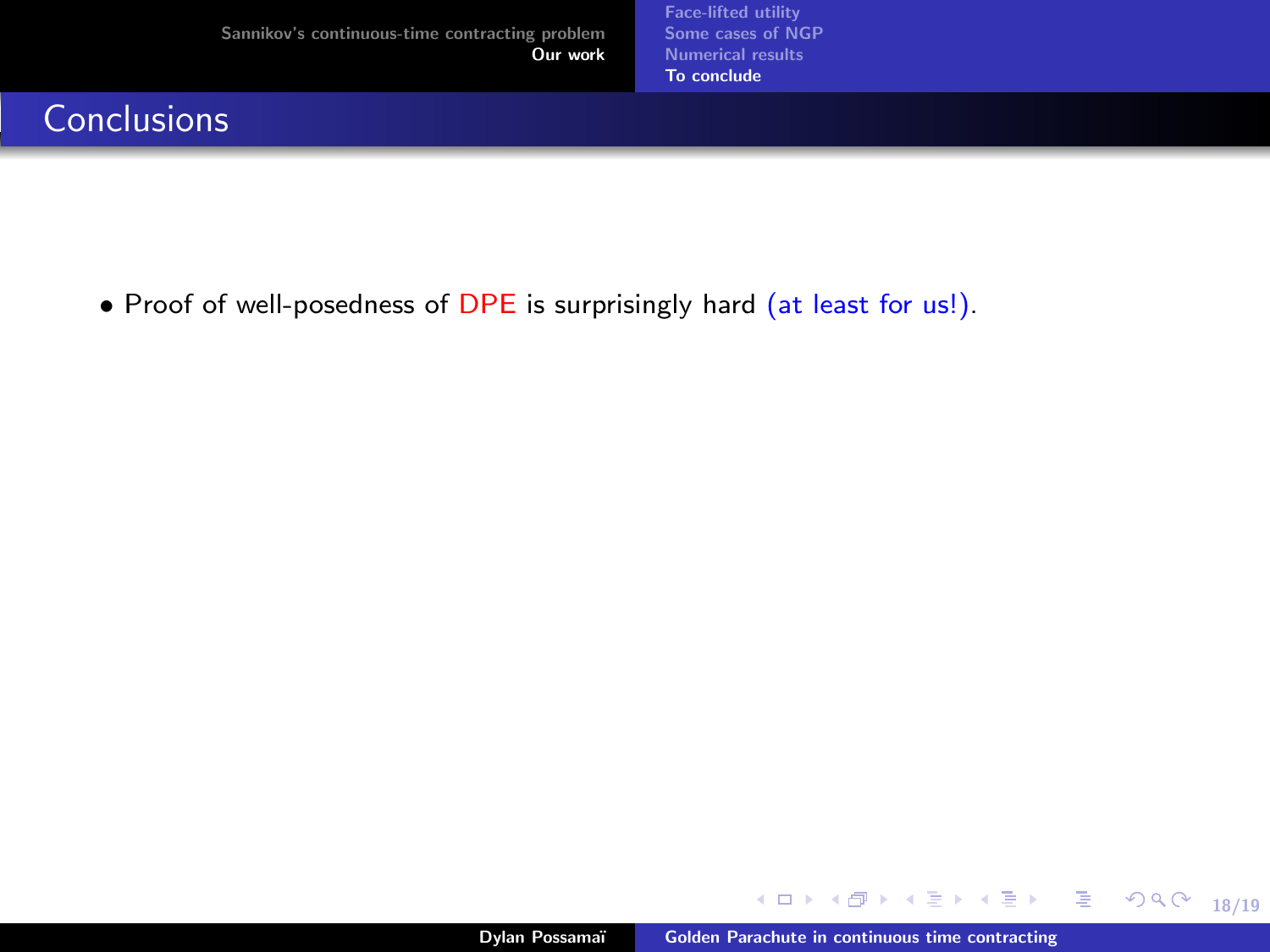[Face-lifted utility](#page-43-0) [Some cases of NGP](#page-60-0) [Numerical results](#page-63-0) [To conclude](#page-69-0)

# <span id="page-65-0"></span>**Conclusions**

• Proof of well-posedness of DPE is surprisingly hard (at least for us!).

Dylan Possamaï [Golden Parachute in continuous time contracting](#page-0-0)

**K ロ ト K 何 ト K** 

18/19

重  $OQ$ 

ほうしゅぼう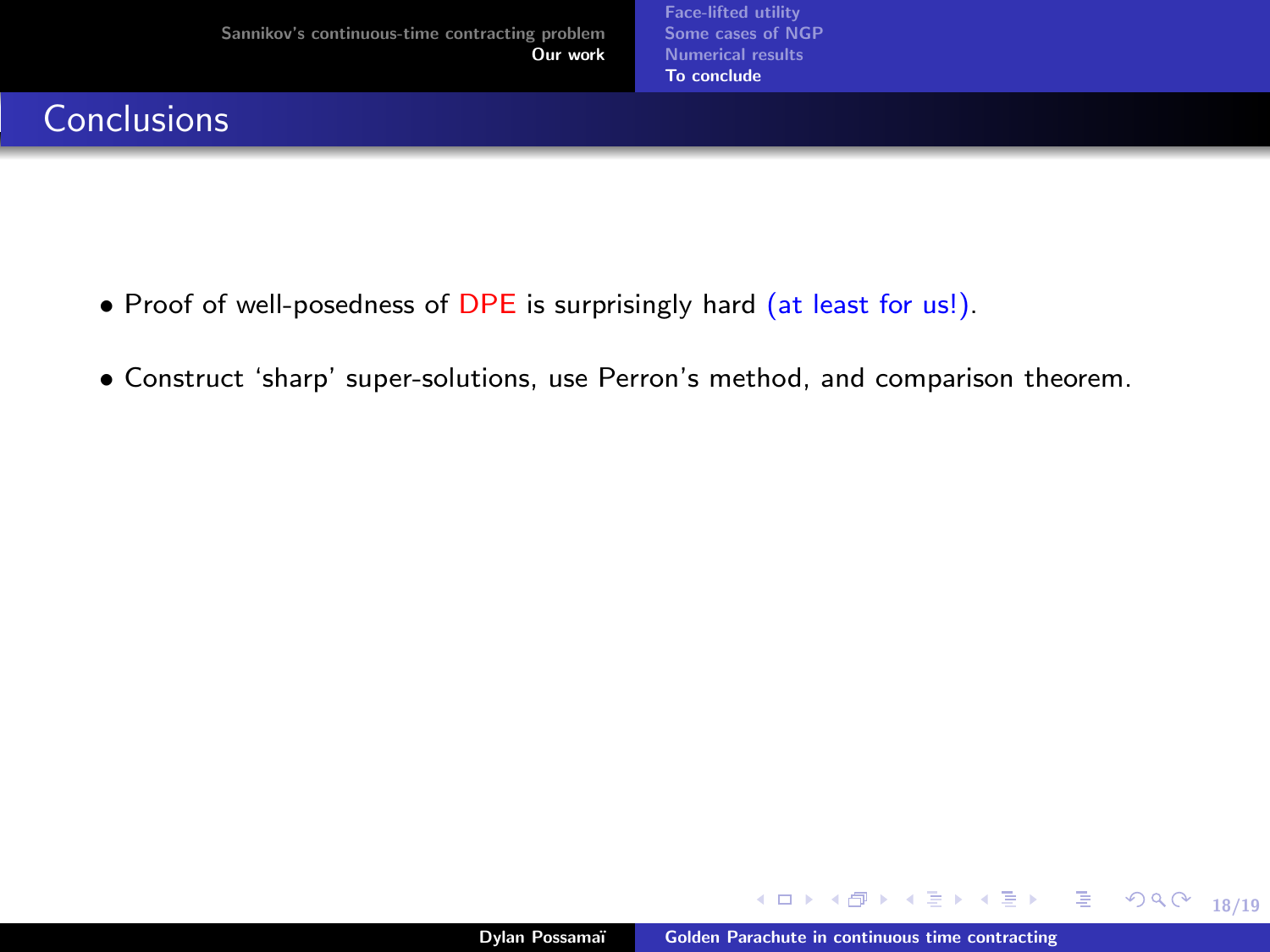# **Conclusions**

- Proof of well-posedness of DPE is surprisingly hard (at least for us!).
- Construct 'sharp' super-solutions, use Perron's method, and comparison theorem.

**K ロ ▶ K 何 ▶ K** 

18/19

E.  $2990$ 

ミドマミド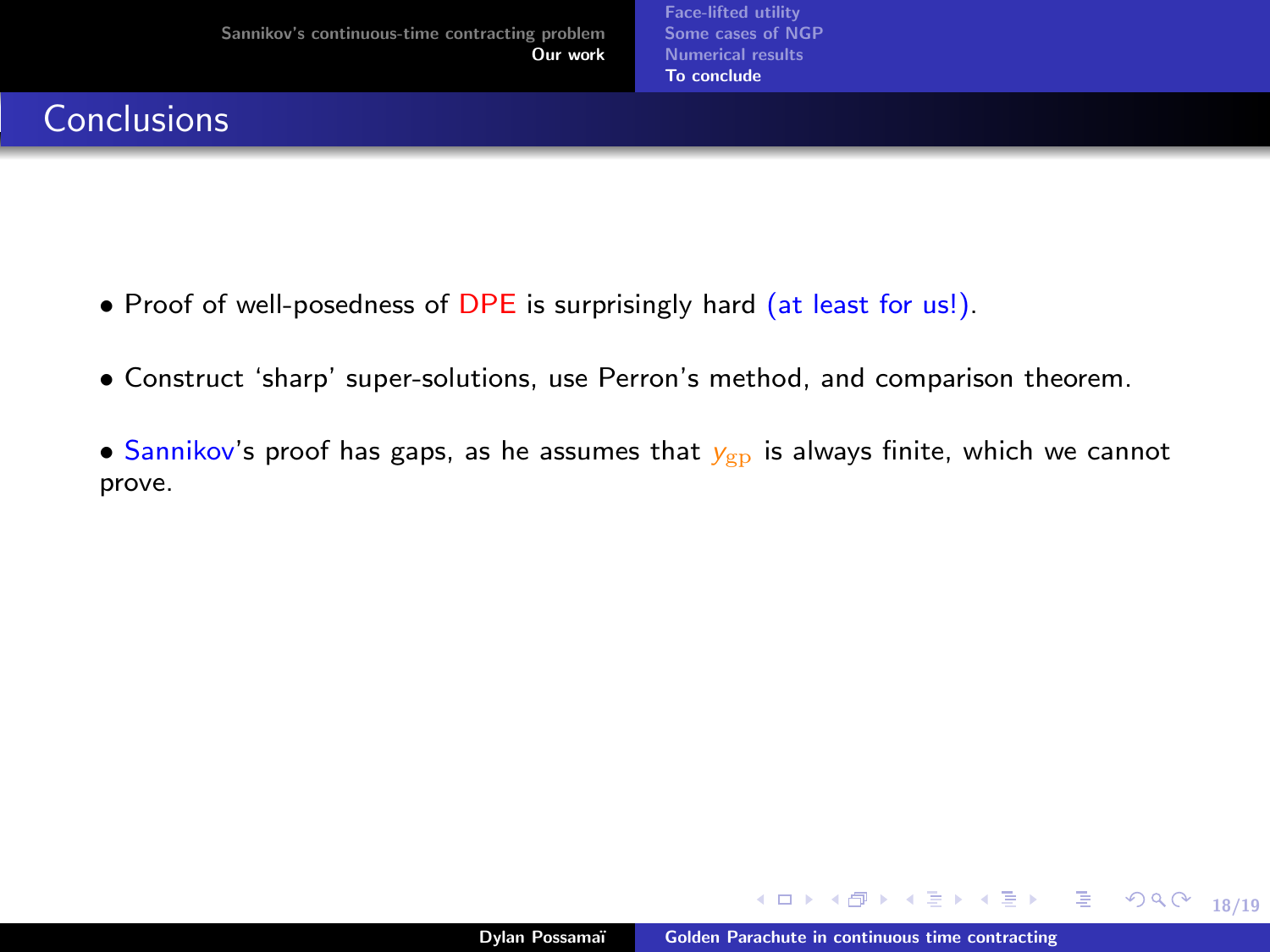# **Conclusions**

- Proof of well-posedness of DPE is surprisingly hard (at least for us!).
- Construct 'sharp' super-solutions, use Perron's method, and comparison theorem.
- Sannikov's proof has gaps, as he assumes that  $y_{\text{gp}}$  is always finite, which we cannot prove.

∢ ロ ▶ ( 何 ) ( ミ ) ( ミ ) ( ニ )

18/19

 $E = \Omega$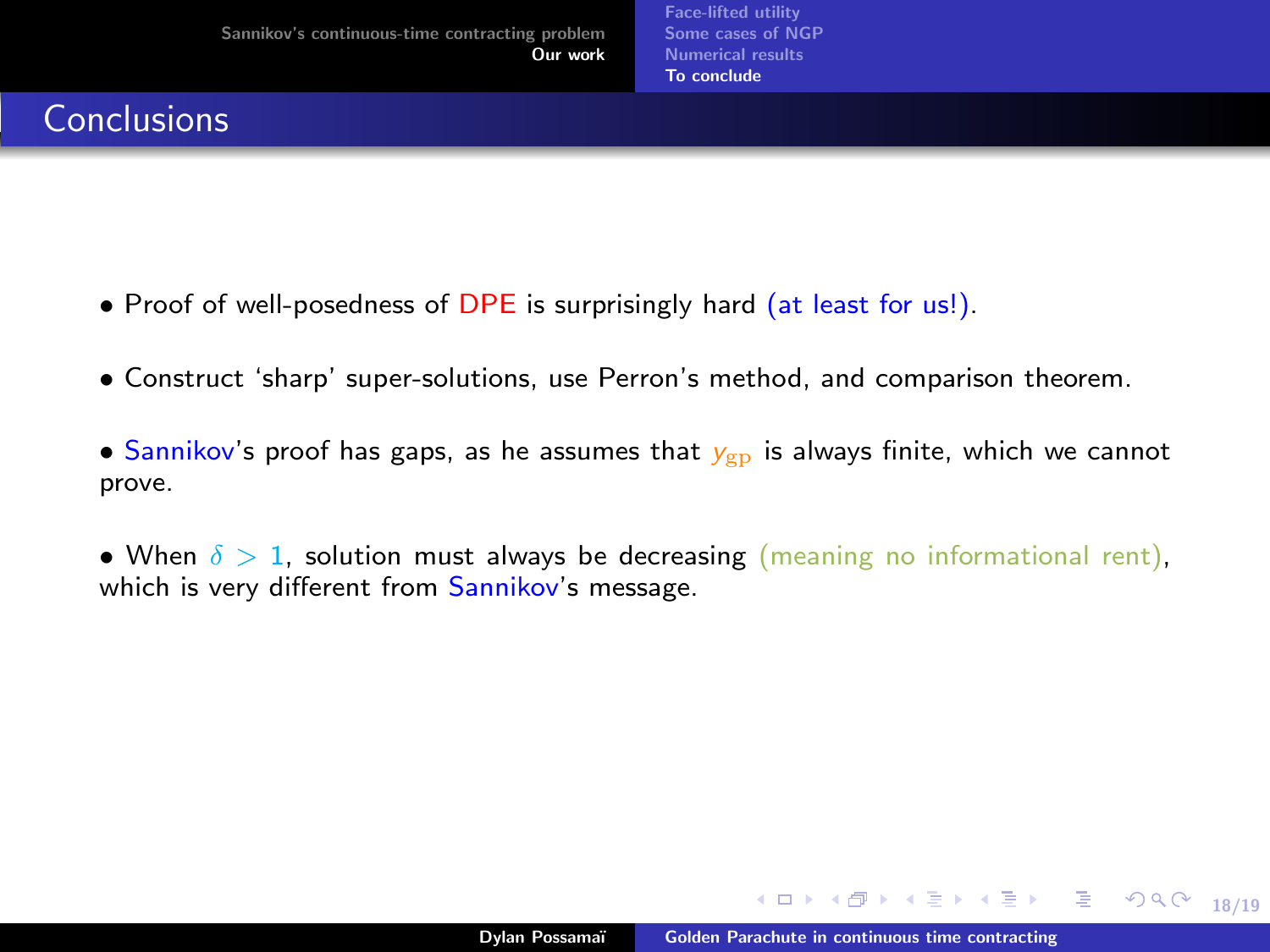# **Conclusions**

- Proof of well-posedness of DPE is surprisingly hard (at least for us!).
- Construct 'sharp' super-solutions, use Perron's method, and comparison theorem.
- Sannikov's proof has gaps, as he assumes that  $y_{\text{gp}}$  is always finite, which we cannot prove.
- When  $\delta > 1$ , solution must always be decreasing (meaning no informational rent), which is very different from Sannikov's message.

∢ ロ ▶ ( 何 ) ( ミ ) ( ミ ) ( ニ )

18/19

 $2990$ 

GB 11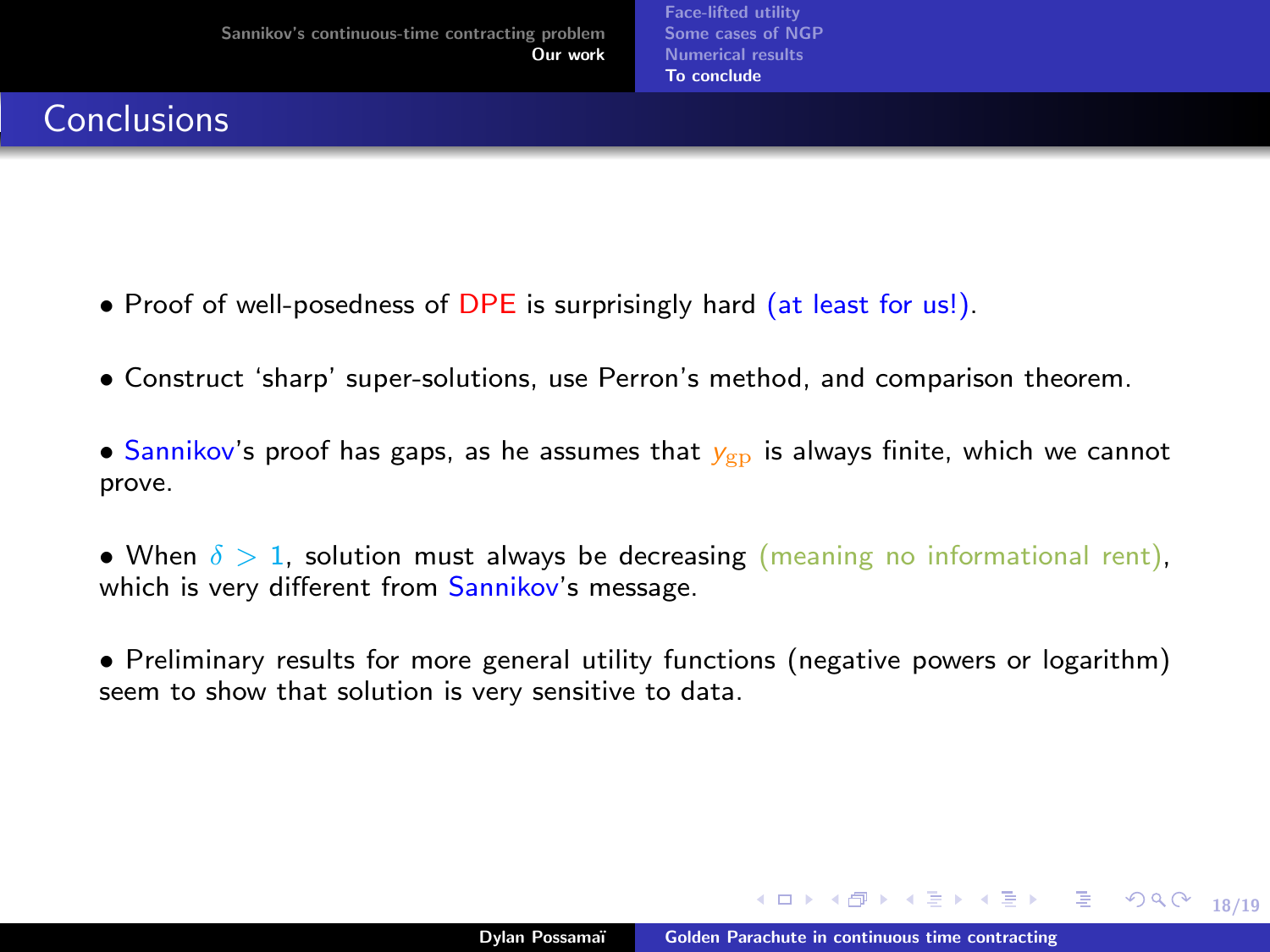### <span id="page-69-0"></span>**Conclusions**

- Proof of well-posedness of DPE is surprisingly hard (at least for us!).
- Construct 'sharp' super-solutions, use Perron's method, and comparison theorem.
- Sannikov's proof has gaps, as he assumes that  $y_{\text{gp}}$  is always finite, which we cannot prove.
- When  $\delta > 1$ , solution must always be decreasing (meaning no informational rent), which is very different from Sannikov's message.
- Preliminary results for more general utility functions (negative powers or logarithm) seem to show that solution is very sensitive to data.

∢ ロ ▶ ( 何 ) ( ミ ) ( ミ ) ( ニ )

18/19

 $299$ 

G.